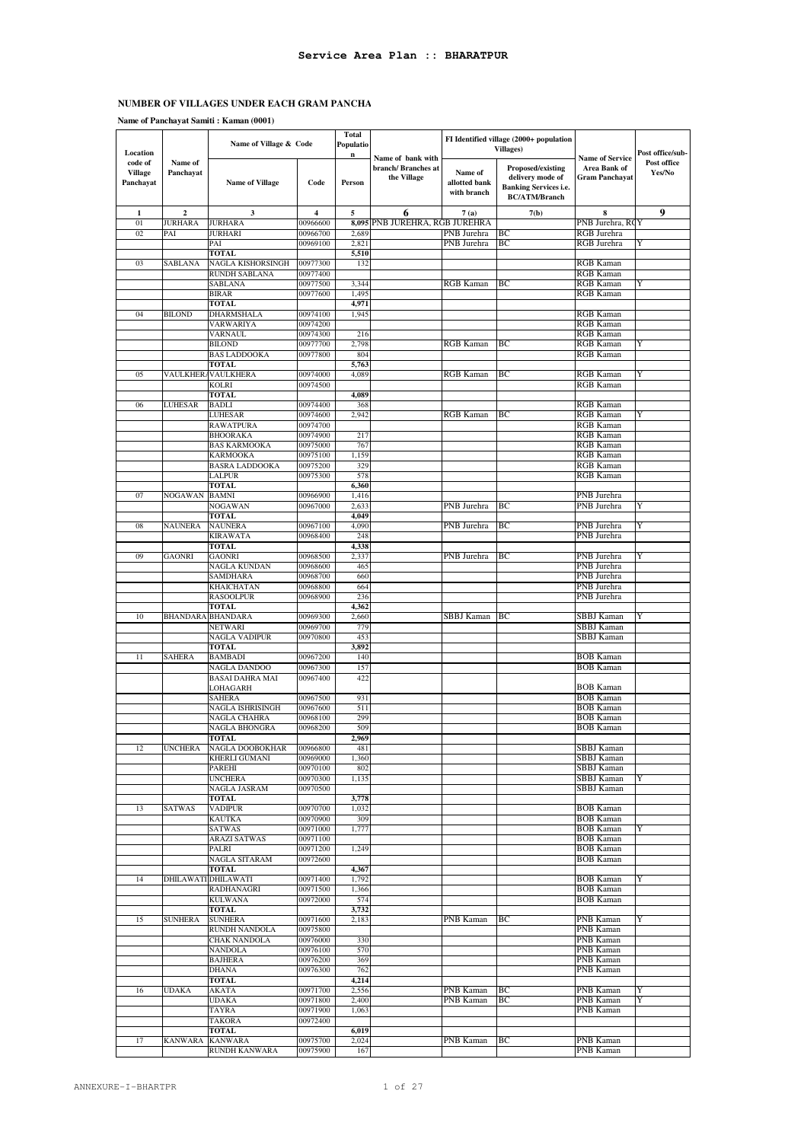**Name of Panchayat Samiti : Kaman (0001)**

|                           |                     |                                         |                      | <b>Total</b> |                          |               | FI Identified village (2000+ population |                                      |                       |
|---------------------------|---------------------|-----------------------------------------|----------------------|--------------|--------------------------|---------------|-----------------------------------------|--------------------------------------|-----------------------|
|                           |                     | Name of Village & Code                  |                      | Populatio    |                          |               | <b>Villages</b> )                       |                                      |                       |
| Location                  |                     |                                         |                      | n            | Name of bank with        |               |                                         | <b>Name of Service</b>               | Post office/sub-      |
| code of<br><b>Village</b> | Name of             |                                         |                      |              | branch/Branches at       | Name of       | Proposed/existing                       | Area Bank of                         | Post office<br>Yes/No |
| Panchayat                 | Panchayat           | <b>Name of Village</b>                  | Code                 | Person       | the Village              | allotted bank | delivery mode of                        | <b>Gram Panchavat</b>                |                       |
|                           |                     |                                         |                      |              |                          | with branch   | <b>Banking Services i.e.</b>            |                                      |                       |
|                           |                     |                                         |                      |              |                          |               | <b>BC/ATM/Branch</b>                    |                                      |                       |
| 1                         | $\boldsymbol{2}$    | 3                                       | 4                    | 5            | 6                        | 7(a)          | 7(b)                                    | 8                                    | 9                     |
| 01                        | <b>JURHARA</b>      | <b>JURHARA</b>                          | 00966600             | 8,095        | PNB JUREHRA, RGB JUREHRA |               |                                         | PNB Jurehra, RC                      | Y                     |
| 02                        | PAI                 | <b>JURHARI</b>                          | 00966700             | 2.689        |                          | PNB Jurehra   | ВC                                      | RGB Jurehra                          |                       |
|                           |                     | PAI                                     | 00969100             | 2,821        |                          | PNB Jurehra   | ВC                                      | RGB Jurehra                          | Y                     |
|                           |                     | <b>TOTAL</b>                            |                      | 5,510        |                          |               |                                         |                                      |                       |
| 03                        | SABLANA             | NAGLA KISHORSINGH                       | 00977300             | 132          |                          |               |                                         | RGB Kaman                            |                       |
|                           |                     | <b>RUNDH SABLANA</b>                    | 00977400             |              |                          |               |                                         | RGB Kaman                            |                       |
|                           |                     | <b>SABLANA</b>                          | 00977500             | 3,344        |                          | RGB Kaman     | ВC                                      | RGB Kaman                            | Y                     |
|                           |                     | BIRAR                                   | 00977600             | 1,495        |                          |               |                                         | RGB Kaman                            |                       |
|                           |                     | <b>TOTAL</b>                            |                      | 4,971        |                          |               |                                         |                                      |                       |
| 04                        | <b>BILOND</b>       | DHARMSHALA<br>VARWARIYA                 | 00974100<br>00974200 | 1,945        |                          |               |                                         | RGB Kaman<br>RGB Kaman               |                       |
|                           |                     | VARNAUL                                 | 00974300             | 216          |                          |               |                                         | <b>RGB</b> Kaman                     |                       |
|                           |                     | <b>BILOND</b>                           | 00977700             | 2,798        |                          | RGB Kaman     | ВC                                      | RGB Kaman                            | Y                     |
|                           |                     | <b>BAS LADDOOKA</b>                     | 00977800             | 804          |                          |               |                                         | RGB Kaman                            |                       |
|                           |                     | <b>TOTAL</b>                            |                      | 5,763        |                          |               |                                         |                                      |                       |
| 05                        | VAULKHER            | VAULKHERA                               | 00974000             | 4,089        |                          | RGB Kaman     | BС                                      | RGB Kaman                            | Y                     |
|                           |                     | <b>KOLRI</b>                            | 00974500             |              |                          |               |                                         | RGB Kaman                            |                       |
|                           |                     | TOTAL                                   |                      | 4,089        |                          |               |                                         |                                      |                       |
| 06                        | <b>LUHESAR</b>      | <b>BADLI</b>                            | 00974400             | 368          |                          |               |                                         | RGB Kaman                            |                       |
|                           |                     | <b>LUHESAR</b>                          | 00974600             | 2,942        |                          | RGB Kaman     | BС                                      | RGB Kaman                            |                       |
|                           |                     | <b>RAWATPURA</b>                        | 00974700             | 217          |                          |               |                                         | RGB Kaman                            |                       |
|                           |                     | <b>BHOORAKA</b><br><b>BAS KARMOOKA</b>  | 00974900<br>00975000 | 767          |                          |               |                                         | RGB Kaman<br>RGB Kaman               |                       |
|                           |                     | <b>KARMOOKA</b>                         | 00975100             | 1,159        |                          |               |                                         | <b>RGB</b> Kaman                     |                       |
|                           |                     | <b>BASRA LADDOOKA</b>                   | 00975200             | 329          |                          |               |                                         | <b>RGB Kaman</b>                     |                       |
|                           |                     | <b>LALPUR</b>                           | 00975300             | 578          |                          |               |                                         | <b>RGB</b> Kaman                     |                       |
|                           |                     | <b>TOTAL</b>                            |                      | 6,360        |                          |               |                                         |                                      |                       |
| 07                        | NOGAWAN             | <b>BAMNI</b>                            | 00966900             | 1,416        |                          |               |                                         | PNB Jurehra                          |                       |
|                           |                     | NOGAWAN                                 | 00967000             | 2,633        |                          | PNB Jurehra   | ВC                                      | PNB Jurehra                          | Y                     |
|                           |                     | <b>TOTAL</b>                            |                      | 4,049        |                          |               |                                         |                                      |                       |
| 08                        | <b>NAUNERA</b>      | <b>NAUNERA</b>                          | 00967100             | 4,090        |                          | PNB Jurehra   | ВC                                      | PNB Jurehra                          | Y                     |
|                           |                     | <b>KIRAWATA</b><br>TOTAL                | 00968400             | 248<br>4,338 |                          |               |                                         | PNB Jurehra                          |                       |
| 09                        | <b>GAONRI</b>       | <b>GAONRI</b>                           | 00968500             | 2,337        |                          | PNB Jurehra   | BС                                      | PNB Jurehra                          | Y                     |
|                           |                     | NAGLA KUNDAN                            | 00968600             | 465          |                          |               |                                         | PNB Jurehra                          |                       |
|                           |                     | SAMDHARA                                | 00968700             | 660          |                          |               |                                         | PNB Jurehra                          |                       |
|                           |                     | KHAICHATAN                              | 00968800             | 664          |                          |               |                                         | PNB Jurehra                          |                       |
|                           |                     | <b>RASOOLPUR</b>                        | 00968900             | 236          |                          |               |                                         | PNB Jurehra                          |                       |
|                           |                     | TOTAL                                   |                      | 4,362        |                          |               |                                         |                                      |                       |
| 10                        | <b>BHANDARA</b>     | <b>BHANDARA</b>                         | 00969300             | 2,660        |                          | SBBJ Kaman    | BC                                      | SBBJ Kaman                           | Y                     |
|                           |                     | NETWARI                                 | 00969700             | 779          |                          |               |                                         | SBBJ Kaman                           |                       |
|                           |                     | <b>NAGLA VADIPUR</b>                    | 00970800             | 453<br>3,892 |                          |               |                                         | SBBJ Kaman                           |                       |
| 11                        | <b>SAHERA</b>       | TOTAL<br><b>BAMBADI</b>                 | 00967200             | 140          |                          |               |                                         | <b>BOB Kaman</b>                     |                       |
|                           |                     | NAGLA DANDOO                            | 00967300             | 157          |                          |               |                                         | <b>BOB Kaman</b>                     |                       |
|                           |                     | <b>BASAI DAHRA MAI</b>                  | 00967400             | 422          |                          |               |                                         |                                      |                       |
|                           |                     | LOHAGARH                                |                      |              |                          |               |                                         | <b>BOB Kaman</b>                     |                       |
|                           |                     | SAHERA                                  | 00967500             | 931          |                          |               |                                         | <b>BOB</b> Kaman                     |                       |
|                           |                     | NAGLA ISHRISINGH                        | 00967600             | 511          |                          |               |                                         | <b>BOB Kaman</b>                     |                       |
|                           |                     | NAGLA CHAHRA                            | 00968100             | 299          |                          |               |                                         | <b>BOB Kaman</b>                     |                       |
|                           |                     | NAGLA BHONGRA                           | 00968200             | 509          |                          |               |                                         | <b>BOB Kaman</b>                     |                       |
|                           |                     | TOTAL                                   | 00966800             | 2,969<br>481 |                          |               |                                         |                                      |                       |
| 12                        | <b>UNCHERA</b>      | NAGLA DOOBOKHAR<br><b>KHERLI GUMANI</b> | 00969000             | 1,360        |                          |               |                                         | SBBJ Kaman<br>SBBJ Kaman             |                       |
|                           |                     | PAREHI                                  | 00970100             | 802          |                          |               |                                         | SBBJ Kaman                           |                       |
|                           |                     | <b>UNCHERA</b>                          | 00970300             | 1,135        |                          |               |                                         | SBBJ Kaman                           | Y                     |
|                           |                     | NAGLA JASRAM                            | 00970500             |              |                          |               |                                         | SBBJ Kaman                           |                       |
|                           |                     | TOTAL                                   |                      | 3,778        |                          |               |                                         |                                      |                       |
| 13                        | SATWAS              | <b>VADIPUR</b>                          | 00970700             | 1,032        |                          |               |                                         | <b>BOB Kaman</b>                     |                       |
|                           |                     | KAUTKA                                  | 00970900             | 309          |                          |               |                                         | <b>BOB Kaman</b>                     |                       |
|                           |                     | SATWAS                                  | 00971000             | 1,777        |                          |               |                                         | <b>BOB</b> Kaman                     | Y                     |
|                           |                     | ARAZI SATWAS<br>PALRI                   | 00971100<br>00971200 | 1,249        |                          |               |                                         | <b>BOB Kaman</b><br><b>BOB Kaman</b> |                       |
|                           |                     | NAGLA SITARAM                           | 00972600             |              |                          |               |                                         | <b>BOB Kaman</b>                     |                       |
|                           |                     | <b>TOTAL</b>                            |                      | 4,367        |                          |               |                                         |                                      |                       |
| 14                        | DHILAWATI DHILAWATI |                                         | 00971400             | 1,792        |                          |               |                                         | <b>BOB Kaman</b>                     | Y                     |
|                           |                     | RADHANAGRI                              | 00971500             | 1,366        |                          |               |                                         | <b>BOB</b> Kaman                     |                       |
|                           |                     | <b>KULWANA</b>                          | 00972000             | 574          |                          |               |                                         | <b>BOB</b> Kaman                     |                       |
|                           |                     | <b>TOTAL</b>                            |                      | 3,732        |                          |               |                                         |                                      |                       |
| 15                        | <b>SUNHERA</b>      | <b>SUNHERA</b>                          | 00971600             | 2,183        |                          | PNB Kaman     | BС                                      | PNB Kaman                            | Y                     |
|                           |                     | RUNDH NANDOLA                           | 00975800             |              |                          |               |                                         | PNB Kaman                            |                       |
|                           |                     | <b>CHAK NANDOLA</b><br>NANDOLA          | 00976000<br>00976100 | 330<br>570   |                          |               |                                         | PNB Kaman<br>PNB Kaman               |                       |
|                           |                     | <b>BAJHERA</b>                          | 00976200             | 369          |                          |               |                                         | PNB Kaman                            |                       |
|                           |                     | DHANA                                   | 00976300             | 762          |                          |               |                                         | PNB Kaman                            |                       |
|                           |                     | TOTAL                                   |                      | 4,214        |                          |               |                                         |                                      |                       |
| 16                        | <b>UDAKA</b>        | AKATA                                   | 00971700             | 2,556        |                          | PNB Kaman     | ВC                                      | PNB Kaman                            | Y                     |
|                           |                     | <b>UDAKA</b>                            | 00971800             | 2,400        |                          | PNB Kaman     | BС                                      | PNB Kaman                            | Y                     |
|                           |                     | TAYRA                                   | 00971900             | 1,063        |                          |               |                                         | PNB Kaman                            |                       |
|                           |                     | TAKORA                                  | 00972400             |              |                          |               |                                         |                                      |                       |
|                           |                     | <b>TOTAL</b>                            |                      | 6,019        |                          |               |                                         |                                      |                       |
| 17                        | <b>KANWARA</b>      | <b>KANWARA</b><br>RUNDH KANWARA         | 00975700<br>00975900 | 2,024<br>167 |                          | PNB Kaman     | BС                                      | PNB Kaman<br>PNB Kaman               |                       |
|                           |                     |                                         |                      |              |                          |               |                                         |                                      |                       |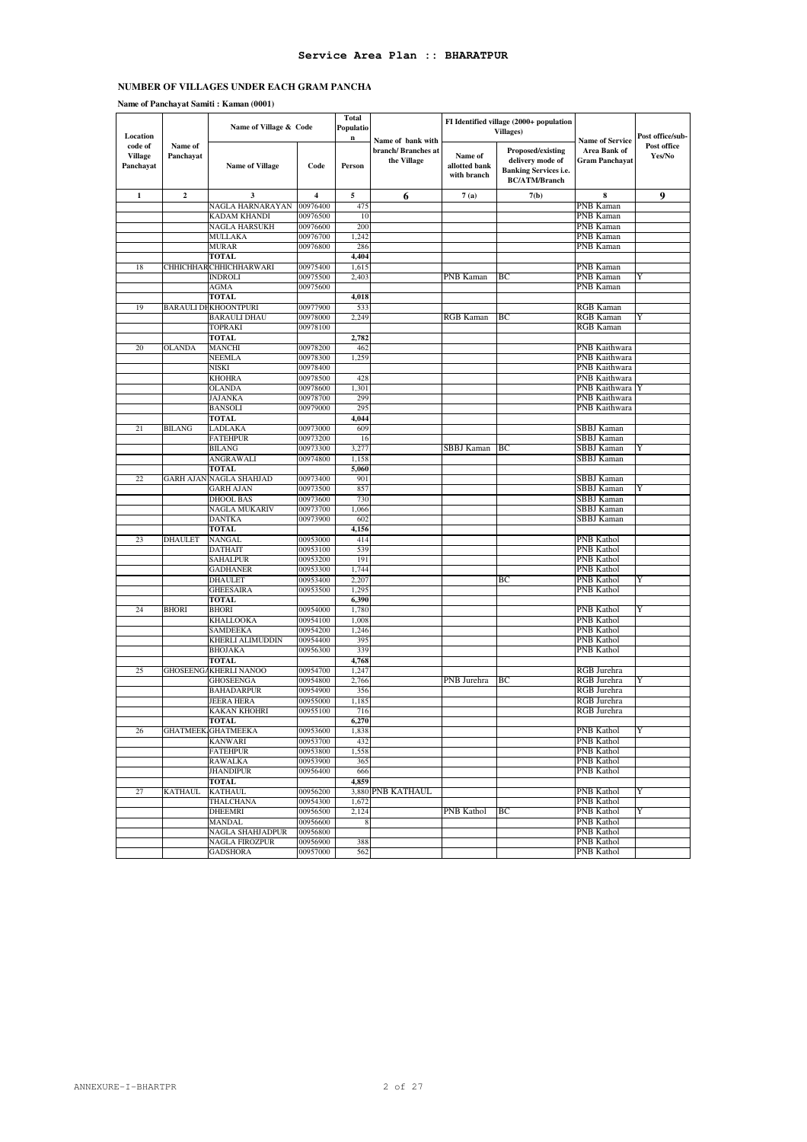#### **Name of Panchayat Samiti : Kaman (0001)**

| Location                               |                      | Name of Village & Code               |                      | <b>Total</b><br>Populatio<br>$\mathbf n$ |                                                        | FI Identified village (2000+ population<br><b>Villages</b> ) |                                                                                               |                                                          | Post office/sub-      |
|----------------------------------------|----------------------|--------------------------------------|----------------------|------------------------------------------|--------------------------------------------------------|--------------------------------------------------------------|-----------------------------------------------------------------------------------------------|----------------------------------------------------------|-----------------------|
| code of<br><b>Village</b><br>Panchayat | Name of<br>Panchayat | <b>Name of Village</b>               | Code                 | Person                                   | Name of bank with<br>branch/Branches at<br>the Village | Name of<br>allotted bank<br>with branch                      | Proposed/existing<br>delivery mode of<br><b>Banking Services i.e.</b><br><b>BC/ATM/Branch</b> | <b>Name of Service</b><br>Area Bank of<br>Gram Panchayat | Post office<br>Yes/No |
| $\mathbf 1$                            | $\boldsymbol{2}$     | 3                                    | 4                    | 5                                        | 6                                                      | 7(a)                                                         | 7(b)                                                                                          | 8                                                        | 9                     |
|                                        |                      | NAGLA HARNARAYAN                     | 00976400             | 475                                      |                                                        |                                                              |                                                                                               | PNB Kaman                                                |                       |
|                                        |                      | <b>KADAM KHANDI</b>                  | 00976500             | 10                                       |                                                        |                                                              |                                                                                               | PNB Kaman                                                |                       |
|                                        |                      | NAGLA HARSUKH                        | 00976600             | 200                                      |                                                        |                                                              |                                                                                               | PNB Kaman                                                |                       |
|                                        |                      | MULLAKA                              | 00976700             | 1,242<br>286                             |                                                        |                                                              |                                                                                               | PNB Kaman<br><b>PNB Kaman</b>                            |                       |
|                                        |                      | <b>MURAR</b><br><b>TOTAL</b>         | 00976800             | 4,404                                    |                                                        |                                                              |                                                                                               |                                                          |                       |
| 18                                     |                      | CHHICHHAR CHHICHHARWARI              | 00975400             | 1,615                                    |                                                        |                                                              |                                                                                               | PNB Kaman                                                |                       |
|                                        |                      | INDROLI                              | 00975500             | 2,403                                    |                                                        | PNB Kaman                                                    | BС                                                                                            | PNB Kaman                                                | Y                     |
|                                        |                      | AGMA                                 | 00975600             |                                          |                                                        |                                                              |                                                                                               | PNB Kaman                                                |                       |
|                                        |                      | <b>TOTAL</b>                         |                      | 4,018                                    |                                                        |                                                              |                                                                                               |                                                          |                       |
| 19                                     |                      | <b>BARAULI DHKHOONTPURI</b>          | 00977900             | 533                                      |                                                        |                                                              |                                                                                               | RGB Kaman                                                |                       |
|                                        |                      | <b>BARAULI DHAU</b>                  | 00978000             | 2,249                                    |                                                        | RGB Kaman                                                    | ВC                                                                                            | <b>RGB</b> Kaman                                         | Y                     |
|                                        |                      | <b>TOPRAKI</b>                       | 00978100             |                                          |                                                        |                                                              |                                                                                               | RGB Kaman                                                |                       |
|                                        |                      | <b>TOTAL</b>                         |                      | 2,782                                    |                                                        |                                                              |                                                                                               |                                                          |                       |
| 20                                     | <b>OLANDA</b>        | <b>MANCHI</b>                        | 00978200             | 462                                      |                                                        |                                                              |                                                                                               | PNB Kaithwara                                            |                       |
|                                        |                      | NEEMLA                               | 00978300<br>00978400 | 1,259                                    |                                                        |                                                              |                                                                                               | PNB Kaithwara                                            |                       |
|                                        |                      | NISKI<br><b>KHOHRA</b>               | 00978500             | 428                                      |                                                        |                                                              |                                                                                               | PNB Kaithwara<br>PNB Kaithwara                           |                       |
|                                        |                      | <b>OLANDA</b>                        | 00978600             | 1,301                                    |                                                        |                                                              |                                                                                               | PNB Kaithwara                                            |                       |
|                                        |                      | JAJANKA                              | 00978700             | 299                                      |                                                        |                                                              |                                                                                               | PNB Kaithwara                                            |                       |
|                                        |                      | <b>BANSOLI</b>                       | 00979000             | 295                                      |                                                        |                                                              |                                                                                               | PNB Kaithwara                                            |                       |
|                                        |                      | <b>TOTAL</b>                         |                      | 4,044                                    |                                                        |                                                              |                                                                                               |                                                          |                       |
| 21                                     | <b>BILANG</b>        | LADLAKA                              | 00973000             | 609                                      |                                                        |                                                              |                                                                                               | SBBJ Kaman                                               |                       |
|                                        |                      | <b>FATEHPUR</b>                      | 00973200             | 16                                       |                                                        |                                                              |                                                                                               | SBBJ Kaman                                               |                       |
|                                        |                      | <b>BILANG</b>                        | 00973300             | 3,277                                    |                                                        | SBBJ Kaman                                                   | BС                                                                                            | SBBJ Kaman                                               | Y                     |
|                                        |                      | ANGRAWALI                            | 00974800             | 1,158                                    |                                                        |                                                              |                                                                                               | SBBJ Kaman                                               |                       |
|                                        |                      | <b>TOTAL</b>                         |                      | 5,060                                    |                                                        |                                                              |                                                                                               |                                                          |                       |
| 22                                     | <b>GARH AJAN</b>     | <b>NAGLA SHAHJAD</b>                 | 00973400             | 901                                      |                                                        |                                                              |                                                                                               | SBBJ Kaman                                               |                       |
|                                        |                      | <b>GARH AJAN</b><br><b>DHOOL BAS</b> | 00973500<br>00973600 | 857<br>730                               |                                                        |                                                              |                                                                                               | SBBJ Kaman<br><b>SBBJ</b> Kaman                          | Y                     |
|                                        |                      | NAGLA MUKARIV                        | 00973700             | 1,066                                    |                                                        |                                                              |                                                                                               | SBBJ Kaman                                               |                       |
|                                        |                      | <b>DANTKA</b>                        | 00973900             | 602                                      |                                                        |                                                              |                                                                                               | SBBJ Kaman                                               |                       |
|                                        |                      | <b>TOTAL</b>                         |                      | 4,156                                    |                                                        |                                                              |                                                                                               |                                                          |                       |
| 23                                     | <b>DHAULET</b>       | NANGAL                               | 00953000             | 414                                      |                                                        |                                                              |                                                                                               | PNB Kathol                                               |                       |
|                                        |                      | <b>DATHAIT</b>                       | 00953100             | 539                                      |                                                        |                                                              |                                                                                               | PNB Kathol                                               |                       |
|                                        |                      | <b>SAHALPUR</b>                      | 00953200             | 191                                      |                                                        |                                                              |                                                                                               | PNB Kathol                                               |                       |
|                                        |                      | <b>GADHANER</b>                      | 00953300             | 1,744                                    |                                                        |                                                              |                                                                                               | PNB Kathol                                               |                       |
|                                        |                      | <b>DHAULET</b>                       | 00953400             | 2,207                                    |                                                        |                                                              | BС                                                                                            | PNB Kathol                                               | Y                     |
|                                        |                      | GHEESAIRA                            | 00953500             | 1,295                                    |                                                        |                                                              |                                                                                               | PNB Kathol                                               |                       |
| 24                                     | <b>BHORI</b>         | TOTAL<br><b>BHORI</b>                | 00954000             | 6,390<br>1,780                           |                                                        |                                                              |                                                                                               | PNB Kathol                                               | Y                     |
|                                        |                      | KHALLOOKA                            | 00954100             | 1,008                                    |                                                        |                                                              |                                                                                               | PNB Kathol                                               |                       |
|                                        |                      | <b>SAMDEEKA</b>                      | 00954200             | 1,246                                    |                                                        |                                                              |                                                                                               | PNB Kathol                                               |                       |
|                                        |                      | KHERLI ALIMUDDIN                     | 00954400             | 395                                      |                                                        |                                                              |                                                                                               | PNB Kathol                                               |                       |
|                                        |                      | <b>BHOJAKA</b>                       | 00956300             | 339                                      |                                                        |                                                              |                                                                                               | PNB Kathol                                               |                       |
|                                        |                      | <b>TOTAL</b>                         |                      | 4,768                                    |                                                        |                                                              |                                                                                               |                                                          |                       |
| 25                                     | <b>GHOSEENGA</b>     | <b>KHERLI NANOO</b>                  | 00954700             | 1,247                                    |                                                        |                                                              |                                                                                               | RGB Jurehra                                              |                       |
|                                        |                      | <b>GHOSEENGA</b>                     | 00954800             | 2,766                                    |                                                        | PNB Jurehra                                                  | ВC                                                                                            | RGB Jurehra                                              | Y                     |
|                                        |                      | <b>BAHADARPUR</b>                    | 00954900             | 356                                      |                                                        |                                                              |                                                                                               | RGB Jurehra                                              |                       |
|                                        |                      | <b>JEERA HERA</b>                    | 00955000             | 1,185                                    |                                                        |                                                              |                                                                                               | RGB Jurehra                                              |                       |
|                                        |                      | <b>KAKAN KHOHRI</b><br>TUTAL         | 00955100             | 716                                      |                                                        |                                                              |                                                                                               | RGB Jurehra                                              |                       |
| 26                                     |                      | <b>GHATMEEK GHATMEEKA</b>            | 00953600             | 6,270<br>1,838                           |                                                        |                                                              |                                                                                               | PNB Kathol                                               |                       |
|                                        |                      | <b>KANWARI</b>                       | 00953700             | 432                                      |                                                        |                                                              |                                                                                               | PNB Kathol                                               |                       |
|                                        |                      | <b>FATEHPUR</b>                      | 00953800             | 1,558                                    |                                                        |                                                              |                                                                                               | PNB Kathol                                               |                       |
|                                        |                      | <b>RAWALKA</b>                       | 00953900             | 365                                      |                                                        |                                                              |                                                                                               | PNB Kathol                                               |                       |
|                                        |                      | JHANDIPUR                            | 00956400             | 666                                      |                                                        |                                                              |                                                                                               | PNB Kathol                                               |                       |
|                                        |                      | <b>TOTAL</b>                         |                      | 4,859                                    |                                                        |                                                              |                                                                                               |                                                          |                       |
| 27                                     | <b>KATHAUL</b>       | <b>KATHAUL</b>                       | 00956200             |                                          | 3,880 PNB KATHAUL                                      |                                                              |                                                                                               | PNB Kathol                                               | Y                     |
|                                        |                      | THALCHANA                            | 00954300             | 1,672                                    |                                                        |                                                              |                                                                                               | PNB Kathol                                               |                       |
|                                        |                      | DHEEMRI                              | 00956500             | 2,124                                    |                                                        | PNB Kathol                                                   | BС                                                                                            | PNB Kathol                                               | Y                     |
|                                        |                      | MANDAL<br>NAGLA SHAHJADPUR           | 00956600             | 8                                        |                                                        |                                                              |                                                                                               | PNB Kathol<br>PNB Kathol                                 |                       |
|                                        |                      | NAGLA FIROZPUR                       | 00956800<br>00956900 | 388                                      |                                                        |                                                              |                                                                                               | <b>PNB</b> Kathol                                        |                       |
|                                        |                      | <b>GADSHORA</b>                      | 00957000             | 562                                      |                                                        |                                                              |                                                                                               | PNB Kathol                                               |                       |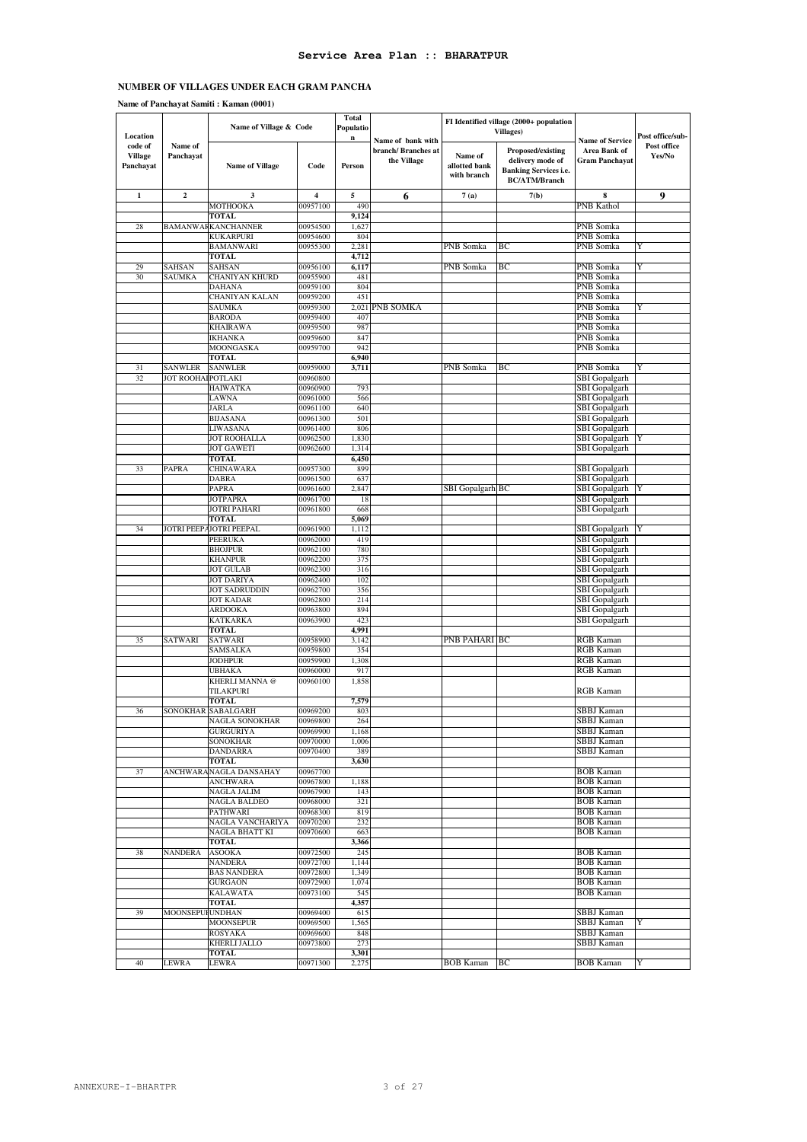**Name of Panchayat Samiti : Kaman (0001)**

| Location                               |                                     | Name of Village & Code                    |                         | Total<br>Populatio<br>n |                                                         |                                         | FI Identified village (2000+ population<br><b>Villages</b> )                                  |                                                                 | Post office/sub-      |
|----------------------------------------|-------------------------------------|-------------------------------------------|-------------------------|-------------------------|---------------------------------------------------------|-----------------------------------------|-----------------------------------------------------------------------------------------------|-----------------------------------------------------------------|-----------------------|
| code of<br><b>Village</b><br>Panchayat | Name of<br>Panchayat                | <b>Name of Village</b>                    | Code                    | Person                  | Name of bank with<br>branch/ Branches at<br>the Village | Name of<br>allotted bank<br>with branch | Proposed/existing<br>delivery mode of<br><b>Banking Services i.e.</b><br><b>BC/ATM/Branch</b> | <b>Name of Service</b><br>Area Bank of<br><b>Gram Panchayat</b> | Post office<br>Yes/No |
| $\mathbf 1$                            | $\boldsymbol{2}$                    | 3                                         | $\overline{\mathbf{4}}$ | 5                       | 6                                                       | 7(a)                                    | 7(b)                                                                                          | 8                                                               | 9                     |
|                                        |                                     | MOTHOOKA                                  | 00957100                | 490                     |                                                         |                                         |                                                                                               | PNB Kathol                                                      |                       |
|                                        |                                     | <b>TOTAL</b>                              | 00954500                | 9,124<br>1,627          |                                                         |                                         |                                                                                               | PNB Somka                                                       |                       |
| 28                                     |                                     | BAMANWAFKANCHANNER<br><b>KUKARPURI</b>    | 00954600                | 804                     |                                                         |                                         |                                                                                               | PNB Somka                                                       |                       |
|                                        |                                     | <b>BAMANWARI</b>                          | 00955300                | 2,281                   |                                                         | PNB Somka                               | BС                                                                                            | PNB Somka                                                       | Y                     |
|                                        |                                     | TOTAL                                     |                         | 4,712                   |                                                         |                                         |                                                                                               |                                                                 |                       |
| 29                                     | SAHSAN                              | SAHSAN                                    | 00956100                | 6,117                   |                                                         | PNB Somka                               | BС                                                                                            | PNB Somka                                                       | Y                     |
| 30                                     | <b>SAUMKA</b>                       | CHANIYAN KHURD                            | 00955900                | 481                     |                                                         |                                         |                                                                                               | PNB Somka                                                       |                       |
|                                        |                                     | <b>DAHANA</b><br><b>CHANIYAN KALAN</b>    | 00959100<br>00959200    | 804<br>451              |                                                         |                                         |                                                                                               | PNB Somka<br>PNB Somka                                          |                       |
|                                        |                                     | <b>SAUMKA</b>                             | 00959300                | 2,021                   | PNB SOMKA                                               |                                         |                                                                                               | PNB Somka                                                       | Y                     |
|                                        |                                     | <b>BARODA</b>                             | 00959400                | 407                     |                                                         |                                         |                                                                                               | PNB Somka                                                       |                       |
|                                        |                                     | <b>KHAIRAWA</b>                           | 00959500                | 987                     |                                                         |                                         |                                                                                               | PNB Somka                                                       |                       |
|                                        |                                     | IKHANKA                                   | 00959600                | 847                     |                                                         |                                         |                                                                                               | PNB Somka                                                       |                       |
|                                        |                                     | MOONGASKA                                 | 00959700                | 942                     |                                                         |                                         |                                                                                               | PNB Somka                                                       |                       |
|                                        |                                     | TOTAL                                     |                         | 6,940                   |                                                         |                                         |                                                                                               |                                                                 |                       |
| 31<br>32                               | <b>SANWLER</b><br>JOT ROOHAIPOTLAKI | SANWLER                                   | 00959000<br>00960800    | 3,711                   |                                                         | PNB Somka                               | BС                                                                                            | PNB Somka<br>SBI Gopalgarh                                      | Y                     |
|                                        |                                     | HAIWATKA                                  | 00960900                | 793                     |                                                         |                                         |                                                                                               | SBI Gopalgarh                                                   |                       |
|                                        |                                     | LAWNA                                     | 00961000                | 566                     |                                                         |                                         |                                                                                               | <b>SBI</b> Gopalgarh                                            |                       |
|                                        |                                     | <b>JARLA</b>                              | 00961100                | 640                     |                                                         |                                         |                                                                                               | SBI Gopalgarh                                                   |                       |
|                                        |                                     | <b>BIJASANA</b>                           | 00961300                | 501                     |                                                         |                                         |                                                                                               | <b>SBI</b> Gopalgarh                                            |                       |
|                                        |                                     | LIWASANA<br><b>JOT ROOHALLA</b>           | 00961400                | 806                     |                                                         |                                         |                                                                                               | SBI Gopalgarh                                                   |                       |
|                                        |                                     | <b>JOT GAWETI</b>                         | 00962500<br>00962600    | 1,830<br>1,314          |                                                         |                                         |                                                                                               | SBI Gopalgarh<br>SBI Gopalgarh                                  |                       |
|                                        |                                     | <b>TOTAL</b>                              |                         | 6,450                   |                                                         |                                         |                                                                                               |                                                                 |                       |
| 33                                     | PAPRA                               | <b>CHINAWARA</b>                          | 00957300                | 899                     |                                                         |                                         |                                                                                               | SBI Gopalgarh                                                   |                       |
|                                        |                                     | <b>DABRA</b>                              | 00961500                | 637                     |                                                         |                                         |                                                                                               | <b>SBI</b> Gopalgarh                                            |                       |
|                                        |                                     | <b>PAPRA</b>                              | 00961600                | 2,847                   |                                                         | SBI Gopalgarh BC                        |                                                                                               | SBI Gopalgarh                                                   |                       |
|                                        |                                     | <b>JOTPAPRA</b>                           | 00961700                | 18                      |                                                         |                                         |                                                                                               | SBI Gopalgarh                                                   |                       |
|                                        |                                     | JOTRI PAHARI<br><b>TOTAL</b>              | 00961800                | 668<br>5,069            |                                                         |                                         |                                                                                               | SBI Gopalgarh                                                   |                       |
| 34                                     | JOTRI PEEP.                         | <b>JOTRI PEEPAL</b>                       | 00961900                | 1,112                   |                                                         |                                         |                                                                                               | <b>SBI</b> Gopalgarh                                            |                       |
|                                        |                                     | PEERUKA                                   | 00962000                | 419                     |                                                         |                                         |                                                                                               | <b>SBI</b> Gopalgarh                                            |                       |
|                                        |                                     | <b>BHOJPUR</b>                            | 00962100                | 780                     |                                                         |                                         |                                                                                               | SBI Gopalgarh                                                   |                       |
|                                        |                                     | <b>KHANPUR</b>                            | 00962200                | 375                     |                                                         |                                         |                                                                                               | SBI Gopalgarh                                                   |                       |
|                                        |                                     | <b>JOT GULAB</b>                          | 00962300                | 316                     |                                                         |                                         |                                                                                               | SBI Gopalgarh                                                   |                       |
|                                        |                                     | <b>JOT DARIYA</b><br><b>JOT SADRUDDIN</b> | 00962400<br>00962700    | 102<br>356              |                                                         |                                         |                                                                                               | SBI Gopalgarh<br>SBI Gopalgarh                                  |                       |
|                                        |                                     | <b>JOT KADAR</b>                          | 00962800                | 214                     |                                                         |                                         |                                                                                               | SBI Gopalgarh                                                   |                       |
|                                        |                                     | ARDOOKA                                   | 00963800                | 894                     |                                                         |                                         |                                                                                               | SBI Gopalgarh                                                   |                       |
|                                        |                                     | <b>KATKARKA</b>                           | 00963900                | 423                     |                                                         |                                         |                                                                                               | SBI Gopalgarh                                                   |                       |
|                                        |                                     | TOTAL                                     |                         | 4,991                   |                                                         |                                         |                                                                                               |                                                                 |                       |
| 35                                     | SATWARI                             | SATWARI                                   | 00958900                | 3,142                   |                                                         | PNB PAHARI BC                           |                                                                                               | RGB Kaman                                                       |                       |
|                                        |                                     | SAMSALKA<br>JODHPUR                       | 00959800<br>00959900    | 354<br>1,308            |                                                         |                                         |                                                                                               | <b>RGB</b> Kaman<br>RGB Kaman                                   |                       |
|                                        |                                     | UBHAKA                                    | 00960000                | 917                     |                                                         |                                         |                                                                                               | RGB Kaman                                                       |                       |
|                                        |                                     | KHERLI MANNA @                            | 00960100                | 1,858                   |                                                         |                                         |                                                                                               |                                                                 |                       |
|                                        |                                     | TILAKPURI                                 |                         |                         |                                                         |                                         |                                                                                               | <b>RGB</b> Kaman                                                |                       |
|                                        |                                     | <b>TOTAL</b>                              |                         | 7,579                   |                                                         |                                         |                                                                                               |                                                                 |                       |
| 36                                     |                                     | SONOKHAR SABALGARH                        | 00969200                | 803                     |                                                         |                                         |                                                                                               | SBBJ Kaman                                                      |                       |
|                                        |                                     | NAGLA SONOKHAR<br><b>GURGURIYA</b>        | 00969800<br>00969900    | 264<br>1,168            |                                                         |                                         |                                                                                               | SBBJ Kaman<br>SBBJ Kaman                                        |                       |
|                                        |                                     | <b>SONOKHAR</b>                           | 00970000                | 1,006                   |                                                         |                                         |                                                                                               | SBBJ Kaman                                                      |                       |
|                                        |                                     | <b>DANDARRA</b>                           | 00970400                | 389                     |                                                         |                                         |                                                                                               | SBBJ Kaman                                                      |                       |
|                                        |                                     | <b>TOTAL</b>                              |                         | 3,630                   |                                                         |                                         |                                                                                               |                                                                 |                       |
| 37                                     |                                     | ANCHWARANAGLA DANSAHAY                    | 00967700                |                         |                                                         |                                         |                                                                                               | <b>BOB</b> Kaman                                                |                       |
|                                        |                                     | <b>ANCHWARA</b>                           | 00967800                | 1,188                   |                                                         |                                         |                                                                                               | <b>BOB</b> Kaman                                                |                       |
|                                        |                                     | NAGLA JALIM<br>NAGLA BALDEO               | 00967900<br>00968000    | 143<br>321              |                                                         |                                         |                                                                                               | <b>BOB</b> Kaman<br><b>BOB</b> Kaman                            |                       |
|                                        |                                     | PATHWARI                                  | 00968300                | 819                     |                                                         |                                         |                                                                                               | <b>BOB Kaman</b>                                                |                       |
|                                        |                                     | NAGLA VANCHARIYA                          | 00970200                | 232                     |                                                         |                                         |                                                                                               | <b>BOB Kaman</b>                                                |                       |
|                                        |                                     | NAGLA BHATT KI                            | 00970600                | 663                     |                                                         |                                         |                                                                                               | <b>BOB</b> Kaman                                                |                       |
|                                        |                                     | <b>TOTAL</b>                              |                         | 3,366                   |                                                         |                                         |                                                                                               |                                                                 |                       |
| 38                                     | NANDERA                             | <b>ASOOKA</b>                             | 00972500                | 245                     |                                                         |                                         |                                                                                               | <b>BOB</b> Kaman                                                |                       |
|                                        |                                     | <b>NANDERA</b><br><b>BAS NANDERA</b>      | 00972700<br>00972800    | 1,144<br>1,349          |                                                         |                                         |                                                                                               | <b>BOB</b> Kaman<br><b>BOB</b> Kaman                            |                       |
|                                        |                                     | <b>GURGAON</b>                            | 00972900                | 1,074                   |                                                         |                                         |                                                                                               | <b>BOB Kaman</b>                                                |                       |
|                                        |                                     | <b>KALAWATA</b>                           | 00973100                | 545                     |                                                         |                                         |                                                                                               | <b>BOB Kaman</b>                                                |                       |
|                                        |                                     | TOTAL                                     |                         | 4,357                   |                                                         |                                         |                                                                                               |                                                                 |                       |
| 39                                     | MOONSEPUI                           | <b>UNDHAN</b>                             | 00969400                | 615                     |                                                         |                                         |                                                                                               | SBBJ Kaman                                                      |                       |
|                                        |                                     | MOONSEPUR                                 | 00969500                | 1,565                   |                                                         |                                         |                                                                                               | SBBJ Kaman                                                      |                       |
|                                        |                                     | <b>ROSYAKA</b><br>KHERLI JALLO            | 00969600<br>00973800    | 848<br>273              |                                                         |                                         |                                                                                               | SBBJ Kaman<br>SBBJ Kaman                                        |                       |
|                                        |                                     | TOTAL                                     |                         | 3,301                   |                                                         |                                         |                                                                                               |                                                                 |                       |
| 40                                     | LEWRA                               | LEWRA                                     | 00971300                | 2,275                   |                                                         | <b>BOB Kaman</b> BC                     |                                                                                               | <b>BOB</b> Kaman                                                |                       |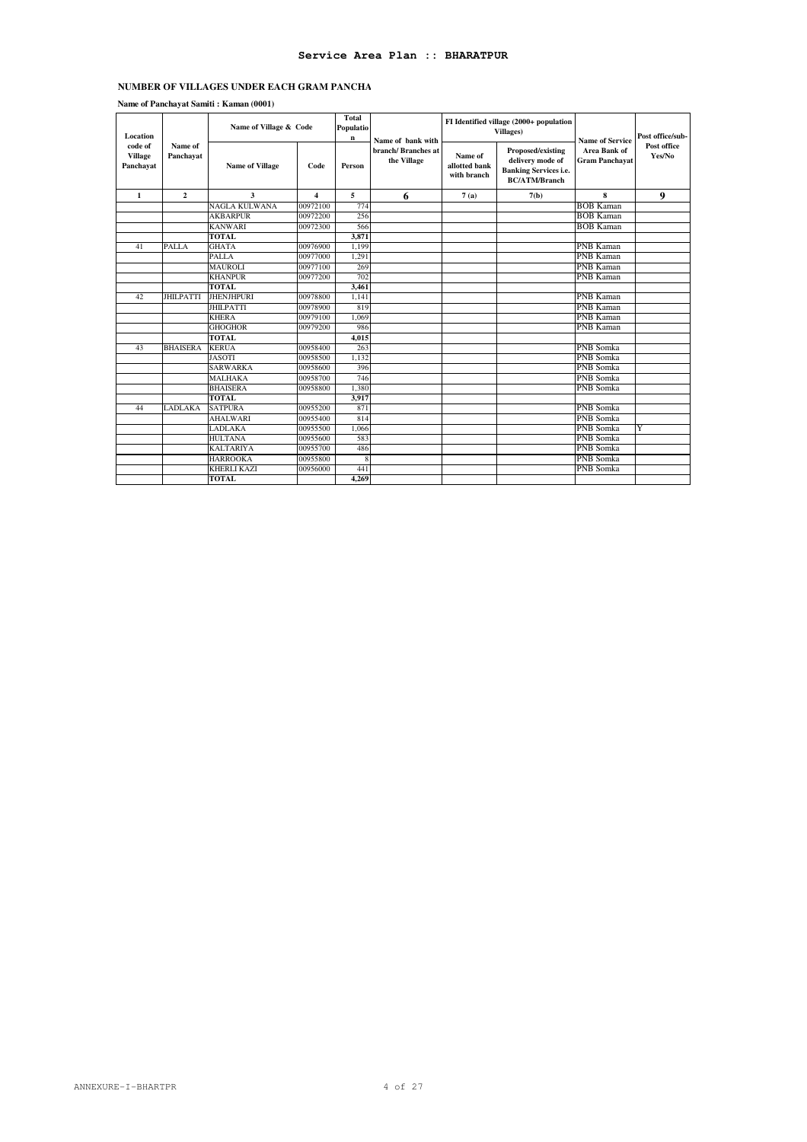# **Service Area Plan :: BHARATPUR**

### **NUMBER OF VILLAGES UNDER EACH GRAM PANCHA**

| Name of Panchayat Samiti: Kaman (0001) |  |  |
|----------------------------------------|--|--|
|                                        |  |  |

| Location                               |                      | Name of Village & Code |                         | Total<br>Populatio<br>n<br>Name of bank with |                                   |                                         | FI Identified village (2000+ population<br><b>Villages</b> )                                  | <b>Name of Service</b>                       | Post office/sub-      |
|----------------------------------------|----------------------|------------------------|-------------------------|----------------------------------------------|-----------------------------------|-----------------------------------------|-----------------------------------------------------------------------------------------------|----------------------------------------------|-----------------------|
| code of<br><b>Village</b><br>Panchayat | Name of<br>Panchavat | <b>Name of Village</b> | Code                    | Person                                       | branch/Branches at<br>the Village | Name of<br>allotted bank<br>with branch | Proposed/existing<br>delivery mode of<br><b>Banking Services i.e.</b><br><b>BC/ATM/Branch</b> | <b>Area Bank of</b><br><b>Gram Panchayat</b> | Post office<br>Yes/No |
| $\mathbf{1}$                           | $\mathbf{2}$         | 3                      | $\overline{\mathbf{4}}$ | 5                                            | 6                                 | 7(a)                                    | 7(b)                                                                                          | 8                                            | 9                     |
|                                        |                      | <b>NAGLA KULWANA</b>   | 00972100                | 774                                          |                                   |                                         |                                                                                               | <b>BOB</b> Kaman                             |                       |
|                                        |                      | <b>AKBARPUR</b>        | 00972200                | 256                                          |                                   |                                         |                                                                                               | <b>BOB Kaman</b>                             |                       |
|                                        |                      | <b>KANWARI</b>         | 00972300                | 566                                          |                                   |                                         |                                                                                               | <b>BOB Kaman</b>                             |                       |
|                                        |                      | <b>TOTAL</b>           |                         | 3.871                                        |                                   |                                         |                                                                                               |                                              |                       |
| 41                                     | <b>PALLA</b>         | <b>GHATA</b>           | 00976900                | 1.199                                        |                                   |                                         |                                                                                               | <b>PNB Kaman</b>                             |                       |
|                                        |                      | <b>PALLA</b>           | 00977000                | 1.291                                        |                                   |                                         |                                                                                               | <b>PNB Kaman</b>                             |                       |
|                                        |                      | MAUROLI                | 00977100                | 269                                          |                                   |                                         |                                                                                               | PNB Kaman                                    |                       |
|                                        |                      | <b>KHANPUR</b>         | 00977200                | 702                                          |                                   |                                         |                                                                                               | PNB Kaman                                    |                       |
|                                        |                      | <b>TOTAL</b>           |                         | 3,461                                        |                                   |                                         |                                                                                               |                                              |                       |
| 42                                     | <b>JHILPATTI</b>     | <b>JHENJHPURI</b>      | 00978800                | 1.141                                        |                                   |                                         |                                                                                               | <b>PNB Kaman</b>                             |                       |
|                                        |                      | <b>JHILPATTI</b>       | 00978900                | 819                                          |                                   |                                         |                                                                                               | <b>PNB Kaman</b>                             |                       |
|                                        |                      | <b>KHERA</b>           | 00979100                | 1.069                                        |                                   |                                         |                                                                                               | <b>PNB Kaman</b>                             |                       |
|                                        |                      | <b>GHOGHOR</b>         | 00979200                | 986                                          |                                   |                                         |                                                                                               | PNB Kaman                                    |                       |
|                                        |                      | <b>TOTAL</b>           |                         | 4,015                                        |                                   |                                         |                                                                                               |                                              |                       |
| 43                                     | <b>BHAISERA</b>      | <b>KERUA</b>           | 00958400                | 263                                          |                                   |                                         |                                                                                               | PNB Somka                                    |                       |
|                                        |                      | <b>JASOTI</b>          | 00958500                | 1.132                                        |                                   |                                         |                                                                                               | PNB Somka                                    |                       |
|                                        |                      | <b>SARWARKA</b>        | 00958600                | 396                                          |                                   |                                         |                                                                                               | PNB Somka                                    |                       |
|                                        |                      | <b>MALHAKA</b>         | 00958700                | 746                                          |                                   |                                         |                                                                                               | <b>PNB</b> Somka                             |                       |
|                                        |                      | <b>BHAISERA</b>        | 00958800                | 1,380                                        |                                   |                                         |                                                                                               | <b>PNB</b> Somka                             |                       |
|                                        |                      | <b>TOTAL</b>           |                         | 3,917                                        |                                   |                                         |                                                                                               |                                              |                       |
| 44                                     | LADLAKA              | <b>SATPURA</b>         | 00955200                | 871                                          |                                   |                                         |                                                                                               | PNB Somka                                    |                       |
|                                        |                      | <b>AHALWARI</b>        | 00955400                | 814                                          |                                   |                                         |                                                                                               | <b>PNB</b> Somka                             |                       |
|                                        |                      | LADLAKA                | 00955500                | 1,066                                        |                                   |                                         |                                                                                               | <b>PNB</b> Somka                             | Y                     |
|                                        |                      | <b>HULTANA</b>         | 00955600                | 583                                          |                                   |                                         |                                                                                               | <b>PNB</b> Somka                             |                       |
|                                        |                      | <b>KALTARIYA</b>       | 00955700                | 486                                          |                                   |                                         |                                                                                               | <b>PNB</b> Somka                             |                       |
|                                        |                      | <b>HARROOKA</b>        | 00955800                | 8                                            |                                   |                                         |                                                                                               | PNB Somka                                    |                       |
|                                        |                      | <b>KHERLI KAZI</b>     | 00956000                | 441                                          |                                   |                                         |                                                                                               | PNB Somka                                    |                       |
|                                        |                      | <b>TOTAL</b>           |                         | 4,269                                        |                                   |                                         |                                                                                               |                                              |                       |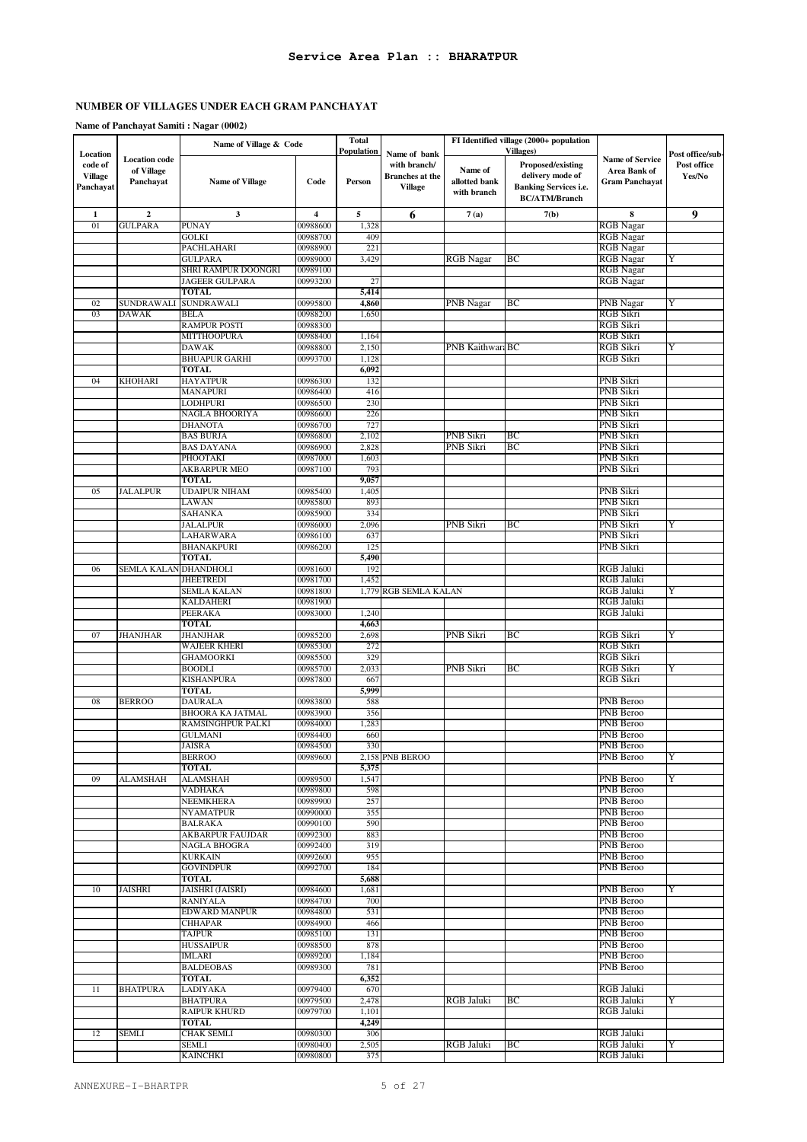|                                                    |                                                 | Name of Village & Code                |                      | <b>Total</b>             |                                                                          |                                         | FI Identified village (2000+ population                                                                                   |                                                                        |                                           |
|----------------------------------------------------|-------------------------------------------------|---------------------------------------|----------------------|--------------------------|--------------------------------------------------------------------------|-----------------------------------------|---------------------------------------------------------------------------------------------------------------------------|------------------------------------------------------------------------|-------------------------------------------|
| Location<br>code of<br><b>Village</b><br>Panchayat | <b>Location</b> code<br>of Village<br>Panchayat | <b>Name of Village</b>                | Code                 | Population<br>Person     | Name of bank<br>with branch/<br><b>Branches</b> at the<br><b>Village</b> | Name of<br>allotted bank<br>with branch | <b>Villages</b> )<br><b>Proposed/existing</b><br>delivery mode of<br><b>Banking Services i.e.</b><br><b>BC/ATM/Branch</b> | <b>Name of Service</b><br><b>Area Bank of</b><br><b>Gram Panchayat</b> | Post office/sub-<br>Post office<br>Yes/No |
| 1                                                  | $\boldsymbol{2}$                                | 3                                     | 4                    | 5                        | 6                                                                        | 7(a)                                    | 7(b)                                                                                                                      | 8                                                                      | 9                                         |
| 01                                                 | <b>GULPARA</b>                                  | <b>PUNAY</b>                          | 00988600             | 1,328                    |                                                                          |                                         |                                                                                                                           | <b>RGB</b> Nagar                                                       |                                           |
|                                                    |                                                 | GOLKI                                 | 00988700             | 409<br>221               |                                                                          |                                         |                                                                                                                           | <b>RGB</b> Nagar                                                       |                                           |
|                                                    |                                                 | PACHLAHARI<br><b>GULPARA</b>          | 00988900<br>00989000 | 3,429                    |                                                                          | <b>RGB</b> Nagar                        | ВC                                                                                                                        | <b>RGB</b> Nagar<br><b>RGB</b> Nagar                                   | Y                                         |
|                                                    |                                                 | SHRI RAMPUR DOONGRI                   | 00989100             |                          |                                                                          |                                         |                                                                                                                           | <b>RGB</b> Nagar                                                       |                                           |
|                                                    |                                                 | JAGEER GULPARA                        | 00993200             | 27                       |                                                                          |                                         |                                                                                                                           | <b>RGB</b> Nagar                                                       |                                           |
|                                                    |                                                 | <b>TOTAL</b>                          |                      | 5,414                    |                                                                          |                                         |                                                                                                                           |                                                                        |                                           |
| 02<br>03                                           | SUNDRAWALI<br><b>DAWAK</b>                      | SUNDRAWALI<br>BELA                    | 00995800<br>00988200 | 4,860<br>1,650           |                                                                          | PNB Nagar                               | BС                                                                                                                        | PNB Nagar<br>RGB Sikri                                                 | Y                                         |
|                                                    |                                                 | <b>RAMPUR POSTI</b>                   | 00988300             |                          |                                                                          |                                         |                                                                                                                           | RGB Sikri                                                              |                                           |
|                                                    |                                                 | MITTHOOPURA                           | 00988400             | 1,164                    |                                                                          |                                         |                                                                                                                           | <b>RGB Sikri</b>                                                       |                                           |
|                                                    |                                                 | DAWAK                                 | 00988800             | 2,150                    |                                                                          | PNB KaithwaraBC                         |                                                                                                                           | RGB Sikri                                                              | Y                                         |
|                                                    |                                                 | <b>BHUAPUR GARHI</b><br><b>TOTAL</b>  | 00993700             | 1,128<br>6,092           |                                                                          |                                         |                                                                                                                           | RGB Sikri                                                              |                                           |
| 04                                                 | <b>KHOHARI</b>                                  | <b>HAYATPUR</b>                       | 00986300             | 132                      |                                                                          |                                         |                                                                                                                           | PNB Sikri                                                              |                                           |
|                                                    |                                                 | MANAPURI                              | 00986400             | 416                      |                                                                          |                                         |                                                                                                                           | <b>PNB</b> Sikri                                                       |                                           |
|                                                    |                                                 | LODHPURI                              | 00986500             | 230                      |                                                                          |                                         |                                                                                                                           | PNB Sikri                                                              |                                           |
|                                                    |                                                 | NAGLA BHOORIYA                        | 00986600             | 226                      |                                                                          |                                         |                                                                                                                           | PNB Sikri                                                              |                                           |
|                                                    |                                                 | <b>DHANOTA</b><br><b>BAS BURJA</b>    | 00986700<br>00986800 | 727<br>2,102             |                                                                          | PNB Sikri                               | BС                                                                                                                        | PNB Sikri<br>PNB Sikri                                                 |                                           |
|                                                    |                                                 | <b>BAS DAYANA</b>                     | 00986900             | 2,828                    |                                                                          | PNB Sikri                               | BС                                                                                                                        | PNB Sikri                                                              |                                           |
|                                                    |                                                 | PHOOTAKI                              | 00987000             | 1,603                    |                                                                          |                                         |                                                                                                                           | PNB Sikri                                                              |                                           |
|                                                    |                                                 | AKBARPUR MEO                          | 00987100             | 793                      |                                                                          |                                         |                                                                                                                           | <b>PNB Sikri</b>                                                       |                                           |
| 05                                                 | JALALPUR                                        | <b>TOTAL</b><br><b>UDAIPUR NIHAM</b>  | 00985400             | 9,057<br>1,405           |                                                                          |                                         |                                                                                                                           | PNB Sikri                                                              |                                           |
|                                                    |                                                 | LAWAN                                 | 00985800             | 893                      |                                                                          |                                         |                                                                                                                           | PNB Sikri                                                              |                                           |
|                                                    |                                                 | <b>SAHANKA</b>                        | 00985900             | 334                      |                                                                          |                                         |                                                                                                                           | PNB Sikri                                                              |                                           |
|                                                    |                                                 | <b>JALALPUR</b>                       | 00986000             | 2,096                    |                                                                          | PNB Sikri                               | BС                                                                                                                        | PNB Sikri                                                              | Y                                         |
|                                                    |                                                 | LAHARWARA                             | 00986100             | 637                      |                                                                          |                                         |                                                                                                                           | PNB Sikri                                                              |                                           |
|                                                    |                                                 | <b>BHANAKPURI</b><br><b>TOTAL</b>     | 00986200             | 12 <sup>5</sup><br>5,490 |                                                                          |                                         |                                                                                                                           | PNB Sikri                                                              |                                           |
| 06                                                 | SEMLA KALAN                                     | DHANDHOLI                             | 00981600             | 192                      |                                                                          |                                         |                                                                                                                           | RGB Jaluki                                                             |                                           |
|                                                    |                                                 | <b>JHEETREDI</b>                      | 00981700             | 1.452                    |                                                                          |                                         |                                                                                                                           | <b>RGB Jaluki</b>                                                      |                                           |
|                                                    |                                                 | SEMLA KALAN                           | 00981800             |                          | 1,779 RGB SEMLA KALAN                                                    |                                         |                                                                                                                           | RGB Jaluki                                                             | Y                                         |
|                                                    |                                                 | <b>KALDAHERI</b><br>PEERAKA           | 00981900<br>00983000 | 1,240                    |                                                                          |                                         |                                                                                                                           | <b>RGB Jaluki</b><br>RGB Jaluki                                        |                                           |
|                                                    |                                                 | <b>TOTAL</b>                          |                      | 4,663                    |                                                                          |                                         |                                                                                                                           |                                                                        |                                           |
| 07                                                 | JHANJHAR                                        | <b>JHANJHAR</b>                       | 00985200             | 2,698                    |                                                                          | PNB Sikri                               | BС                                                                                                                        | RGB Sikri                                                              | Y                                         |
|                                                    |                                                 | WAJEER KHERI                          | 00985300             | 272                      |                                                                          |                                         |                                                                                                                           | RGB Sikri                                                              |                                           |
|                                                    |                                                 | <b>GHAMOORKI</b><br><b>BOODLI</b>     | 00985500<br>00985700 | 329<br>2,033             |                                                                          | PNB Sikri                               | ВC                                                                                                                        | RGB Sikri<br><b>RGB Sikri</b>                                          | Y                                         |
|                                                    |                                                 | KISHANPURA                            | 00987800             | 667                      |                                                                          |                                         |                                                                                                                           | RGB Sikri                                                              |                                           |
|                                                    |                                                 | <b>TOTAL</b>                          |                      | 5,999                    |                                                                          |                                         |                                                                                                                           |                                                                        |                                           |
| 08                                                 | <b>BERROO</b>                                   | <b>DAURALA</b>                        | 00983800             | 588                      |                                                                          |                                         |                                                                                                                           | PNB Beroo                                                              |                                           |
|                                                    |                                                 | BHOORA KA JATMAL<br>RAMSINGHPUR PALKI | 00983900<br>00984000 | 356<br>1,283             |                                                                          |                                         |                                                                                                                           | <b>PNB</b> Beroo<br>PNB Beroo                                          |                                           |
|                                                    |                                                 | <b>GULMANI</b>                        | 00984400             | 660                      |                                                                          |                                         |                                                                                                                           | PNB Beroo                                                              |                                           |
|                                                    |                                                 | JAISRA                                | 00984500             | 330                      |                                                                          |                                         |                                                                                                                           | PNB Beroo                                                              |                                           |
|                                                    |                                                 | <b>BERROO</b>                         | 00989600             |                          | 2,158 PNB BEROO                                                          |                                         |                                                                                                                           | PNB Beroo                                                              | Y                                         |
| 09                                                 |                                                 | <b>TOTAL</b>                          |                      | 5,375<br>1,547           |                                                                          |                                         |                                                                                                                           | PNB Beroo                                                              |                                           |
|                                                    | ALAMSHAH                                        | <b>ALAMSHAH</b><br>VADHAKA            | 00989500<br>00989800 | 598                      |                                                                          |                                         |                                                                                                                           | PNB Beroo                                                              | Y                                         |
|                                                    |                                                 | NEEMKHERA                             | 00989900             | 257                      |                                                                          |                                         |                                                                                                                           | PNB Beroo                                                              |                                           |
|                                                    |                                                 | <b>NYAMATPUR</b>                      | 00990000             | 355                      |                                                                          |                                         |                                                                                                                           | PNB Beroo                                                              |                                           |
|                                                    |                                                 | <b>BALRAKA</b>                        | 00990100             | 590                      |                                                                          |                                         |                                                                                                                           | PNB Beroo                                                              |                                           |
|                                                    |                                                 | AKBARPUR FAUJDAR<br>NAGLA BHOGRA      | 00992300<br>00992400 | 883<br>319               |                                                                          |                                         |                                                                                                                           | PNB Beroo<br>PNB Beroo                                                 |                                           |
|                                                    |                                                 | <b>KURKAIN</b>                        | 00992600             | 955                      |                                                                          |                                         |                                                                                                                           | PNB Beroo                                                              |                                           |
|                                                    |                                                 | <b>GOVINDPUR</b>                      | 00992700             | 184                      |                                                                          |                                         |                                                                                                                           | PNB Beroo                                                              |                                           |
|                                                    |                                                 | <b>TOTAL</b>                          |                      | 5,688                    |                                                                          |                                         |                                                                                                                           |                                                                        |                                           |
| 10                                                 | JAISHRI                                         | JAISHRI (JAISRI)<br>RANIYALA          | 00984600<br>00984700 | 1,681<br>700             |                                                                          |                                         |                                                                                                                           | PNB Beroo<br><b>PNB</b> Beroo                                          | Y                                         |
|                                                    |                                                 | EDWARD MANPUR                         | 00984800             | 531                      |                                                                          |                                         |                                                                                                                           | PNB Beroo                                                              |                                           |
|                                                    |                                                 | <b>CHHAPAR</b>                        | 00984900             | 466                      |                                                                          |                                         |                                                                                                                           | PNB Beroo                                                              |                                           |
|                                                    |                                                 | <b>TAJPUR</b>                         | 00985100             | 131                      |                                                                          |                                         |                                                                                                                           | PNB Beroo                                                              |                                           |
|                                                    |                                                 | <b>HUSSAIPUR</b>                      | 00988500<br>00989200 | 878                      |                                                                          |                                         |                                                                                                                           | PNB Beroo                                                              |                                           |
|                                                    |                                                 | IMLARI<br><b>BALDEOBAS</b>            | 00989300             | 1,184<br>781             |                                                                          |                                         |                                                                                                                           | PNB Beroo<br>PNB Beroo                                                 |                                           |
|                                                    |                                                 | <b>TOTAL</b>                          |                      | 6,352                    |                                                                          |                                         |                                                                                                                           |                                                                        |                                           |
| 11                                                 | <b>BHATPURA</b>                                 | LADIYAKA                              | 00979400             | 670                      |                                                                          |                                         |                                                                                                                           | RGB Jaluki                                                             |                                           |
|                                                    |                                                 | <b>BHATPURA</b>                       | 00979500             | 2,478                    |                                                                          | <b>RGB Jaluki</b>                       | BC                                                                                                                        | RGB Jaluki                                                             | Y                                         |
|                                                    |                                                 | RAIPUR KHURD<br><b>TOTAL</b>          | 00979700             | 1,101<br>4,249           |                                                                          |                                         |                                                                                                                           | RGB Jaluki                                                             |                                           |
| 12                                                 | SEMLI                                           | CHAK SEMLI                            | 00980300             | 306                      |                                                                          |                                         |                                                                                                                           | RGB Jaluki                                                             |                                           |
|                                                    |                                                 | SEMLI                                 | 00980400             | 2,505                    |                                                                          | RGB Jaluki                              | ВC                                                                                                                        | <b>RGB Jaluki</b>                                                      | Y                                         |
|                                                    |                                                 | <b>KAINCHKI</b>                       | 00980800             | 375                      |                                                                          |                                         |                                                                                                                           | <b>RGB Jaluki</b>                                                      |                                           |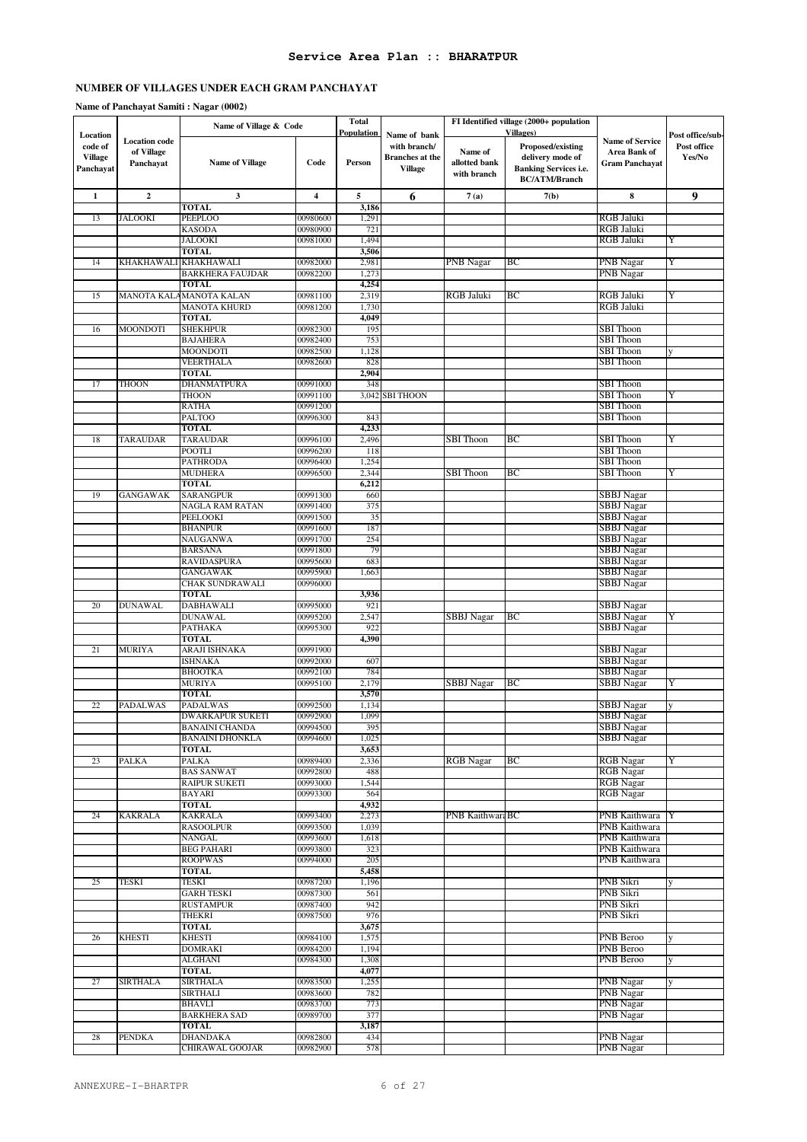|                                                    |                                                 | Name of Village & Code                       |                      | <b>Total</b>         |                                                                   |                                         | FI Identified village (2000+ population<br><b>Villages</b> )                                  |                                                                 |                                           |
|----------------------------------------------------|-------------------------------------------------|----------------------------------------------|----------------------|----------------------|-------------------------------------------------------------------|-----------------------------------------|-----------------------------------------------------------------------------------------------|-----------------------------------------------------------------|-------------------------------------------|
| Location<br>code of<br><b>Village</b><br>Panchayat | <b>Location</b> code<br>of Village<br>Panchayat | <b>Name of Village</b>                       | Code                 | Population<br>Person | Name of bank<br>with branch/<br>Branches at the<br><b>Village</b> | Name of<br>allotted bank<br>with branch | Proposed/existing<br>delivery mode of<br><b>Banking Services i.e.</b><br><b>BC/ATM/Branch</b> | <b>Name of Service</b><br>Area Bank of<br><b>Gram Panchayat</b> | Post office/sub-<br>Post office<br>Yes/No |
| $\mathbf{1}$                                       | $\mathbf{2}$                                    | 3                                            | 4                    | 5                    | 6                                                                 | 7(a)                                    | 7(b)                                                                                          | 8                                                               | 9                                         |
|                                                    |                                                 | <b>TOTAL</b>                                 |                      | 3,186                |                                                                   |                                         |                                                                                               |                                                                 |                                           |
| 13                                                 | JALOOKI                                         | <b>PEEPLOO</b><br><b>KASODA</b>              | 00980600<br>00980900 | 1,291<br>721         |                                                                   |                                         |                                                                                               | RGB Jaluki<br>RGB Jaluki                                        |                                           |
|                                                    |                                                 | <b>JALOOKI</b>                               | 00981000             | 1,494                |                                                                   |                                         |                                                                                               | <b>RGB Jaluki</b>                                               | Y                                         |
|                                                    |                                                 | <b>TOTAL</b>                                 |                      | 3,506                |                                                                   |                                         |                                                                                               |                                                                 |                                           |
| 14                                                 | KHAKHAWALI                                      | <b>KHAKHAWALI</b><br><b>BARKHERA FAUJDAR</b> | 00982000<br>00982200 | 2,981<br>1,273       |                                                                   | PNB Nagar                               | BС                                                                                            | PNB Nagar<br><b>PNB</b> Nagar                                   | Y                                         |
|                                                    |                                                 | <b>TOTAL</b>                                 |                      | 4,254                |                                                                   |                                         |                                                                                               |                                                                 |                                           |
| 15                                                 |                                                 | MANOTA KALAMANOTA KALAN                      | 00981100             | 2,319                |                                                                   | <b>RGB Jaluki</b>                       | ВC                                                                                            | RGB Jaluki                                                      | Y                                         |
|                                                    |                                                 | MANOTA KHURD<br><b>TOTAL</b>                 | 00981200             | 1,730<br>4,049       |                                                                   |                                         |                                                                                               | RGB Jaluki                                                      |                                           |
| 16                                                 | <b>MOONDOTI</b>                                 | <b>SHEKHPUR</b>                              | 00982300             | 195                  |                                                                   |                                         |                                                                                               | <b>SBI</b> Thoon                                                |                                           |
|                                                    |                                                 | <b>BAJAHERA</b>                              | 00982400             | 753                  |                                                                   |                                         |                                                                                               | <b>SBI</b> Thoon                                                |                                           |
|                                                    |                                                 | MOONDOTI                                     | 00982500             | 1,128                |                                                                   |                                         |                                                                                               | SBI Thoon                                                       | y                                         |
|                                                    |                                                 | VEERTHALA<br><b>TOTAL</b>                    | 00982600             | 828<br>2,904         |                                                                   |                                         |                                                                                               | <b>SBI</b> Thoon                                                |                                           |
| 17                                                 | <b>THOON</b>                                    | <b>DHANMATPURA</b>                           | 00991000             | 348                  |                                                                   |                                         |                                                                                               | <b>SBI</b> Thoon                                                |                                           |
|                                                    |                                                 | <b>THOON</b>                                 | 00991100             | 3,042                | <b>SBI THOON</b>                                                  |                                         |                                                                                               | <b>SBI</b> Thoon                                                | Y                                         |
|                                                    |                                                 | RATHA                                        | 00991200             |                      |                                                                   |                                         |                                                                                               | <b>SBI</b> Thoon                                                |                                           |
|                                                    |                                                 | <b>PALTOO</b><br><b>TOTAL</b>                | 00996300             | 843<br>4,233         |                                                                   |                                         |                                                                                               | <b>SBI</b> Thoon                                                |                                           |
| 18                                                 | <b>TARAUDAR</b>                                 | <b>TARAUDAR</b>                              | 00996100             | 2,496                |                                                                   | <b>SBI</b> Thoon                        | BС                                                                                            | <b>SBI</b> Thoon                                                | Y                                         |
|                                                    |                                                 | <b>POOTLI</b>                                | 00996200             | 118                  |                                                                   |                                         |                                                                                               | <b>SBI</b> Thoon                                                |                                           |
|                                                    |                                                 | PATHRODA                                     | 00996400             | 1,254                |                                                                   | <b>SBI</b> Thoon                        | ВC                                                                                            | SBI Thoon<br><b>SBI</b> Thoon                                   | Y                                         |
|                                                    |                                                 | <b>MUDHERA</b><br><b>TOTAL</b>               | 00996500             | 2,344<br>6,212       |                                                                   |                                         |                                                                                               |                                                                 |                                           |
| 19                                                 | <b>GANGAWAK</b>                                 | SARANGPUR                                    | 00991300             | 660                  |                                                                   |                                         |                                                                                               | SBBJ Nagar                                                      |                                           |
|                                                    |                                                 | NAGLA RAM RATAN                              | 00991400             | 375                  |                                                                   |                                         |                                                                                               | SBBJ Nagar                                                      |                                           |
|                                                    |                                                 | PEELOOKI<br><b>BHANPUR</b>                   | 00991500<br>00991600 | 35<br>187            |                                                                   |                                         |                                                                                               | <b>SBBJ</b> Nagar<br><b>SBBJ</b> Nagar                          |                                           |
|                                                    |                                                 | <b>NAUGANWA</b>                              | 00991700             | 254                  |                                                                   |                                         |                                                                                               | <b>SBBJ</b> Nagar                                               |                                           |
|                                                    |                                                 | <b>BARSANA</b>                               | 00991800             | 79                   |                                                                   |                                         |                                                                                               | <b>SBBJ</b> Nagar                                               |                                           |
|                                                    |                                                 | RAVIDASPURA                                  | 00995600             | 683                  |                                                                   |                                         |                                                                                               | SBBJ Nagar                                                      |                                           |
|                                                    |                                                 | <b>GANGAWAK</b><br><b>CHAK SUNDRAWALI</b>    | 00995900<br>00996000 | 1,663                |                                                                   |                                         |                                                                                               | SBBJ Nagar<br><b>SBBJ</b> Nagar                                 |                                           |
|                                                    |                                                 | <b>TOTAL</b>                                 |                      | 3,936                |                                                                   |                                         |                                                                                               |                                                                 |                                           |
| 20                                                 | <b>DUNAWAL</b>                                  | <b>DABHAWALI</b>                             | 00995000             | 921                  |                                                                   |                                         |                                                                                               | <b>SBBJ</b> Nagar                                               |                                           |
|                                                    |                                                 | <b>DUNAWAL</b><br><b>PATHAKA</b>             | 00995200<br>00995300 | 2,547<br>922         |                                                                   | SBBJ Nagar                              | ВC                                                                                            | <b>SBBJ</b> Nagar<br><b>SBBJ</b> Nagar                          | Y                                         |
|                                                    |                                                 | <b>TOTAL</b>                                 |                      | 4,390                |                                                                   |                                         |                                                                                               |                                                                 |                                           |
| 21                                                 | <b>MURIYA</b>                                   | ARAJI ISHNAKA                                | 00991900             |                      |                                                                   |                                         |                                                                                               | <b>SBBJ</b> Nagar                                               |                                           |
|                                                    |                                                 | ISHNAKA<br><b>BHOOTKA</b>                    | 00992000<br>00992100 | 607<br>784           |                                                                   |                                         |                                                                                               | <b>SBBJ</b> Nagar<br><b>SBBJ</b> Nagar                          |                                           |
|                                                    |                                                 | <b>MURIYA</b>                                | 00995100             | 2,179                |                                                                   | SBBJ Nagar                              | BС                                                                                            | <b>SBBJ</b> Nagar                                               | Y                                         |
|                                                    |                                                 | <b>TOTAL</b>                                 |                      | 3,570                |                                                                   |                                         |                                                                                               |                                                                 |                                           |
| 22                                                 | PADALWAS                                        | <b>PADALWAS</b>                              | 00992500             | 1,134                |                                                                   |                                         |                                                                                               | <b>SBBJ</b> Nagar                                               | y                                         |
|                                                    |                                                 | <b>DWARKAPUR SUKETI</b><br>BANAINI CHANDA    | 00992900<br>00994500 | 1,099<br>395         |                                                                   |                                         |                                                                                               | <b>SBBJ</b> Nagar<br>SBBJ Nagar                                 |                                           |
|                                                    |                                                 | <b>BANAINI DHONKLA</b>                       | 00994600             | 1,025                |                                                                   |                                         |                                                                                               | SBBJ Nagar                                                      |                                           |
|                                                    |                                                 | <b>TOTAL</b>                                 |                      | 3,653                |                                                                   |                                         |                                                                                               |                                                                 |                                           |
| 23                                                 | PALKA                                           | <b>PALKA</b><br><b>BAS SANWAT</b>            | 00989400<br>00992800 | 2,336<br>488         |                                                                   | <b>RGB</b> Nagar                        | BС                                                                                            | <b>RGB</b> Nagar<br><b>RGB</b> Nagar                            | Y                                         |
|                                                    |                                                 | RAIPUR SUKETI                                | 00993000             | 1,544                |                                                                   |                                         |                                                                                               | <b>RGB</b> Nagar                                                |                                           |
|                                                    |                                                 | <b>BAYARI</b>                                | 00993300             | 564                  |                                                                   |                                         |                                                                                               | <b>RGB</b> Nagar                                                |                                           |
|                                                    |                                                 | <b>TOTAL</b>                                 |                      | 4,932                |                                                                   |                                         |                                                                                               |                                                                 |                                           |
| 24                                                 | <b>KAKRALA</b>                                  | <b>KAKRALA</b><br><b>RASOOLPUR</b>           | 00993400<br>00993500 | 2,273<br>1,039       |                                                                   | PNB KaithwaraBC                         |                                                                                               | PNB Kaithwara<br>PNB Kaithwara                                  |                                           |
|                                                    |                                                 | NANGAL                                       | 00993600             | 1,618                |                                                                   |                                         |                                                                                               | PNB Kaithwara                                                   |                                           |
|                                                    |                                                 | <b>BEG PAHARI</b>                            | 00993800             | 323                  |                                                                   |                                         |                                                                                               | PNB Kaithwara                                                   |                                           |
|                                                    |                                                 | <b>ROOPWAS</b><br><b>TOTAL</b>               | 00994000             | 205<br>5,458         |                                                                   |                                         |                                                                                               | PNB Kaithwara                                                   |                                           |
| 25                                                 | TESKI                                           | TESKI                                        | 00987200             | 1,196                |                                                                   |                                         |                                                                                               | PNB Sikri                                                       |                                           |
|                                                    |                                                 | <b>GARH TESKI</b>                            | 00987300             | 561                  |                                                                   |                                         |                                                                                               | PNB Sikri                                                       |                                           |
|                                                    |                                                 | <b>RUSTAMPUR</b>                             | 00987400             | 942                  |                                                                   |                                         |                                                                                               | PNB Sikri                                                       |                                           |
|                                                    |                                                 | <b>THEKRI</b><br>TOTAL                       | 00987500             | 976<br>3,675         |                                                                   |                                         |                                                                                               | PNB Sikri                                                       |                                           |
| 26                                                 | <b>KHESTI</b>                                   | <b>KHESTI</b>                                | 00984100             | 1,575                |                                                                   |                                         |                                                                                               | PNB Beroo                                                       |                                           |
|                                                    |                                                 | <b>DOMRAKI</b>                               | 00984200             | 1,194                |                                                                   |                                         |                                                                                               | PNB Beroo                                                       |                                           |
|                                                    |                                                 | <b>ALGHANI</b><br>TOTAL                      | 00984300             | 1,308<br>4,077       |                                                                   |                                         |                                                                                               | PNB Beroo                                                       | V                                         |
| 27                                                 | <b>SIRTHALA</b>                                 | <b>SIRTHALA</b>                              | 00983500             | 1,255                |                                                                   |                                         |                                                                                               | <b>PNB</b> Nagar                                                | y                                         |
|                                                    |                                                 | <b>SIRTHALI</b>                              | 00983600             | 782                  |                                                                   |                                         |                                                                                               | <b>PNB</b> Nagar                                                |                                           |
|                                                    |                                                 | <b>BHAVLI</b>                                | 00983700             | 773                  |                                                                   |                                         |                                                                                               | <b>PNB</b> Nagar                                                |                                           |
|                                                    |                                                 | <b>BARKHERA SAD</b><br><b>TOTAL</b>          | 00989700             | 377<br>3,187         |                                                                   |                                         |                                                                                               | <b>PNB</b> Nagar                                                |                                           |
| 28                                                 | <b>PENDKA</b>                                   | <b>DHANDAKA</b>                              | 00982800             | 434                  |                                                                   |                                         |                                                                                               | PNB Nagar                                                       |                                           |
|                                                    |                                                 | CHIRAWAL GOOJAR                              | 00982900             | 578                  |                                                                   |                                         |                                                                                               | <b>PNB</b> Nagar                                                |                                           |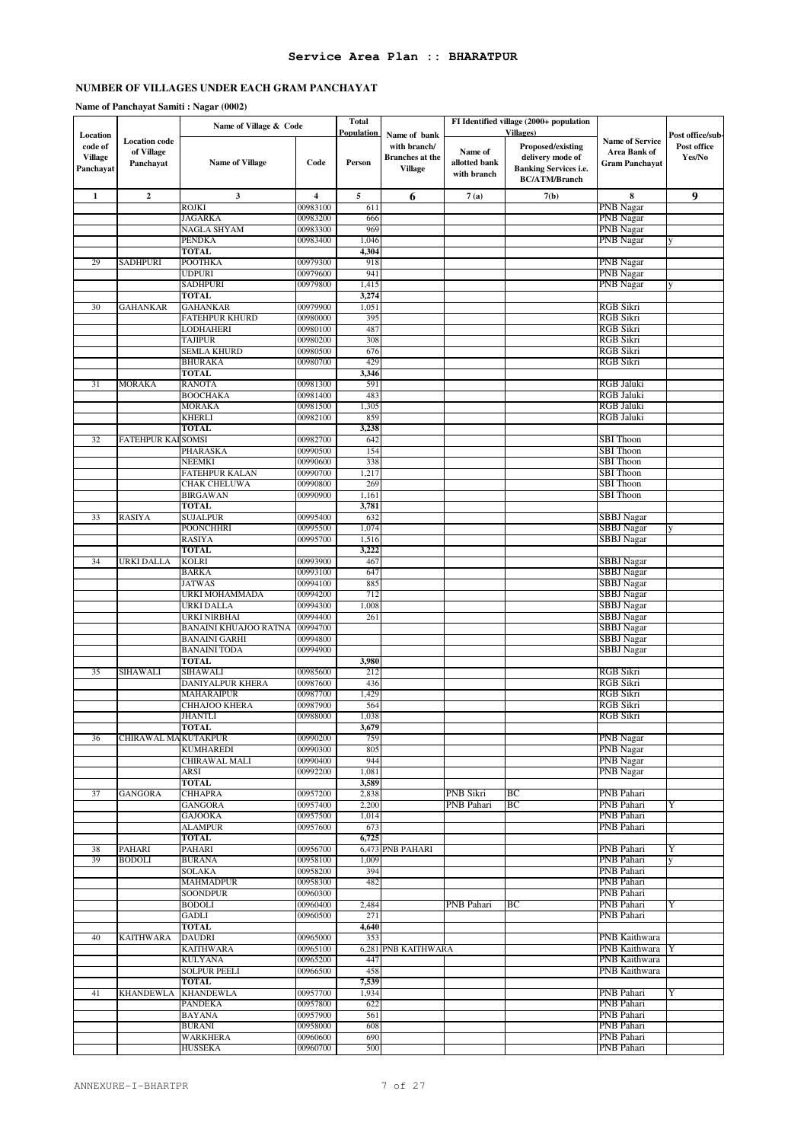|                                                    |                                                 | Name of Village & Code                      |                         | <b>Total</b><br>Population |                                                                          |                                         | FI Identified village (2000+ population<br><b>Villages</b> )                                         |                                                                 |                                           |
|----------------------------------------------------|-------------------------------------------------|---------------------------------------------|-------------------------|----------------------------|--------------------------------------------------------------------------|-----------------------------------------|------------------------------------------------------------------------------------------------------|-----------------------------------------------------------------|-------------------------------------------|
| Location<br>code of<br><b>Village</b><br>Panchayat | <b>Location</b> code<br>of Village<br>Panchayat | <b>Name of Village</b>                      | Code                    | Person                     | Name of bank<br>with branch/<br><b>Branches</b> at the<br><b>Village</b> | Name of<br>allotted bank<br>with branch | <b>Proposed/existing</b><br>delivery mode of<br><b>Banking Services i.e.</b><br><b>BC/ATM/Branch</b> | <b>Name of Service</b><br>Area Bank of<br><b>Gram Panchayat</b> | Post office/sub-<br>Post office<br>Yes/No |
| $\mathbf{1}$                                       | $\overline{2}$                                  | $\mathbf{3}$                                | $\overline{\mathbf{4}}$ | 5                          | 6                                                                        | 7(a)                                    | 7(b)                                                                                                 | 8                                                               | 9                                         |
|                                                    |                                                 | <b>ROJKI</b>                                | 00983100                | 611                        |                                                                          |                                         |                                                                                                      | <b>PNB</b> Nagar                                                |                                           |
|                                                    |                                                 | <b>JAGARKA</b><br><b>NAGLA SHYAM</b>        | 00983200<br>00983300    | 666<br>969                 |                                                                          |                                         |                                                                                                      | PNB Nagar<br>PNB Nagar                                          |                                           |
|                                                    |                                                 | <b>PENDKA</b>                               | 00983400                | 1,046                      |                                                                          |                                         |                                                                                                      | PNB Nagar                                                       |                                           |
|                                                    |                                                 | <b>TOTAL</b>                                |                         | 4,304                      |                                                                          |                                         |                                                                                                      |                                                                 |                                           |
| 29                                                 | SADHPURI                                        | <b>POOTHKA</b><br><b>UDPURI</b>             | 00979300<br>00979600    | 918<br>941                 |                                                                          |                                         |                                                                                                      | PNB Nagar<br>PNB Nagar                                          |                                           |
|                                                    |                                                 | <b>SADHPURI</b>                             | 00979800                | 1,415                      |                                                                          |                                         |                                                                                                      | PNB Nagar                                                       | y                                         |
|                                                    |                                                 | <b>TOTAL</b>                                |                         | 3,274                      |                                                                          |                                         |                                                                                                      |                                                                 |                                           |
| 30                                                 | <b>GAHANKAR</b>                                 | <b>GAHANKAR</b>                             | 00979900                | 1,051                      |                                                                          |                                         |                                                                                                      | RGB Sikri                                                       |                                           |
|                                                    |                                                 | FATEHPUR KHURD<br>LODHAHERI                 | 00980000<br>00980100    | 395<br>487                 |                                                                          |                                         |                                                                                                      | <b>RGB Sikri</b><br><b>RGB Sikri</b>                            |                                           |
|                                                    |                                                 | <b>TAJIPUR</b>                              | 00980200                | 308                        |                                                                          |                                         |                                                                                                      | <b>RGB</b> Sikri                                                |                                           |
|                                                    |                                                 | <b>SEMLA KHURD</b>                          | 00980500                | 676                        |                                                                          |                                         |                                                                                                      | <b>RGB Sikri</b>                                                |                                           |
|                                                    |                                                 | <b>BHURAKA</b>                              | 00980700                | 429                        |                                                                          |                                         |                                                                                                      | RGB Sikri                                                       |                                           |
| 31                                                 | <b>MORAKA</b>                                   | <b>TOTAL</b><br><b>RANOTA</b>               | 00981300                | 3,346<br>591               |                                                                          |                                         |                                                                                                      | <b>RGB Jaluki</b>                                               |                                           |
|                                                    |                                                 | <b>BOOCHAKA</b>                             | 00981400                | 483                        |                                                                          |                                         |                                                                                                      | <b>RGB Jaluki</b>                                               |                                           |
|                                                    |                                                 | MORAKA                                      | 00981500                | 1,305                      |                                                                          |                                         |                                                                                                      | RGB Jaluki                                                      |                                           |
|                                                    |                                                 | <b>KHERLI</b>                               | 00982100                | 859                        |                                                                          |                                         |                                                                                                      | <b>RGB Jaluki</b>                                               |                                           |
| 32                                                 | <b>FATEHPUR KAI</b>                             | <b>TOTAL</b><br>SOMSI                       | 00982700                | 3,238<br>642               |                                                                          |                                         |                                                                                                      | <b>SBI</b> Thoon                                                |                                           |
|                                                    |                                                 | PHARASKA                                    | 00990500                | 154                        |                                                                          |                                         |                                                                                                      | <b>SBI</b> Thoon                                                |                                           |
|                                                    |                                                 | <b>NEEMKI</b>                               | 00990600                | 338                        |                                                                          |                                         |                                                                                                      | <b>SBI</b> Thoon                                                |                                           |
|                                                    |                                                 | FATEHPUR KALAN                              | 00990700                | 1,217                      |                                                                          |                                         |                                                                                                      | <b>SBI</b> Thoon                                                |                                           |
|                                                    |                                                 | CHAK CHELUWA<br><b>BIRGAWAN</b>             | 00990800<br>00990900    | 269<br>1,161               |                                                                          |                                         |                                                                                                      | <b>SBI</b> Thoon<br><b>SBI</b> Thoon                            |                                           |
|                                                    |                                                 | <b>TOTAL</b>                                |                         | 3,781                      |                                                                          |                                         |                                                                                                      |                                                                 |                                           |
| 33                                                 | <b>RASIYA</b>                                   | <b>SUJALPUR</b>                             | 00995400                | 632                        |                                                                          |                                         |                                                                                                      | SBBJ Nagar                                                      |                                           |
|                                                    |                                                 | <b>POONCHHRI</b>                            | 00995500                | 1,074                      |                                                                          |                                         |                                                                                                      | <b>SBBJ</b> Nagar                                               |                                           |
|                                                    |                                                 | <b>RASIYA</b><br><b>TOTAL</b>               | 00995700                | 1,516<br>3,222             |                                                                          |                                         |                                                                                                      | <b>SBBJ</b> Nagar                                               |                                           |
| 34                                                 | URKI DALLA                                      | <b>KOLRI</b>                                | 00993900                | 467                        |                                                                          |                                         |                                                                                                      | SBBJ Nagar                                                      |                                           |
|                                                    |                                                 | <b>BARKA</b>                                | 00993100                | 647                        |                                                                          |                                         |                                                                                                      | <b>SBBJ</b> Nagar                                               |                                           |
|                                                    |                                                 | <b>JATWAS</b>                               | 00994100                | 885                        |                                                                          |                                         |                                                                                                      | <b>SBBJ</b> Nagar                                               |                                           |
|                                                    |                                                 | URKI MOHAMMADA<br>URKI DALLA                | 00994200<br>00994300    | 712<br>1,008               |                                                                          |                                         |                                                                                                      | SBBJ Nagar<br>SBBJ Nagar                                        |                                           |
|                                                    |                                                 | URKI NIRBHAI                                | 00994400                | 261                        |                                                                          |                                         |                                                                                                      | <b>SBBJ</b> Nagar                                               |                                           |
|                                                    |                                                 | BANAINI KHUAJOO RATNA                       | 00994700                |                            |                                                                          |                                         |                                                                                                      | <b>SBBJ</b> Nagar                                               |                                           |
|                                                    |                                                 | <b>BANAINI GARHI</b><br><b>BANAINI TODA</b> | 00994800<br>00994900    |                            |                                                                          |                                         |                                                                                                      | SBBJ Nagar<br><b>SBBJ</b> Nagar                                 |                                           |
|                                                    |                                                 | <b>TOTAL</b>                                |                         | 3,980                      |                                                                          |                                         |                                                                                                      |                                                                 |                                           |
| 35                                                 | SIHAWALI                                        | SIHAWALI                                    | 00985600                | 212                        |                                                                          |                                         |                                                                                                      | <b>RGB Sikri</b>                                                |                                           |
|                                                    |                                                 | DANIYALPUR KHERA                            | 00987600                | 436                        |                                                                          |                                         |                                                                                                      | <b>RGB Sikri</b>                                                |                                           |
|                                                    |                                                 | MAHARAIPUR<br>CHHAJOO KHERA                 | 00987700<br>00987900    | 1,429<br>564               |                                                                          |                                         |                                                                                                      | RGB Sikri<br><b>RGB Sikri</b>                                   |                                           |
|                                                    |                                                 | <b>JHANTLI</b>                              | 00988000                | 1,038                      |                                                                          |                                         |                                                                                                      | RGB Sikri                                                       |                                           |
|                                                    |                                                 | TOTAL                                       |                         | 3,679                      |                                                                          |                                         |                                                                                                      |                                                                 |                                           |
| 36                                                 | CHIRAWAL MA KUTAKPUR                            |                                             | 00990200                | 759                        |                                                                          |                                         |                                                                                                      | PNB Nagar                                                       |                                           |
|                                                    |                                                 | <b>KUMHAREDI</b><br>CHIRAWAL MALI           | 00990300<br>00990400    | 805<br>944                 |                                                                          |                                         |                                                                                                      | PNB Nagar<br><b>PNB</b> Nagar                                   |                                           |
|                                                    |                                                 | ARSI                                        | 00992200                | 1,081                      |                                                                          |                                         |                                                                                                      | <b>PNB</b> Nagar                                                |                                           |
|                                                    |                                                 | <b>TOTAL</b>                                |                         | 3,589                      |                                                                          |                                         |                                                                                                      |                                                                 |                                           |
| 37                                                 | <b>GANGORA</b>                                  | <b>CHHAPRA</b>                              | 00957200                | 2,838                      |                                                                          | PNB Sikri                               | BС                                                                                                   | PNB Pahari                                                      |                                           |
|                                                    |                                                 | <b>GANGORA</b><br><b>GAJOOKA</b>            | 00957400<br>00957500    | 2,200<br>1,014             |                                                                          | PNB Pahari                              | BС                                                                                                   | PNB Pahari<br>PNB Pahari                                        | Y                                         |
|                                                    |                                                 | <b>ALAMPUR</b>                              | 00957600                | 673                        |                                                                          |                                         |                                                                                                      | PNB Pahari                                                      |                                           |
|                                                    |                                                 | <b>TOTAL</b>                                |                         | 6,725                      |                                                                          |                                         |                                                                                                      |                                                                 |                                           |
| 38                                                 | PAHARI<br><b>BODOLI</b>                         | PAHARI<br><b>BURANA</b>                     | 00956700<br>00958100    |                            | 6,473 PNB PAHARI                                                         |                                         |                                                                                                      | PNB Pahari<br>PNB Pahari                                        | Y                                         |
| 39                                                 |                                                 | <b>SOLAKA</b>                               | 00958200                | 1,009<br>394               |                                                                          |                                         |                                                                                                      | PNB Pahari                                                      | y                                         |
|                                                    |                                                 | <b>MAHMADPUR</b>                            | 00958300                | 482                        |                                                                          |                                         |                                                                                                      | PNB Pahari                                                      |                                           |
|                                                    |                                                 | SOONDPUR                                    | 00960300                |                            |                                                                          |                                         |                                                                                                      | PNB Pahari                                                      |                                           |
|                                                    |                                                 | <b>BODOLI</b>                               | 00960400<br>00960500    | 2,484<br>271               |                                                                          | PNB Pahari                              | BС                                                                                                   | PNB Pahari<br>PNB Pahari                                        | Y                                         |
|                                                    |                                                 | GADLI<br>TOTAL                              |                         | 4,640                      |                                                                          |                                         |                                                                                                      |                                                                 |                                           |
| 40                                                 | <b>KAITHWARA</b>                                | <b>DAUDRI</b>                               | 00965000                | 353                        |                                                                          |                                         |                                                                                                      | PNB Kaithwara                                                   |                                           |
|                                                    |                                                 | <b>KAITHWARA</b>                            | 00965100                |                            | 6,281 PNB KAITHWARA                                                      |                                         |                                                                                                      | PNB Kaithwara                                                   |                                           |
|                                                    |                                                 | <b>KULYANA</b><br><b>SOLPUR PEELI</b>       | 00965200<br>00966500    | 447<br>458                 |                                                                          |                                         |                                                                                                      | PNB Kaithwara<br>PNB Kaithwara                                  |                                           |
|                                                    |                                                 | <b>TOTAL</b>                                |                         | 7,539                      |                                                                          |                                         |                                                                                                      |                                                                 |                                           |
| 41                                                 | KHANDEWLA                                       | <b>KHANDEWLA</b>                            | 00957700                | 1,934                      |                                                                          |                                         |                                                                                                      | PNB Pahari                                                      | Y                                         |
|                                                    |                                                 | PANDEKA                                     | 00957800                | 622                        |                                                                          |                                         |                                                                                                      | PNB Pahari                                                      |                                           |
|                                                    |                                                 | <b>BAYANA</b><br><b>BURANI</b>              | 00957900<br>00958000    | 561<br>608                 |                                                                          |                                         |                                                                                                      | PNB Pahari<br>PNB Pahari                                        |                                           |
|                                                    |                                                 | WARKHERA                                    | 00960600                | 690                        |                                                                          |                                         |                                                                                                      | PNB Pahari                                                      |                                           |
|                                                    |                                                 | <b>HUSSEKA</b>                              | 00960700                | 500                        |                                                                          |                                         |                                                                                                      | PNB Pahari                                                      |                                           |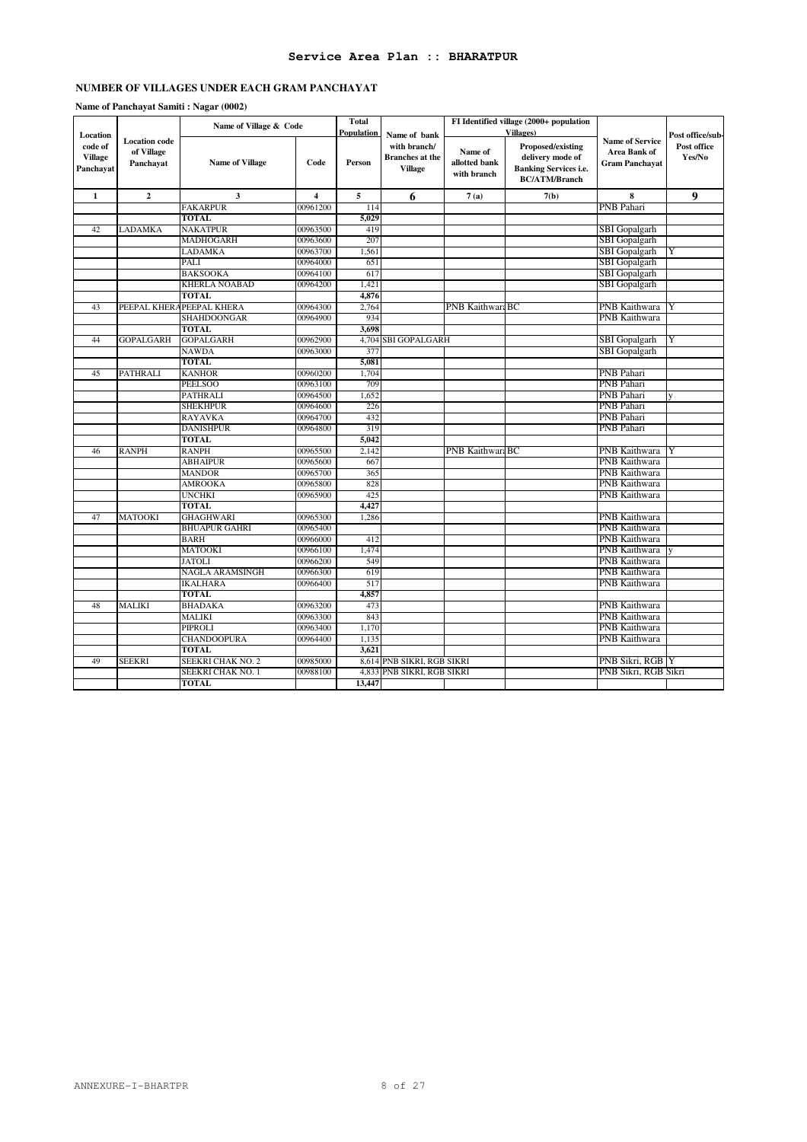|                                                    |                                                 | Name of Village & Code   |                         | <b>Total</b><br>Population | Name of bank                                             |                                         | FI Identified village (2000+ population<br><b>Villages</b> )                                  |                                                                        |                                           |
|----------------------------------------------------|-------------------------------------------------|--------------------------|-------------------------|----------------------------|----------------------------------------------------------|-----------------------------------------|-----------------------------------------------------------------------------------------------|------------------------------------------------------------------------|-------------------------------------------|
| Location<br>code of<br><b>Village</b><br>Panchayat | <b>Location</b> code<br>of Village<br>Panchayat | Name of Village          | Code                    | Person                     | with branch/<br><b>Branches</b> at the<br><b>Village</b> | Name of<br>allotted bank<br>with branch | Proposed/existing<br>delivery mode of<br><b>Banking Services i.e.</b><br><b>BC/ATM/Branch</b> | <b>Name of Service</b><br><b>Area Bank of</b><br><b>Gram Panchayat</b> | Post office/sub-<br>Post office<br>Yes/No |
| $\mathbf{1}$                                       | $\overline{2}$                                  | 3                        | $\overline{\mathbf{4}}$ | $\sqrt{5}$                 | 6                                                        | 7(a)                                    | 7(b)                                                                                          | 8                                                                      | $\boldsymbol{9}$                          |
|                                                    |                                                 | <b>FAKARPUR</b>          | 00961200                | 114                        |                                                          |                                         |                                                                                               | PNB Pahari                                                             |                                           |
|                                                    |                                                 | TOTAL                    |                         | 5,029                      |                                                          |                                         |                                                                                               |                                                                        |                                           |
| 42                                                 | LADAMKA                                         | <b>NAKATPUR</b>          | 00963500                | 419                        |                                                          |                                         |                                                                                               | <b>SBI</b> Gopalgarh                                                   |                                           |
|                                                    |                                                 | MADHOGARH                | 00963600                | 207                        |                                                          |                                         |                                                                                               | SBI Gopalgarh                                                          |                                           |
|                                                    |                                                 | LADAMKA                  | 00963700                | 1,561                      |                                                          |                                         |                                                                                               | SBI Gopalgarh                                                          | Y                                         |
|                                                    |                                                 | PALI                     | 00964000                | 651                        |                                                          |                                         |                                                                                               | <b>SBI</b> Gopalgarh                                                   |                                           |
|                                                    |                                                 | <b>BAKSOOKA</b>          | 00964100                | 617                        |                                                          |                                         |                                                                                               | <b>SBI</b> Gopalgarh                                                   |                                           |
|                                                    |                                                 | KHERLA NOABAD            | 00964200                | 1,421                      |                                                          |                                         |                                                                                               | <b>SBI</b> Gopalgarh                                                   |                                           |
|                                                    |                                                 | <b>TOTAL</b>             |                         | 4,876                      |                                                          |                                         |                                                                                               |                                                                        |                                           |
| 43                                                 |                                                 | PEEPAL KHERAPEEPAL KHERA | 00964300                | 2,764                      |                                                          | PNB KaithwaraBC                         |                                                                                               | PNB Kaithwara                                                          |                                           |
|                                                    |                                                 | SHAHDOONGAR              | 00964900                | 934                        |                                                          |                                         |                                                                                               | PNB Kaithwara                                                          |                                           |
|                                                    |                                                 | <b>TOTAL</b>             |                         | 3.698                      |                                                          |                                         |                                                                                               |                                                                        |                                           |
| 44                                                 | <b>GOPALGARH</b>                                | <b>GOPALGARH</b>         | 00962900                | 4,704                      | <b>SBI GOPALGARH</b>                                     |                                         |                                                                                               | <b>SBI</b> Gopalgarh                                                   |                                           |
|                                                    |                                                 | NAWDA                    | 00963000                | 377                        |                                                          |                                         |                                                                                               | <b>SBI</b> Gopalgarh                                                   |                                           |
|                                                    |                                                 | TOTAL                    |                         | 5,081                      |                                                          |                                         |                                                                                               |                                                                        |                                           |
| 45                                                 | PATHRALI                                        | <b>KANHOR</b>            | 00960200                | 1,704                      |                                                          |                                         |                                                                                               | PNB Pahari                                                             |                                           |
|                                                    |                                                 | <b>PEELSOO</b>           | 00963100                | 709                        |                                                          |                                         |                                                                                               | PNB Pahari                                                             |                                           |
|                                                    |                                                 | <b>PATHRALI</b>          | 00964500                | 1,652                      |                                                          |                                         |                                                                                               | PNB Pahari                                                             |                                           |
|                                                    |                                                 | <b>SHEKHPUR</b>          | 00964600                | 226                        |                                                          |                                         |                                                                                               | PNB Pahari<br><b>PNB</b> Pahari                                        |                                           |
|                                                    |                                                 | <b>RAYAVKA</b>           | 00964700                | 432<br>319                 |                                                          |                                         |                                                                                               |                                                                        |                                           |
|                                                    |                                                 | <b>DANISHPUR</b>         | 00964800                |                            |                                                          |                                         |                                                                                               | PNB Pahari                                                             |                                           |
| 46                                                 | <b>RANPH</b>                                    | <b>TOTAL</b><br>RANPH    | 00965500                | 5,042<br>2,142             |                                                          | PNB KaithwaraBC                         |                                                                                               | PNB Kaithwara                                                          | Y                                         |
|                                                    |                                                 | <b>ABHAIPUR</b>          | 00965600                | 667                        |                                                          |                                         |                                                                                               | PNB Kaithwara                                                          |                                           |
|                                                    |                                                 | <b>MANDOR</b>            | 00965700                | 365                        |                                                          |                                         |                                                                                               | PNB Kaithwara                                                          |                                           |
|                                                    |                                                 | <b>AMROOKA</b>           | 00965800                | 828                        |                                                          |                                         |                                                                                               | PNB Kaithwara                                                          |                                           |
|                                                    |                                                 | UNCHKI                   | 00965900                | 425                        |                                                          |                                         |                                                                                               | PNB Kaithwara                                                          |                                           |
|                                                    |                                                 | TOTAL                    |                         | 4,427                      |                                                          |                                         |                                                                                               |                                                                        |                                           |
| 47                                                 | <b>MATOOKI</b>                                  | <b>GHAGHWARI</b>         | 00965300                | 1,286                      |                                                          |                                         |                                                                                               | PNB Kaithwara                                                          |                                           |
|                                                    |                                                 | <b>BHUAPUR GAHRI</b>     | 00965400                |                            |                                                          |                                         |                                                                                               | PNB Kaithwara                                                          |                                           |
|                                                    |                                                 | <b>BARH</b>              | 00966000                | 412                        |                                                          |                                         |                                                                                               | PNB Kaithwara                                                          |                                           |
|                                                    |                                                 | MATOOKI                  | 00966100                | 1,474                      |                                                          |                                         |                                                                                               | PNB Kaithwara                                                          |                                           |
|                                                    |                                                 | JATOLI                   | 00966200                | 549                        |                                                          |                                         |                                                                                               | PNB Kaithwara                                                          |                                           |
|                                                    |                                                 | <b>NAGLA ARAMSINGH</b>   | 00966300                | 619                        |                                                          |                                         |                                                                                               | PNB Kaithwara                                                          |                                           |
|                                                    |                                                 | <b>IKALHARA</b>          | 00966400                | 517                        |                                                          |                                         |                                                                                               | PNB Kaithwara                                                          |                                           |
|                                                    |                                                 | <b>TOTAL</b>             |                         | 4,857                      |                                                          |                                         |                                                                                               |                                                                        |                                           |
| 48                                                 | MALIKI                                          | <b>BHADAKA</b>           | 00963200                | 473                        |                                                          |                                         |                                                                                               | PNB Kaithwara                                                          |                                           |
|                                                    |                                                 | <b>MALIKI</b>            | 00963300                | 843                        |                                                          |                                         |                                                                                               | PNB Kaithwara                                                          |                                           |
|                                                    |                                                 | PIPROLI                  | 00963400                | 1.170                      |                                                          |                                         |                                                                                               | PNB Kaithwara                                                          |                                           |
|                                                    |                                                 | CHANDOOPURA              | 00964400                | 1,135                      |                                                          |                                         |                                                                                               | PNB Kaithwara                                                          |                                           |
|                                                    |                                                 | <b>TOTAL</b>             |                         | 3,621                      |                                                          |                                         |                                                                                               |                                                                        |                                           |
| 49                                                 | <b>SEEKRI</b>                                   | SEEKRI CHAK NO. 2        | 00985000                |                            | 8,614 PNB SIKRI, RGB SIKRI                               |                                         |                                                                                               | PNB Sikri, RGB  Y                                                      |                                           |
|                                                    |                                                 | SEEKRI CHAK NO. 1        | 00988100                |                            | 4,833 PNB SIKRI, RGB SIKRI                               |                                         |                                                                                               | PNB Sikri, RGB Sikri                                                   |                                           |
|                                                    |                                                 | <b>TOTAL</b>             |                         | 13,447                     |                                                          |                                         |                                                                                               |                                                                        |                                           |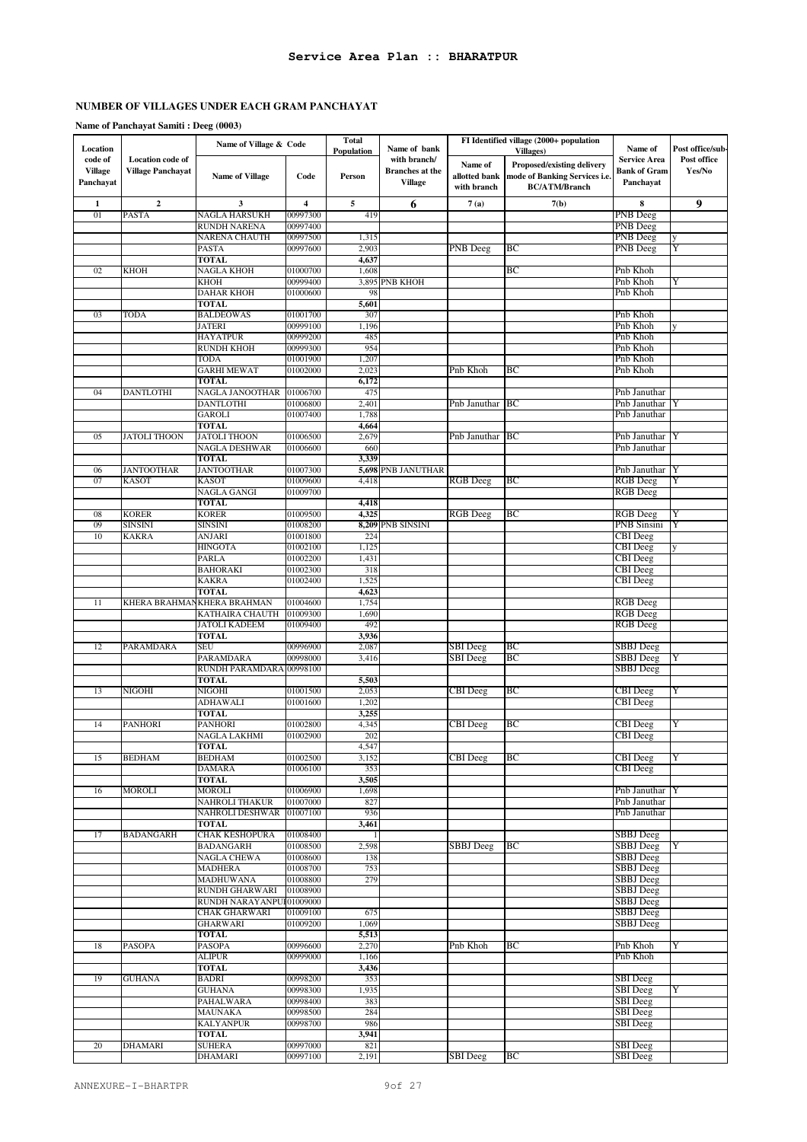### **Name of Panchayat Samiti : Deeg (0003)**

| Location                               |                                                     | Name of Village & Code             |                      | <b>Total</b><br>Population | Name of bank                                             |                                         | FI Identified village (2000+ population<br>Villages)                                | Name of                                                 | Post office/sub-      |
|----------------------------------------|-----------------------------------------------------|------------------------------------|----------------------|----------------------------|----------------------------------------------------------|-----------------------------------------|-------------------------------------------------------------------------------------|---------------------------------------------------------|-----------------------|
| code of<br><b>Village</b><br>Panchayat | <b>Location</b> code of<br><b>Village Panchayat</b> | <b>Name of Village</b>             | Code                 | Person                     | with branch/<br><b>Branches</b> at the<br><b>Village</b> | Name of<br>allotted bank<br>with branch | Proposed/existing delivery<br>mode of Banking Services i.e.<br><b>BC/ATM/Branch</b> | <b>Service Area</b><br><b>Bank of Gram</b><br>Panchayat | Post office<br>Yes/No |
| 1                                      | $\mathbf{2}$                                        | 3                                  | 4                    | 5                          | 6                                                        | 7(a)                                    | 7(b)                                                                                | 8                                                       | 9                     |
| 01                                     | <b>PASTA</b>                                        | NAGLA HARSUKH                      | 00997300             | 419                        |                                                          |                                         |                                                                                     | PNB Deeg                                                |                       |
|                                        |                                                     | RUNDH NARENA                       | 00997400             |                            |                                                          |                                         |                                                                                     | PNB Deeg                                                |                       |
|                                        |                                                     | NARENA CHAUTH                      | 00997500             | 1,315                      |                                                          |                                         |                                                                                     | PNB Deeg                                                |                       |
|                                        |                                                     | PASTA                              | 00997600             | 2,903                      |                                                          | PNB Deeg                                | BС                                                                                  | PNB Deeg                                                | Y                     |
| 02                                     | кнон                                                | <b>TOTAL</b><br>NAGLA KHOH         | 01000700             | 4,637<br>1,608             |                                                          |                                         | ВC                                                                                  | Pnb Khoh                                                |                       |
|                                        |                                                     | <b>KHOH</b>                        | 00999400             |                            | 3,895 PNB KHOH                                           |                                         |                                                                                     | Pnb Khoh                                                | Y                     |
|                                        |                                                     | <b>DAHAR KHOH</b>                  | 01000600             | 98                         |                                                          |                                         |                                                                                     | Pnb Khoh                                                |                       |
|                                        |                                                     | <b>TOTAL</b>                       |                      | 5,601                      |                                                          |                                         |                                                                                     |                                                         |                       |
| 03                                     | TODA                                                | <b>BALDEOWAS</b>                   | 01001700             | 307                        |                                                          |                                         |                                                                                     | Pnb Khoh                                                |                       |
|                                        |                                                     | <b>JATERI</b><br><b>HAYATPUR</b>   | 00999100<br>00999200 | 1,196<br>485               |                                                          |                                         |                                                                                     | Pnb Khoh<br>Pnb Khoh                                    |                       |
|                                        |                                                     | <b>RUNDH KHOH</b>                  | 00999300             | 954                        |                                                          |                                         |                                                                                     | Pnb Khoh                                                |                       |
|                                        |                                                     | <b>TODA</b>                        | 01001900             | 1,207                      |                                                          |                                         |                                                                                     | Pnb Khoh                                                |                       |
|                                        |                                                     | <b>GARHI MEWAT</b>                 | 01002000             | 2,023                      |                                                          | Pnb Khoh                                | BС                                                                                  | Pnb Khoh                                                |                       |
| 04                                     | <b>DANTLOTHI</b>                                    | <b>TOTAL</b><br>NAGLA JANOOTHAR    | 01006700             | 6,172<br>475               |                                                          |                                         |                                                                                     | Pnb Januthar                                            |                       |
|                                        |                                                     | <b>DANTLOTHI</b>                   | 01006800             | 2,401                      |                                                          | Pnb Januthar                            | BC                                                                                  | Pnb Januthar                                            |                       |
|                                        |                                                     | GAROLI                             | 01007400             | 1,788                      |                                                          |                                         |                                                                                     | Pnb Januthar                                            |                       |
|                                        |                                                     | <b>TOTAL</b>                       |                      | 4,664                      |                                                          |                                         |                                                                                     |                                                         |                       |
| 05                                     | JATOLI THOON                                        | <b>JATOLI THOON</b>                | 01006500             | 2,679                      |                                                          | Pnb Januthar                            | BC                                                                                  | Pnb Januthar                                            |                       |
|                                        |                                                     | NAGLA DESHWAR<br><b>TOTAL</b>      | 01006600             | 660<br>3,339               |                                                          |                                         |                                                                                     | Pnb Januthar                                            |                       |
| 06                                     | <b>JANTOOTHAR</b>                                   | <b>JANTOOTHAR</b>                  | 01007300             |                            | 5,698 PNB JANUTHAR                                       |                                         |                                                                                     | Pnb Januthar                                            | IY                    |
| 07                                     | <b>KASOT</b>                                        | <b>KASOT</b>                       | 01009600             | 4,418                      |                                                          | <b>RGB</b> Deeg                         | ВC                                                                                  | <b>RGB</b> Deeg                                         | Y                     |
|                                        |                                                     | <b>NAGLA GANGI</b>                 | 01009700             |                            |                                                          |                                         |                                                                                     | <b>RGB</b> Deeg                                         |                       |
|                                        |                                                     | TOTAL                              |                      | 4,418                      |                                                          |                                         |                                                                                     |                                                         |                       |
| 08<br>09                               | <b>KORER</b><br><b>SINSINI</b>                      | <b>KORER</b><br><b>SINSINI</b>     | 01009500<br>01008200 | 4,325                      | 8,209 PNB SINSINI                                        | RGB Deeg                                | ВC                                                                                  | RGB Deeg<br>PNB Sinsini                                 | Y<br>Y                |
| 10                                     | <b>KAKRA</b>                                        | ANJARI                             | 01001800             | 224                        |                                                          |                                         |                                                                                     | <b>CBI</b> Deeg                                         |                       |
|                                        |                                                     | <b>HINGOTA</b>                     | 01002100             | 1,125                      |                                                          |                                         |                                                                                     | CBI Deeg                                                |                       |
|                                        |                                                     | PARLA                              | 01002200             | 1,43                       |                                                          |                                         |                                                                                     | CBI Deeg                                                |                       |
|                                        |                                                     | <b>BAHORAKI</b>                    | 01002300             | 318                        |                                                          |                                         |                                                                                     | <b>CBI</b> Deeg                                         |                       |
|                                        |                                                     | <b>KAKRA</b><br><b>TOTAL</b>       | 01002400             | 1,525<br>4,623             |                                                          |                                         |                                                                                     | CBI Deeg                                                |                       |
| 11                                     |                                                     | KHERA BRAHMAN KHERA BRAHMAN        | 01004600             | 1,754                      |                                                          |                                         |                                                                                     | RGB Deeg                                                |                       |
|                                        |                                                     | KATHAIRA CHAUTH                    | 01009300             | 1,690                      |                                                          |                                         |                                                                                     | <b>RGB</b> Deeg                                         |                       |
|                                        |                                                     | <b>JATOLI KADEEM</b>               | 01009400             | 492                        |                                                          |                                         |                                                                                     | <b>RGB</b> Deeg                                         |                       |
| 12                                     | PARAMDARA                                           | <b>TOTAL</b><br>SEU                | 00996900             | 3,936<br>2,087             |                                                          | SBI Deeg                                | BС                                                                                  | SBBJ Deeg                                               |                       |
|                                        |                                                     | PARAMDARA                          | 00998000             | 3,416                      |                                                          | <b>SBI</b> Deeg                         | ВC                                                                                  | <b>SBBJ</b> Deeg                                        | Y                     |
|                                        |                                                     | RUNDH PARAMDARA                    | 00998100             |                            |                                                          |                                         |                                                                                     | <b>SBBJ</b> Deeg                                        |                       |
|                                        |                                                     | <b>TOTAL</b>                       |                      | 5,503                      |                                                          |                                         |                                                                                     |                                                         |                       |
| 13                                     | <b>NIGOHI</b>                                       | NIGOHI<br><b>ADHAWALI</b>          | 01001500<br>01001600 | 2,053<br>1,202             |                                                          | <b>CBI</b> Deeg                         | ВC                                                                                  | <b>CBI</b> Deeg<br>CBI Deeg                             | Y                     |
|                                        |                                                     | TOTAL                              |                      | 3,255                      |                                                          |                                         |                                                                                     |                                                         |                       |
| 14                                     | <b>PANHORI</b>                                      | <b>PANHORI</b>                     | 01002800             | 4,345                      |                                                          | <b>CBI</b> Deeg                         | ВC                                                                                  | <b>CBI</b> Deeg                                         | Y                     |
|                                        |                                                     | NAGLA LAKHMI                       | 01002900             | 202                        |                                                          |                                         |                                                                                     | <b>CBI</b> Deeg                                         |                       |
|                                        |                                                     | <b>TOTAL</b>                       |                      | 4,547                      |                                                          | <b>CBI</b> Deeg                         |                                                                                     |                                                         |                       |
| 15                                     | <b>BEDHAM</b>                                       | <b>BEDHAM</b><br><b>DAMARA</b>     | 01002500<br>01006100 | 3,152<br>353               |                                                          |                                         | ВC                                                                                  | <b>CBI</b> Deeg<br><b>CBI</b> Deeg                      | Y                     |
|                                        |                                                     | <b>TOTAL</b>                       |                      | 3,505                      |                                                          |                                         |                                                                                     |                                                         |                       |
| 16                                     | MOROLI                                              | MOROLI                             | 01006900             | 1,698                      |                                                          |                                         |                                                                                     | Pnb Januthar   Y                                        |                       |
|                                        |                                                     | NAHROLI THAKUR                     | 01007000             | 827                        |                                                          |                                         |                                                                                     | Pnb Januthar                                            |                       |
|                                        |                                                     | NAHROLI DESHWAR<br><b>TOTAL</b>    | 01007100             | 936<br>3,461               |                                                          |                                         |                                                                                     | Pnb Januthar                                            |                       |
| 17                                     | <b>BADANGARH</b>                                    | <b>CHAK KESHOPURA</b>              | 01008400             |                            |                                                          |                                         |                                                                                     | SBBJ Deeg                                               |                       |
|                                        |                                                     | BADANGARH                          | 01008500             | 2,598                      |                                                          | <b>SBBJ</b> Deeg                        | ВC                                                                                  | SBBJ Deeg                                               | Y                     |
|                                        |                                                     | <b>NAGLA CHEWA</b>                 | 01008600             | 138                        |                                                          |                                         |                                                                                     | <b>SBBJ</b> Deeg                                        |                       |
|                                        |                                                     | <b>MADHERA</b><br><b>MADHUWANA</b> | 01008700<br>01008800 | 753<br>279                 |                                                          |                                         |                                                                                     | SBBJ Deeg<br>SBBJ Deeg                                  |                       |
|                                        |                                                     | <b>RUNDH GHARWARI</b>              | 01008900             |                            |                                                          |                                         |                                                                                     | SBBJ Deeg                                               |                       |
|                                        |                                                     | RUNDH NARAYANPU                    | 01009000             |                            |                                                          |                                         |                                                                                     | <b>SBBJ</b> Deeg                                        |                       |
|                                        |                                                     | <b>CHAK GHARWARI</b>               | 01009100             | 675                        |                                                          |                                         |                                                                                     | SBBJ Deeg                                               |                       |
|                                        |                                                     | <b>GHARWARI</b>                    | 01009200             | 1,069                      |                                                          |                                         |                                                                                     | <b>SBBJ</b> Deeg                                        |                       |
| 18                                     | <b>PASOPA</b>                                       | TOTAL<br><b>PASOPA</b>             | 00996600             | 5,513<br>2,270             |                                                          | Pnb Khoh                                | ВC                                                                                  | Pnb Khoh                                                | Y                     |
|                                        |                                                     | ALIPUR                             | 00999000             | 1,166                      |                                                          |                                         |                                                                                     | Pnb Khoh                                                |                       |
|                                        |                                                     | <b>TOTAL</b>                       |                      | 3,436                      |                                                          |                                         |                                                                                     |                                                         |                       |
| 19                                     | <b>GUHANA</b>                                       | BADRI                              | 00998200             | 353                        |                                                          |                                         |                                                                                     | <b>SBI</b> Deeg                                         |                       |
|                                        |                                                     | <b>GUHANA</b><br>PAHALWARA         | 00998300<br>00998400 | 1,935<br>383               |                                                          |                                         |                                                                                     | <b>SBI</b> Deeg<br><b>SBI</b> Deeg                      | Y                     |
|                                        |                                                     | MAUNAKA                            | 00998500             | 284                        |                                                          |                                         |                                                                                     | <b>SBI</b> Deeg                                         |                       |
|                                        |                                                     | <b>KALYANPUR</b>                   | 00998700             | 986                        |                                                          |                                         |                                                                                     | <b>SBI</b> Deeg                                         |                       |
|                                        |                                                     | TOTAL                              |                      | 3,941                      |                                                          |                                         |                                                                                     |                                                         |                       |
| 20                                     | <b>DHAMARI</b>                                      | <b>SUHERA</b>                      | 00997000             | 821                        |                                                          |                                         |                                                                                     | <b>SBI</b> Deeg                                         |                       |
|                                        |                                                     | DHAMARI                            | 00997100             | 2,191                      |                                                          | <b>SBI</b> Deeg                         | BC                                                                                  | <b>SBI</b> Deeg                                         |                       |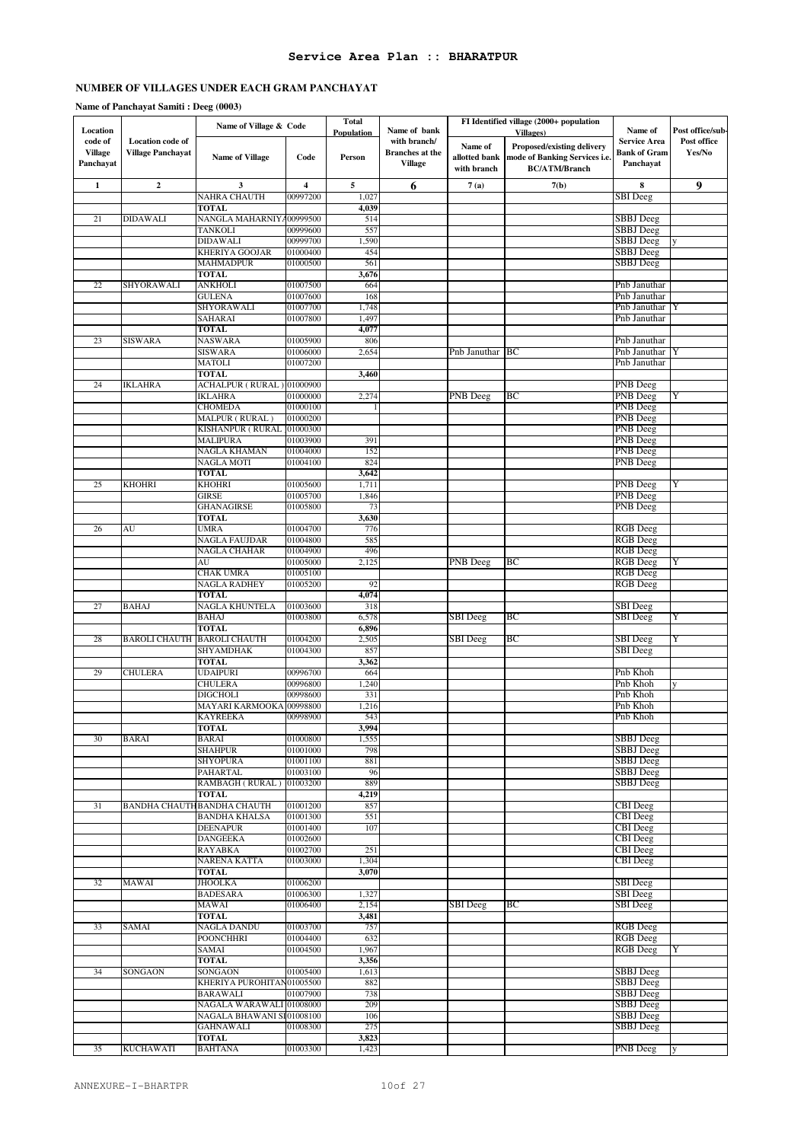#### **Name of Panchayat Samiti : Deeg (0003)**

| Location                               |                                       | Name of Village & Code                    |                         | <b>Total</b><br>Population | Name of bank                                             |                                         | FI Identified village (2000+ population<br><b>Villages</b> )                               | Name of                                                 | Post office/sub-      |
|----------------------------------------|---------------------------------------|-------------------------------------------|-------------------------|----------------------------|----------------------------------------------------------|-----------------------------------------|--------------------------------------------------------------------------------------------|---------------------------------------------------------|-----------------------|
| code of<br><b>Village</b><br>Panchayat | Location code of<br>Village Panchayat | <b>Name of Village</b>                    | Code                    | Person                     | with branch/<br><b>Branches</b> at the<br><b>Village</b> | Name of<br>allotted bank<br>with branch | <b>Proposed/existing delivery</b><br>mode of Banking Services i.e.<br><b>BC/ATM/Branch</b> | <b>Service Area</b><br><b>Bank of Gram</b><br>Panchayat | Post office<br>Yes/No |
| $\mathbf{1}$                           | $\mathbf 2$                           | $\overline{\mathbf{3}}$                   | $\overline{\mathbf{4}}$ | 5                          | 6                                                        | 7(a)                                    | 7(b)                                                                                       | 8                                                       | $\boldsymbol{9}$      |
|                                        |                                       | <b>NAHRA CHAUTH</b>                       | 00997200                | 1,027                      |                                                          |                                         |                                                                                            | SBI Deeg                                                |                       |
| 21                                     | <b>DIDAWALI</b>                       | <b>TOTAL</b><br>NANGLA MAHARNIY 400999500 |                         | 4,039<br>514               |                                                          |                                         |                                                                                            | SBBJ Deeg                                               |                       |
|                                        |                                       | <b>TANKOLI</b>                            | 00999600                | 557                        |                                                          |                                         |                                                                                            | SBBJ Deeg                                               |                       |
|                                        |                                       | <b>DIDAWALI</b>                           | 00999700                | 1,590                      |                                                          |                                         |                                                                                            | SBBJ Deeg                                               |                       |
|                                        |                                       | KHERIYA GOOJAR                            | 01000400                | 454                        |                                                          |                                         |                                                                                            | SBBJ Deeg                                               |                       |
|                                        |                                       | <b>MAHMADPUR</b><br><b>TOTAL</b>          | 01000500                | 561                        |                                                          |                                         |                                                                                            | SBBJ Deeg                                               |                       |
| 22                                     | SHYORAWALI                            | <b>ANKHOLI</b>                            | 01007500                | 3,676<br>664               |                                                          |                                         |                                                                                            | Pnb Januthar                                            |                       |
|                                        |                                       | <b>GULENA</b>                             | 01007600                | 168                        |                                                          |                                         |                                                                                            | Pnb Januthar                                            |                       |
|                                        |                                       | SHYORAWALI                                | 01007700                | 1,748                      |                                                          |                                         |                                                                                            | Pnb Januthar                                            |                       |
|                                        |                                       | SAHARAI                                   | 01007800                | 1,497                      |                                                          |                                         |                                                                                            | Pnb Januthar                                            |                       |
| 23                                     | <b>SISWARA</b>                        | <b>TOTAL</b><br><b>NASWARA</b>            | 01005900                | 4,077<br>806               |                                                          |                                         |                                                                                            | Pnb Januthar                                            |                       |
|                                        |                                       | <b>SISWARA</b>                            | 01006000                | 2,654                      |                                                          | Pnb Januthar                            | BC                                                                                         | Pnb Januthar                                            |                       |
|                                        |                                       | <b>MATOLI</b>                             | 01007200                |                            |                                                          |                                         |                                                                                            | Pnb Januthar                                            |                       |
|                                        |                                       | <b>TOTAL</b>                              |                         | 3,460                      |                                                          |                                         |                                                                                            |                                                         |                       |
| 24                                     | <b>IKLAHRA</b>                        | ACHALPUR (RURAL) 01000900                 |                         |                            |                                                          |                                         |                                                                                            | <b>PNB</b> Deeg                                         |                       |
|                                        |                                       | <b>IKLAHRA</b>                            | 01000000                | 2,274                      |                                                          | PNB Deeg                                | BC                                                                                         | <b>PNB</b> Deeg                                         | Y                     |
|                                        |                                       | <b>CHOMEDA</b><br>MALPUR (RURAL)          | 01000100<br>01000200    |                            |                                                          |                                         |                                                                                            | PNB Deeg<br>PNB Deeg                                    |                       |
|                                        |                                       | KISHANPUR (RURAL                          | 01000300                |                            |                                                          |                                         |                                                                                            | <b>PNB</b> Deeg                                         |                       |
|                                        |                                       | <b>MALIPURA</b>                           | 01003900                | 391                        |                                                          |                                         |                                                                                            | PNB Deeg                                                |                       |
|                                        |                                       | NAGLA KHAMAN                              | 01004000                | 152                        |                                                          |                                         |                                                                                            | PNB Deeg                                                |                       |
|                                        |                                       | <b>NAGLA MOTI</b>                         | 01004100                | 824                        |                                                          |                                         |                                                                                            | PNB Deeg                                                |                       |
| 25                                     | <b>KHOHRI</b>                         | <b>TOTAL</b><br><b>KHOHRI</b>             | 01005600                | 3,642<br>1,711             |                                                          |                                         |                                                                                            | PNB Deeg                                                | Y                     |
|                                        |                                       | <b>GIRSE</b>                              | 01005700                | 1,846                      |                                                          |                                         |                                                                                            | PNB Deeg                                                |                       |
|                                        |                                       | <b>GHANAGIRSE</b>                         | 01005800                | 73                         |                                                          |                                         |                                                                                            | <b>PNB</b> Deeg                                         |                       |
|                                        |                                       | <b>TOTAL</b>                              |                         | 3,630                      |                                                          |                                         |                                                                                            |                                                         |                       |
| 26                                     | AU                                    | <b>UMRA</b>                               | 01004700                | 776<br>585                 |                                                          |                                         |                                                                                            | <b>RGB</b> Deeg                                         |                       |
|                                        |                                       | <b>NAGLA FAUJDAR</b><br>NAGLA CHAHAR      | 01004800<br>01004900    | 496                        |                                                          |                                         |                                                                                            | <b>RGB</b> Deeg<br><b>RGB</b> Deeg                      |                       |
|                                        |                                       | AU                                        | 01005000                | 2,125                      |                                                          | PNB Deeg                                | BС                                                                                         | <b>RGB</b> Deeg                                         |                       |
|                                        |                                       | <b>CHAK UMRA</b>                          | 01005100                |                            |                                                          |                                         |                                                                                            | <b>RGB</b> Deeg                                         |                       |
|                                        |                                       | <b>NAGLA RADHEY</b>                       | 01005200                | 92                         |                                                          |                                         |                                                                                            | <b>RGB</b> Deeg                                         |                       |
| 27                                     | <b>BAHAJ</b>                          | <b>TOTAL</b><br><b>NAGLA KHUNTELA</b>     | 01003600                | 4,074<br>318               |                                                          |                                         |                                                                                            | <b>SBI</b> Deeg                                         |                       |
|                                        |                                       | <b>BAHAJ</b>                              | 01003800                | 6,578                      |                                                          | SBI Deeg                                | ВC                                                                                         | SBI Deeg                                                | Y                     |
|                                        |                                       | <b>TOTAL</b>                              |                         | 6,896                      |                                                          |                                         |                                                                                            |                                                         |                       |
| 28                                     | <b>BAROLI CHAUTH</b>                  | <b>BAROLI CHAUTH</b>                      | 01004200                | 2,505                      |                                                          | <b>SBI</b> Deeg                         | ВC                                                                                         | <b>SBI</b> Deeg                                         | Y                     |
|                                        |                                       | <b>SHYAMDHAK</b>                          | 01004300                | 857                        |                                                          |                                         |                                                                                            | SBI Deeg                                                |                       |
| 29                                     | <b>CHULERA</b>                        | TOTAL<br><b>UDAIPURI</b>                  | 00996700                | 3,362<br>664               |                                                          |                                         |                                                                                            | Pnb Khoh                                                |                       |
|                                        |                                       | <b>CHULERA</b>                            | 00996800                | 1,240                      |                                                          |                                         |                                                                                            | Pnb Khoh                                                |                       |
|                                        |                                       | <b>DIGCHOLI</b>                           | 00998600                | 331                        |                                                          |                                         |                                                                                            | Pnb Khoh                                                |                       |
|                                        |                                       | MAYARI KARMOOKA                           | 00998800                | 1,216                      |                                                          |                                         |                                                                                            | Pnb Khoh                                                |                       |
|                                        |                                       | <b>KAYREEKA</b><br><b>TOTAL</b>           | 00998900                | 543<br>3,994               |                                                          |                                         |                                                                                            | Pnb Khoh                                                |                       |
| 30                                     | <b>BARAI</b>                          | <b>BARAI</b>                              | 01000800                | 1,555                      |                                                          |                                         |                                                                                            | <b>SBBJ</b> Deeg                                        |                       |
|                                        |                                       | <b>SHAHPUR</b>                            | 01001000                | 798                        |                                                          |                                         |                                                                                            | SBBJ Deeg                                               |                       |
|                                        |                                       | <b>SHYOPURA</b>                           | 01001100                | 881                        |                                                          |                                         |                                                                                            | SBBJ Deeg                                               |                       |
|                                        |                                       | <b>PAHARTAL</b>                           | 01003100                | 96                         |                                                          |                                         |                                                                                            | <b>SBBJ</b> Deeg                                        |                       |
|                                        |                                       | RAMBAGH (RURAL)<br><b>TOTAL</b>           | 01003200                | 889<br>4,219               |                                                          |                                         |                                                                                            | <b>SBBJ</b> Deeg                                        |                       |
| 31                                     |                                       | BANDHA CHAUTH BANDHA CHAUTH               | 01001200                | 857                        |                                                          |                                         |                                                                                            | CBI Deeg                                                |                       |
|                                        |                                       | <b>BANDHA KHALSA</b>                      | 01001300                | 551                        |                                                          |                                         |                                                                                            | <b>CBI</b> Deeg                                         |                       |
|                                        |                                       | <b>DEENAPUR</b>                           | 01001400                | 107                        |                                                          |                                         |                                                                                            | CBI Deeg                                                |                       |
|                                        |                                       | <b>DANGEEKA</b><br>RAYABKA                | 01002600<br>01002700    | 251                        |                                                          |                                         |                                                                                            | <b>CBI</b> Deeg<br><b>CBI</b> Deeg                      |                       |
|                                        |                                       | <b>NARENA KATTA</b>                       | 01003000                | 1,304                      |                                                          |                                         |                                                                                            | <b>CBI</b> Deeg                                         |                       |
|                                        |                                       | <b>TOTAL</b>                              |                         | 3,070                      |                                                          |                                         |                                                                                            |                                                         |                       |
| 32                                     | MAWAI                                 | <b>JHOOLKA</b>                            | 01006200                |                            |                                                          |                                         |                                                                                            | <b>SBI</b> Deeg                                         |                       |
|                                        |                                       | <b>BADESARA</b>                           | 01006300                | 1,327                      |                                                          |                                         |                                                                                            | SBI Deeg                                                |                       |
|                                        |                                       | MAWAI<br><b>TOTAL</b>                     | 01006400                | 2,154<br>3,481             |                                                          | <b>SBI</b> Deeg                         | BC                                                                                         | <b>SBI</b> Deeg                                         |                       |
| 33                                     | SAMAI                                 | <b>NAGLA DANDU</b>                        | 01003700                | 757                        |                                                          |                                         |                                                                                            | <b>RGB</b> Deeg                                         |                       |
|                                        |                                       | <b>POONCHHRI</b>                          | 01004400                | 632                        |                                                          |                                         |                                                                                            | <b>RGB</b> Deeg                                         |                       |
|                                        |                                       | SAMAI                                     | 01004500                | 1,967                      |                                                          |                                         |                                                                                            | <b>RGB</b> Deeg                                         | Y                     |
|                                        |                                       | <b>TOTAL</b>                              |                         | 3,356                      |                                                          |                                         |                                                                                            |                                                         |                       |
| 34                                     | SONGAON                               | SONGAON<br>KHERIYA PUROHITAN01005500      | 01005400                | 1,613<br>882               |                                                          |                                         |                                                                                            | <b>SBBJ</b> Deeg<br>SBBJ Deeg                           |                       |
|                                        |                                       | BARAWALI                                  | 01007900                | 738                        |                                                          |                                         |                                                                                            | SBBJ Deeg                                               |                       |
|                                        |                                       | NAGALA WARAWALI 01008000                  |                         | 209                        |                                                          |                                         |                                                                                            | SBBJ Deeg                                               |                       |
|                                        |                                       | NAGALA BHAWANI SI 01008100                |                         | 106                        |                                                          |                                         |                                                                                            | SBBJ Deeg                                               |                       |
|                                        |                                       | <b>GAHNAWALI</b><br><b>TOTAL</b>          | 01008300                | 275<br>3,823               |                                                          |                                         |                                                                                            | SBBJ Deeg                                               |                       |
| 35                                     | <b>KUCHAWATI</b>                      | <b>BAHTANA</b>                            | 01003300                | 1,423                      |                                                          |                                         |                                                                                            | PNB Deeg                                                |                       |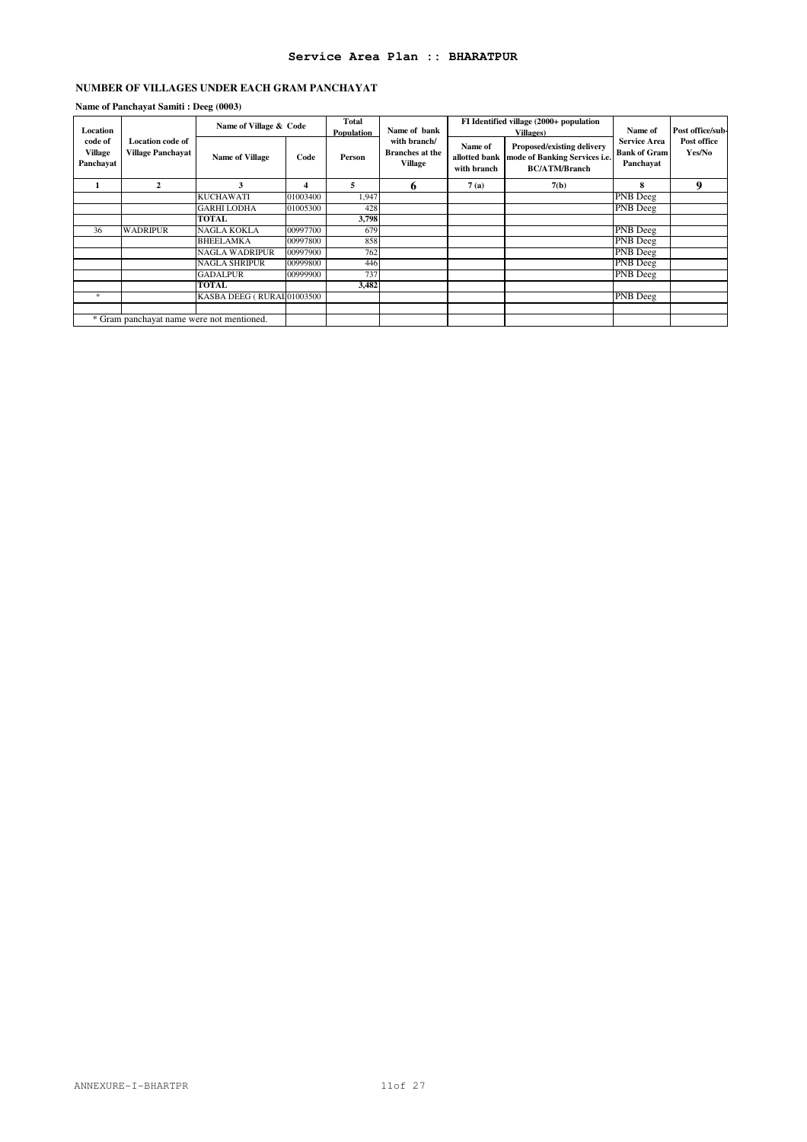#### **Name of Panchayat Samiti : Deeg (0003)**

| Location                               |                                                     | Name of Village & Code    |          | Total<br>Population | Name of bank                                      |                                         | FI Identified village (2000+ population<br><b>Villages</b> )                        | Name of                                                 | Post office/sub-      |
|----------------------------------------|-----------------------------------------------------|---------------------------|----------|---------------------|---------------------------------------------------|-----------------------------------------|-------------------------------------------------------------------------------------|---------------------------------------------------------|-----------------------|
| code of<br><b>Village</b><br>Panchavat | <b>Location code of</b><br><b>Village Panchayat</b> | <b>Name of Village</b>    | Code     | Person              | with branch/<br><b>Branches</b> at the<br>Village | Name of<br>allotted bank<br>with branch | Proposed/existing delivery<br>mode of Banking Services i.e.<br><b>BC/ATM/Branch</b> | <b>Service Area</b><br><b>Bank of Gram</b><br>Panchavat | Post office<br>Yes/No |
|                                        | $\mathbf{2}$                                        | 3                         | 4        | 5.                  | 6                                                 | 7(a)                                    | 7(b)                                                                                | 8                                                       | 9                     |
|                                        |                                                     | <b>KUCHAWATI</b>          | 01003400 | 1,947               |                                                   |                                         |                                                                                     | PNB Deeg                                                |                       |
|                                        |                                                     | <b>GARHI LODHA</b>        | 01005300 | 428                 |                                                   |                                         |                                                                                     | PNB Deeg                                                |                       |
|                                        |                                                     | <b>TOTAL</b>              |          | 3,798               |                                                   |                                         |                                                                                     |                                                         |                       |
| 36                                     | <b>WADRIPUR</b>                                     | NAGLA KOKLA               | 00997700 | 679                 |                                                   |                                         |                                                                                     | <b>PNB</b> Deeg                                         |                       |
|                                        |                                                     | <b>BHEELAMKA</b>          | 00997800 | 858                 |                                                   |                                         |                                                                                     | PNB Deeg                                                |                       |
|                                        |                                                     | <b>NAGLA WADRIPUR</b>     | 00997900 | 762                 |                                                   |                                         |                                                                                     | PNB Deeg                                                |                       |
|                                        |                                                     | <b>NAGLA SHRIPUR</b>      | 00999800 | 446                 |                                                   |                                         |                                                                                     | PNB Deeg                                                |                       |
|                                        |                                                     | <b>GADALPUR</b>           | 00999900 | 737                 |                                                   |                                         |                                                                                     | PNB Deeg                                                |                       |
|                                        |                                                     | <b>TOTAL</b>              |          | 3,482               |                                                   |                                         |                                                                                     |                                                         |                       |
| *                                      |                                                     | KASBA DEEG (RURAL01003500 |          |                     |                                                   |                                         |                                                                                     | PNB Deeg                                                |                       |
|                                        |                                                     |                           |          |                     |                                                   |                                         |                                                                                     |                                                         |                       |
|                                        | * Gram panchayat name were not mentioned.           |                           |          |                     |                                                   |                                         |                                                                                     |                                                         |                       |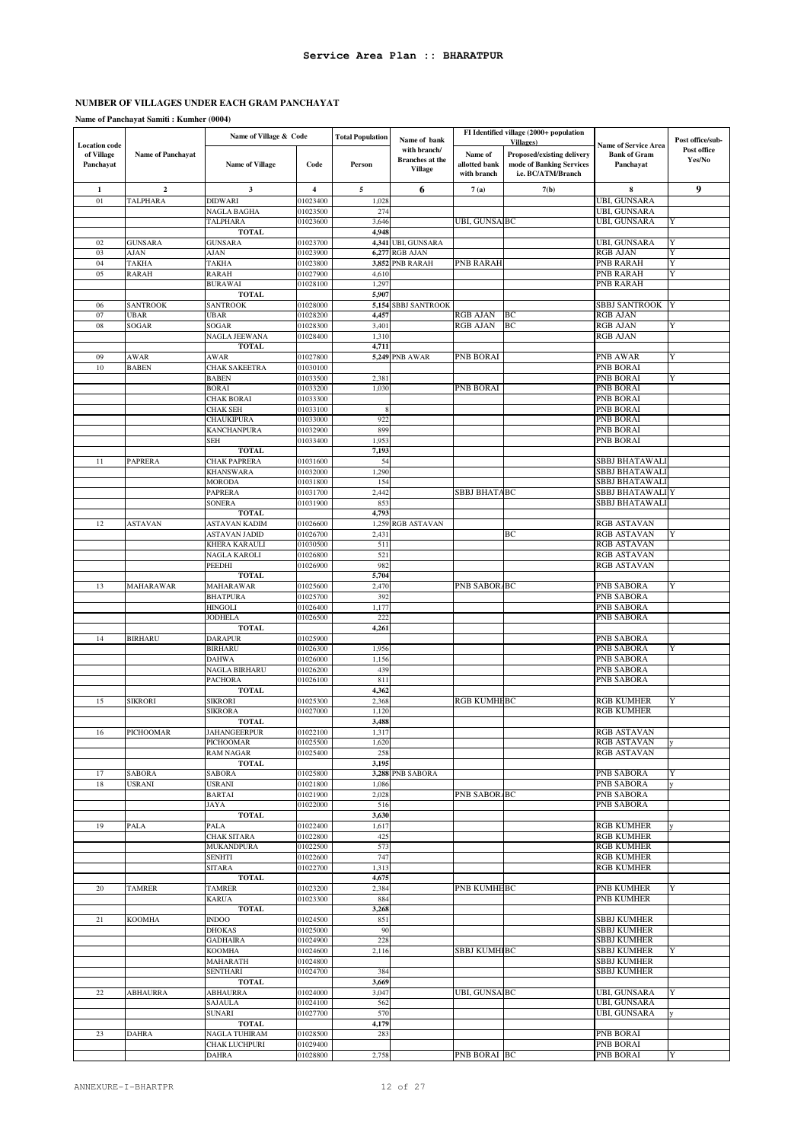**Name of Panchayat Samiti : Kumher (0004)**

|                                                 |                                     | Name of Village & Code           |                                     | <b>Total Population</b> | Name of bank                                             |                                         | FI Identified village (2000+ population                                                                  |                                                          | Post office/sub-      |
|-------------------------------------------------|-------------------------------------|----------------------------------|-------------------------------------|-------------------------|----------------------------------------------------------|-----------------------------------------|----------------------------------------------------------------------------------------------------------|----------------------------------------------------------|-----------------------|
| <b>Location</b> code<br>of Village<br>Panchayat | Name of Panchayat                   | <b>Name of Village</b>           | Code                                | Person                  | with branch/<br><b>Branches</b> at the<br><b>Village</b> | Name of<br>allotted bank<br>with branch | <b>Villages</b> )<br><b>Proposed/existing delivery</b><br>mode of Banking Services<br>i.e. BC/ATM/Branch | Name of Service Area<br><b>Bank of Gram</b><br>Panchayat | Post office<br>Yes/No |
|                                                 |                                     |                                  |                                     |                         |                                                          |                                         |                                                                                                          |                                                          |                       |
| 1<br>01                                         | $\boldsymbol{2}$<br><b>TALPHARA</b> | 3<br><b>DIDWARI</b>              | $\overline{\mathbf{4}}$<br>01023400 | 5<br>1,028              | 6                                                        | 7(a)                                    | 7(b)                                                                                                     | 8<br><b>UBI, GUNSARA</b>                                 | 9                     |
|                                                 |                                     | NAGLA BAGHA                      | 01023500                            | 274                     |                                                          |                                         |                                                                                                          | UBI, GUNSARA                                             |                       |
|                                                 |                                     | TALPHARA                         | 01023600                            | 3,646                   |                                                          | UBI, GUNSA BC                           |                                                                                                          | UBI, GUNSARA                                             | Y                     |
|                                                 |                                     | <b>TOTAL</b>                     |                                     | 4,948                   |                                                          |                                         |                                                                                                          |                                                          |                       |
| 02                                              | <b>GUNSARA</b>                      | <b>GUNSARA</b>                   | 01023700                            |                         | 4,341 UBI, GUNSARA                                       |                                         |                                                                                                          | <b>UBI, GUNSARA</b>                                      | Y                     |
| 03                                              | <b>AJAN</b>                         | <b>AJAN</b>                      | 01023900                            | 6,277                   | <b>RGB AJAN</b>                                          |                                         |                                                                                                          | <b>RGB AJAN</b>                                          | Y                     |
| 04<br>05                                        | TAKHA<br><b>RARAH</b>               | TAKHA<br><b>RARAH</b>            | 01023800<br>01027900                | 4,610                   | 3,852 PNB RARAH                                          | PNB RARAH                               |                                                                                                          | <b>PNB RARAH</b><br>PNB RARAH                            | Y<br>Y                |
|                                                 |                                     | <b>BURAWAI</b>                   | 01028100                            | 1,297                   |                                                          |                                         |                                                                                                          | PNB RARAH                                                |                       |
|                                                 |                                     | <b>TOTAL</b>                     |                                     | 5,907                   |                                                          |                                         |                                                                                                          |                                                          |                       |
| 06                                              | <b>SANTROOK</b>                     | <b>SANTROOK</b>                  | 01028000                            | 5,154                   | <b>SBBJ SANTROOK</b>                                     |                                         |                                                                                                          | <b>SBBJ SANTROOK</b>                                     | Y                     |
| 07                                              | UBAR                                | UBAR                             | 01028200                            | 4,457                   |                                                          | RGB AJAN                                | BC                                                                                                       | <b>RGB AJAN</b>                                          |                       |
| 08                                              | SOGAR                               | SOGAR                            | 01028300                            | 3,401                   |                                                          | RGB AJAN                                | BC                                                                                                       | <b>RGB AJAN</b>                                          | Y                     |
|                                                 |                                     | NAGLA JEEWANA<br><b>TOTAL</b>    | 01028400                            | 1,310<br>4,711          |                                                          |                                         |                                                                                                          | <b>RGB AJAN</b>                                          |                       |
| 09                                              | AWAR                                | AWAR                             | 01027800                            |                         | <b>5,249 PNB AWAR</b>                                    | PNB BORAI                               |                                                                                                          | PNB AWAR                                                 | Y                     |
| 10                                              | <b>BABEN</b>                        | <b>CHAK SAKEETRA</b>             | 01030100                            |                         |                                                          |                                         |                                                                                                          | <b>PNB BORAI</b>                                         |                       |
|                                                 |                                     | <b>BABEN</b>                     | 01033500                            | 2,381                   |                                                          |                                         |                                                                                                          | PNB BORAI                                                | Y                     |
|                                                 |                                     | <b>BORAI</b>                     | 01033200                            | 1,030                   |                                                          | PNB BORAI                               |                                                                                                          | PNB BORAI                                                |                       |
|                                                 |                                     | <b>CHAK BORAI</b>                | 01033300                            |                         |                                                          |                                         |                                                                                                          | PNB BORAI                                                |                       |
|                                                 |                                     | <b>CHAK SEH</b><br>CHAUKIPURA    | 01033100                            | ş<br>922                |                                                          |                                         |                                                                                                          | <b>PNB BORAI</b><br>PNB BORAI                            |                       |
|                                                 |                                     | <b>KANCHANPURA</b>               | 01033000<br>01032900                | 899                     |                                                          |                                         |                                                                                                          | <b>PNB BORAI</b>                                         |                       |
|                                                 |                                     | SEH                              | 01033400                            | 1,953                   |                                                          |                                         |                                                                                                          | PNB BORAI                                                |                       |
|                                                 |                                     | <b>TOTAL</b>                     |                                     | 7,193                   |                                                          |                                         |                                                                                                          |                                                          |                       |
| 11                                              | <b>PAPRERA</b>                      | CHAK PAPRERA                     | 01031600                            | 54                      |                                                          |                                         |                                                                                                          | <b>SBBJ BHATAWAL</b>                                     |                       |
|                                                 |                                     | <b>KHANSWARA</b>                 | 01032000                            | 1,290                   |                                                          |                                         |                                                                                                          | <b>SBBJ BHATAWALI</b>                                    |                       |
|                                                 |                                     | <b>MORODA</b><br>PAPRERA         | 01031800<br>01031700                | 154<br>2,442            |                                                          | SBBJ BHATABC                            |                                                                                                          | SBBJ BHATAWALI<br>SBBJ BHATAWALI Y                       |                       |
|                                                 |                                     | SONERA                           | 01031900                            | 853                     |                                                          |                                         |                                                                                                          | SBBJ BHATAWALI                                           |                       |
|                                                 |                                     | <b>TOTAL</b>                     |                                     | 4,793                   |                                                          |                                         |                                                                                                          |                                                          |                       |
| 12                                              | <b>ASTAVAN</b>                      | <b>ASTAVAN KADIM</b>             | 01026600                            | 1,259                   | <b>RGB ASTAVAN</b>                                       |                                         |                                                                                                          | <b>RGB ASTAVAN</b>                                       |                       |
|                                                 |                                     | <b>ASTAVAN JADID</b>             | 01026700                            | 2,431                   |                                                          |                                         | BC                                                                                                       | <b>RGB ASTAVAN</b>                                       | Y                     |
|                                                 |                                     | KHERA KARAULI                    | 01030500                            | 511                     |                                                          |                                         |                                                                                                          | <b>RGB ASTAVAN</b>                                       |                       |
|                                                 |                                     | NAGLA KAROLI                     | 01026800                            | 521                     |                                                          |                                         |                                                                                                          | <b>RGB ASTAVAN</b>                                       |                       |
|                                                 |                                     | PEEDHI<br><b>TOTAL</b>           | 01026900                            | 982<br>5,704            |                                                          |                                         |                                                                                                          | <b>RGB ASTAVAN</b>                                       |                       |
| 13                                              | <b>MAHARAWAR</b>                    | MAHARAWAR                        | 01025600                            | 2,470                   |                                                          | PNB SABOR/BC                            |                                                                                                          | PNB SABORA                                               | Y                     |
|                                                 |                                     | <b>BHATPURA</b>                  | 01025700                            | 392                     |                                                          |                                         |                                                                                                          | PNB SABORA                                               |                       |
|                                                 |                                     | HINGOLI                          | 01026400                            | 1,177                   |                                                          |                                         |                                                                                                          | <b>PNB SABORA</b>                                        |                       |
|                                                 |                                     | JODHELA                          | 01026500                            | 222                     |                                                          |                                         |                                                                                                          | PNB SABORA                                               |                       |
|                                                 |                                     | <b>TOTAL</b>                     |                                     | 4,261                   |                                                          |                                         |                                                                                                          |                                                          |                       |
| 14                                              | <b>BIRHARU</b>                      | <b>DARAPUR</b><br><b>BIRHARU</b> | 01025900<br>01026300                | 1,956                   |                                                          |                                         |                                                                                                          | PNB SABORA<br>PNB SABORA                                 | Y                     |
|                                                 |                                     | <b>DAHWA</b>                     | 01026000                            | 1,156                   |                                                          |                                         |                                                                                                          | PNB SABORA                                               |                       |
|                                                 |                                     | NAGLA BIRHARU                    | 01026200                            | 439                     |                                                          |                                         |                                                                                                          | PNB SABORA                                               |                       |
|                                                 |                                     | PACHORA                          | 01026100                            | 811                     |                                                          |                                         |                                                                                                          | PNB SABORA                                               |                       |
|                                                 |                                     | <b>TOTAL</b>                     |                                     | 4,362                   |                                                          |                                         |                                                                                                          |                                                          |                       |
| 15                                              | <b>SIKRORI</b>                      | <b>SIKRORI</b>                   | 01025300                            | 2,368                   |                                                          | RGB KUMHEBC                             |                                                                                                          | <b>RGB KUMHER</b>                                        | Y                     |
|                                                 |                                     | <b>SIKRORA</b><br><b>TOTAL</b>   | 01027000                            | 1,120<br>3,488          |                                                          |                                         |                                                                                                          | <b>RGB KUMHER</b>                                        |                       |
| 16                                              | PICHOOMAR                           | <b>JAHANGEERPUR</b>              | 01022100                            | 1,317                   |                                                          |                                         |                                                                                                          | <b>RGB ASTAVAN</b>                                       |                       |
|                                                 |                                     | PICHOOMAR                        | 01025500                            | 1,620                   |                                                          |                                         |                                                                                                          | RGB ASTAVAN                                              |                       |
|                                                 |                                     | <b>RAM NAGAR</b>                 | 01025400                            | 258                     |                                                          |                                         |                                                                                                          | <b>RGB ASTAVAN</b>                                       |                       |
|                                                 |                                     | <b>TOTAL</b>                     |                                     | 3,195                   |                                                          |                                         |                                                                                                          |                                                          |                       |
| 17                                              | <b>SABORA</b>                       | <b>SABORA</b>                    | 01025800                            |                         | 3,288 PNB SABORA                                         |                                         |                                                                                                          | <b>PNB SABORA</b>                                        | Y                     |
| 18                                              | USRANI                              | <b>USRANI</b><br><b>BARTAI</b>   | 01021800<br>01021900                | 1,086<br>2,028          |                                                          | PNB SABOR/BC                            |                                                                                                          | PNB SABORA<br>PNB SABORA                                 |                       |
|                                                 |                                     | JAYA                             | 01022000                            | 516                     |                                                          |                                         |                                                                                                          | PNB SABORA                                               |                       |
|                                                 |                                     | <b>TOTAL</b>                     |                                     | 3,630                   |                                                          |                                         |                                                                                                          |                                                          |                       |
| 19                                              | <b>PALA</b>                         | PALA                             | 01022400                            | 1,617                   |                                                          |                                         |                                                                                                          | <b>RGB KUMHER</b>                                        |                       |
|                                                 |                                     | CHAK SITARA                      | 01022800                            | 425                     |                                                          |                                         |                                                                                                          | <b>RGB KUMHER</b>                                        |                       |
|                                                 |                                     | <b>MUKANDPURA</b>                | 01022500                            | 573                     |                                                          |                                         |                                                                                                          | <b>RGB KUMHER</b>                                        |                       |
|                                                 |                                     | <b>SENHTI</b><br><b>SITARA</b>   | 01022600<br>01022700                | 747<br>1,313            |                                                          |                                         |                                                                                                          | <b>RGB KUMHER</b><br><b>RGB KUMHER</b>                   |                       |
|                                                 |                                     | <b>TOTAL</b>                     |                                     | 4,675                   |                                                          |                                         |                                                                                                          |                                                          |                       |
| 20                                              | <b>TAMRER</b>                       | <b>TAMRER</b>                    | 01023200                            | 2,384                   |                                                          | PNB KUMHEBC                             |                                                                                                          | <b>PNB KUMHER</b>                                        | Y                     |
|                                                 |                                     | <b>KARUA</b>                     | 01023300                            | 884                     |                                                          |                                         |                                                                                                          | PNB KUMHER                                               |                       |
|                                                 |                                     | <b>TOTAL</b>                     |                                     | 3,268                   |                                                          |                                         |                                                                                                          |                                                          |                       |
| 21                                              | <b>KOOMHA</b>                       | <b>INDOO</b>                     | 01024500                            | 851                     |                                                          |                                         |                                                                                                          | <b>SBBJ KUMHER</b>                                       |                       |
|                                                 |                                     | <b>DHOKAS</b><br><b>GADHAIRA</b> | 01025000<br>01024900                | 90<br>228               |                                                          |                                         |                                                                                                          | <b>SBBJ KUMHER</b><br><b>SBBJ KUMHER</b>                 |                       |
|                                                 |                                     | KOOMHA                           | 01024600                            | 2,116                   |                                                          | SBBJ KUMHIBC                            |                                                                                                          | <b>SBBJ KUMHER</b>                                       |                       |
|                                                 |                                     | <b>MAHARATH</b>                  | 01024800                            |                         |                                                          |                                         |                                                                                                          | <b>SBBJ KUMHER</b>                                       |                       |
|                                                 |                                     | <b>SENTHARI</b>                  | 01024700                            | 384                     |                                                          |                                         |                                                                                                          | SBBJ KUMHER                                              |                       |
|                                                 |                                     | <b>TOTAL</b>                     |                                     | 3,669                   |                                                          |                                         |                                                                                                          |                                                          |                       |
| 22                                              | <b>ABHAURRA</b>                     | <b>ABHAURRA</b>                  | 01024000                            | 3,047                   |                                                          | UBI, GUNSAIBC                           |                                                                                                          | UBI, GUNSARA                                             | Y                     |
|                                                 |                                     | SAJAULA<br><b>SUNARI</b>         | 01024100<br>01027700                | 562<br>570              |                                                          |                                         |                                                                                                          | UBI, GUNSARA<br>UBI, GUNSARA                             |                       |
|                                                 |                                     | <b>TOTAL</b>                     |                                     | 4,179                   |                                                          |                                         |                                                                                                          |                                                          |                       |
| 23                                              | <b>DAHRA</b>                        | NAGLA TUHIRAM                    | 01028500                            | 283                     |                                                          |                                         |                                                                                                          | PNB BORAI                                                |                       |
|                                                 |                                     | CHAK LUCHPURI                    | 01029400                            |                         |                                                          |                                         |                                                                                                          | PNB BORAI                                                |                       |
|                                                 |                                     | DAHRA                            | 01028800                            | 2,758                   |                                                          | PNB BORAI BC                            |                                                                                                          | PNB BORAI                                                | Y                     |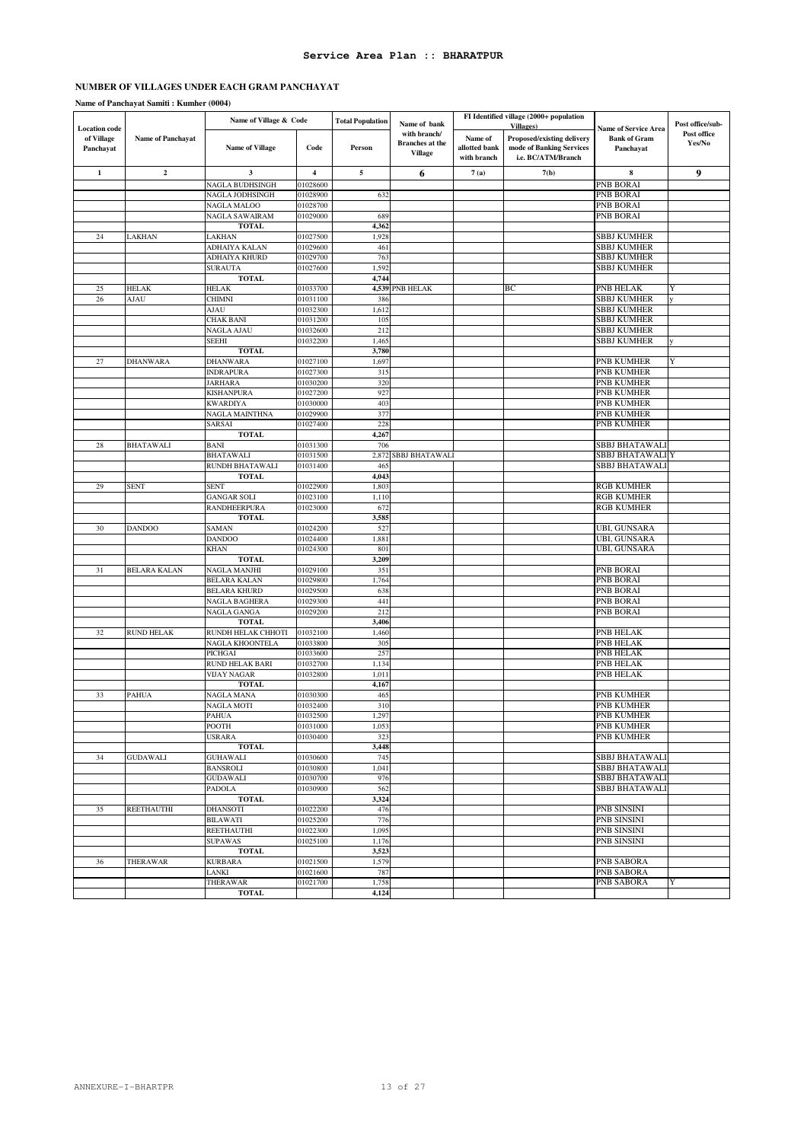#### **Name of Panchayat Samiti : Kumher (0004)**

|                                                 |                     | Name of Village & Code             |                         | <b>Total Population</b> | Name of bank                                             |                                         | FI Identified village (2000+ population<br><b>Villages</b> )                 |                                                                 | Post office/sub-      |
|-------------------------------------------------|---------------------|------------------------------------|-------------------------|-------------------------|----------------------------------------------------------|-----------------------------------------|------------------------------------------------------------------------------|-----------------------------------------------------------------|-----------------------|
| <b>Location</b> code<br>of Village<br>Panchayat | Name of Panchayat   | <b>Name of Village</b>             | Code                    | Person                  | with branch/<br><b>Branches</b> at the<br><b>Village</b> | Name of<br>allotted bank<br>with branch | Proposed/existing delivery<br>mode of Banking Services<br>i.e. BC/ATM/Branch | <b>Name of Service Area</b><br><b>Bank of Gram</b><br>Panchayat | Post office<br>Yes/No |
| $\mathbf 1$                                     | $\mathbf{2}$        | 3                                  | $\overline{\mathbf{4}}$ | 5                       | 6                                                        | 7(a)                                    | 7(b)                                                                         | 8                                                               | 9                     |
|                                                 |                     | NAGLA BUDHSINGH                    | 01028600                |                         |                                                          |                                         |                                                                              | <b>PNB BORAI</b>                                                |                       |
|                                                 |                     | NAGLA JODHSINGH                    | 01028900                | 632                     |                                                          |                                         |                                                                              | PNB BORAI                                                       |                       |
|                                                 |                     | NAGLA MALOO                        | 01028700                |                         |                                                          |                                         |                                                                              | PNB BORAI                                                       |                       |
|                                                 |                     | NAGLA SAWAIRAM                     | 01029000                | 689                     |                                                          |                                         |                                                                              | PNB BORAI                                                       |                       |
| 24                                              | LAKHAN              | <b>TOTAL</b><br>LAKHAN             | 01027500                | 4,362<br>1,928          |                                                          |                                         |                                                                              | <b>SBBJ KUMHER</b>                                              |                       |
|                                                 |                     | ADHAIYA KALAN                      | 01029600                | 461                     |                                                          |                                         |                                                                              | <b>SBBJ KUMHER</b>                                              |                       |
|                                                 |                     | ADHAIYA KHURD                      | 01029700                | 763                     |                                                          |                                         |                                                                              | <b>SBBJ KUMHER</b>                                              |                       |
|                                                 |                     | <b>SURAUTA</b>                     | 01027600                | 1,592                   |                                                          |                                         |                                                                              | <b>SBBJ KUMHER</b>                                              |                       |
|                                                 |                     | <b>TOTAL</b>                       |                         | 4,744                   |                                                          |                                         |                                                                              |                                                                 |                       |
| 25                                              | <b>HELAK</b>        | HELAK                              | 01033700                |                         | 4,539 PNB HELAK                                          |                                         | BС                                                                           | PNB HELAK                                                       | Y                     |
| $26\,$                                          | AJAU                | <b>CHIMNI</b>                      | 01031100                | 386                     |                                                          |                                         |                                                                              | <b>SBBJ KUMHER</b>                                              |                       |
|                                                 |                     | AJAU                               | 01032300                | 1,612                   |                                                          |                                         |                                                                              | <b>SBBJ KUMHER</b>                                              |                       |
|                                                 |                     | CHAK BANI<br>NAGLA AJAU            | 01031200<br>01032600    | 105<br>212              |                                                          |                                         |                                                                              | <b>SBBJ KUMHER</b><br><b>SBBJ KUMHER</b>                        |                       |
|                                                 |                     | <b>SEEHI</b>                       | 01032200                | 1,465                   |                                                          |                                         |                                                                              | SBBJ KUMHER                                                     | V                     |
|                                                 |                     | <b>TOTAL</b>                       |                         | 3,780                   |                                                          |                                         |                                                                              |                                                                 |                       |
| 27                                              | DHANWARA            | DHANWARA                           | 01027100                | 1,697                   |                                                          |                                         |                                                                              | PNB KUMHER                                                      | Y                     |
|                                                 |                     | <b>INDRAPURA</b>                   | 01027300                | 315                     |                                                          |                                         |                                                                              | PNB KUMHER                                                      |                       |
|                                                 |                     | JARHARA                            | 01030200                | 320                     |                                                          |                                         |                                                                              | PNB KUMHER                                                      |                       |
|                                                 |                     | <b>KISHANPURA</b>                  | 01027200                | 927                     |                                                          |                                         |                                                                              | PNB KUMHER                                                      |                       |
|                                                 |                     | <b>KWARDIYA</b>                    | 01030000                | 403                     |                                                          |                                         |                                                                              | PNB KUMHER                                                      |                       |
|                                                 |                     | NAGLA MAINTHNA                     | 01029900                | 377                     |                                                          |                                         |                                                                              | <b>PNB KUMHER</b>                                               |                       |
|                                                 |                     | SARSAI<br><b>TOTAL</b>             | 01027400                | 228<br>4,267            |                                                          |                                         |                                                                              | PNB KUMHER                                                      |                       |
| 28                                              | <b>BHATAWALI</b>    | <b>BANI</b>                        | 01031300                | 706                     |                                                          |                                         |                                                                              | SBBJ BHATAWALI                                                  |                       |
|                                                 |                     | BHATAWALI                          | 01031500                | 2,872                   | SBBJ BHATAWALI                                           |                                         |                                                                              | SBBJ BHATAWALI Y                                                |                       |
|                                                 |                     | RUNDH BHATAWALI                    | 01031400                | 465                     |                                                          |                                         |                                                                              | SBBJ BHATAWALI                                                  |                       |
|                                                 |                     | <b>TOTAL</b>                       |                         | 4,043                   |                                                          |                                         |                                                                              |                                                                 |                       |
| 29                                              | <b>SENT</b>         | <b>SENT</b>                        | 01022900                | 1,803                   |                                                          |                                         |                                                                              | <b>RGB KUMHER</b>                                               |                       |
|                                                 |                     | <b>GANGAR SOLI</b>                 | 01023100                | 1,110                   |                                                          |                                         |                                                                              | <b>RGB KUMHER</b>                                               |                       |
|                                                 |                     | RANDHEERPURA                       | 01023000                | 672                     |                                                          |                                         |                                                                              | <b>RGB KUMHER</b>                                               |                       |
|                                                 |                     | <b>TOTAL</b>                       |                         | 3,585<br>527            |                                                          |                                         |                                                                              | UBI, GUNSARA                                                    |                       |
| 30                                              | <b>DANDOO</b>       | SAMAN<br><b>DANDOO</b>             | 01024200<br>01024400    | 1,881                   |                                                          |                                         |                                                                              | UBI, GUNSARA                                                    |                       |
|                                                 |                     | <b>KHAN</b>                        | 01024300                | 801                     |                                                          |                                         |                                                                              | UBI, GUNSARA                                                    |                       |
|                                                 |                     | <b>TOTAL</b>                       |                         | 3,209                   |                                                          |                                         |                                                                              |                                                                 |                       |
| 31                                              | <b>BELARA KALAN</b> | NAGLA MANJHI                       | 01029100                | 351                     |                                                          |                                         |                                                                              | PNB BORAI                                                       |                       |
|                                                 |                     | <b>BELARA KALAN</b>                | 01029800                | 1,764                   |                                                          |                                         |                                                                              | PNB BORAI                                                       |                       |
|                                                 |                     | <b>BELARA KHURD</b>                | 01029500                | 638                     |                                                          |                                         |                                                                              | PNB BORAI                                                       |                       |
|                                                 |                     | NAGLA BAGHERA                      | 01029300                | 441                     |                                                          |                                         |                                                                              | PNB BORAI                                                       |                       |
|                                                 |                     | NAGLA GANGA                        | 01029200                | 212                     |                                                          |                                         |                                                                              | <b>PNB BORAI</b>                                                |                       |
| 32                                              | <b>RUND HELAK</b>   | <b>TOTAL</b><br>RUNDH HELAK CHHOTI | 01032100                | 3,406<br>1,460          |                                                          |                                         |                                                                              | <b>PNB HELAK</b>                                                |                       |
|                                                 |                     | NAGLA KHOONTELA                    | 01033800                | 305                     |                                                          |                                         |                                                                              | PNB HELAK                                                       |                       |
|                                                 |                     | PICHGAI                            | 01033600                | 257                     |                                                          |                                         |                                                                              | PNB HELAK                                                       |                       |
|                                                 |                     | <b>RUND HELAK BARI</b>             | 01032700                | 1,134                   |                                                          |                                         |                                                                              | PNB HELAK                                                       |                       |
|                                                 |                     | VIJAY NAGAR                        | 01032800                | 1,011                   |                                                          |                                         |                                                                              | PNB HELAK                                                       |                       |
|                                                 |                     | <b>TOTAL</b>                       |                         | 4,167                   |                                                          |                                         |                                                                              |                                                                 |                       |
| 33                                              | <b>PAHUA</b>        | NAGLA MANA                         | 01030300                | 465                     |                                                          |                                         |                                                                              | PNB KUMHER                                                      |                       |
|                                                 |                     | <b>NAGLA MOTI</b><br><b>PAHUA</b>  | 01032400<br>01032500    | 310<br>297              |                                                          |                                         |                                                                              | PNB KUMHER<br><b>PNB KUMHER</b>                                 |                       |
|                                                 |                     | POOTH                              | 01031000                | 1,053                   |                                                          |                                         |                                                                              | PNB KUMHER                                                      |                       |
|                                                 |                     | <b>USRARA</b>                      | 01030400                | 323                     |                                                          |                                         |                                                                              | <b>PNB KUMHER</b>                                               |                       |
|                                                 |                     | <b>TOTAL</b>                       |                         | 3,448                   |                                                          |                                         |                                                                              |                                                                 |                       |
| 34                                              | <b>GUDAWALI</b>     | <b>GUHAWALI</b>                    | 01030600                | 745                     |                                                          |                                         |                                                                              | <b>SBBJ BHATAWALI</b>                                           |                       |
|                                                 |                     | <b>BANSROLI</b>                    | 01030800                | 1,041                   |                                                          |                                         |                                                                              | <b>SBBJ BHATAWALI</b>                                           |                       |
|                                                 |                     | <b>GUDAWALI</b>                    | 01030700                | 976                     |                                                          |                                         |                                                                              | <b>SBBJ BHATAWALI</b>                                           |                       |
|                                                 |                     | PADOLA                             | 01030900                | 562                     |                                                          |                                         |                                                                              | SBBJ BHATAWALI                                                  |                       |
|                                                 |                     | <b>TOTAL</b>                       |                         | 3,324                   |                                                          |                                         |                                                                              |                                                                 |                       |
| 35                                              | <b>REETHAUTHI</b>   | <b>DHANSOTI</b>                    | 01022200                | 476                     |                                                          |                                         |                                                                              | <b>PNB SINSINI</b>                                              |                       |
|                                                 |                     | BILAWATI<br>REETHAUTHI             | 01025200<br>01022300    | 776<br>1,095            |                                                          |                                         |                                                                              | PNB SINSINI<br>PNB SINSINI                                      |                       |
|                                                 |                     | <b>SUPAWAS</b>                     | 01025100                | 1,176                   |                                                          |                                         |                                                                              | PNB SINSINI                                                     |                       |
|                                                 |                     | <b>TOTAL</b>                       |                         | 3,523                   |                                                          |                                         |                                                                              |                                                                 |                       |
| 36                                              | THERAWAR            | <b>KURBARA</b>                     | 01021500                | 1,579                   |                                                          |                                         |                                                                              | PNB SABORA                                                      |                       |
|                                                 |                     | LANKI                              | 01021600                | 787                     |                                                          |                                         |                                                                              | <b>PNB SABORA</b>                                               |                       |
|                                                 |                     | THERAWAR                           | 01021700                | 1,758                   |                                                          |                                         |                                                                              | PNB SABORA                                                      | Y                     |
|                                                 |                     | <b>TOTAL</b>                       |                         | 4,124                   |                                                          |                                         |                                                                              |                                                                 |                       |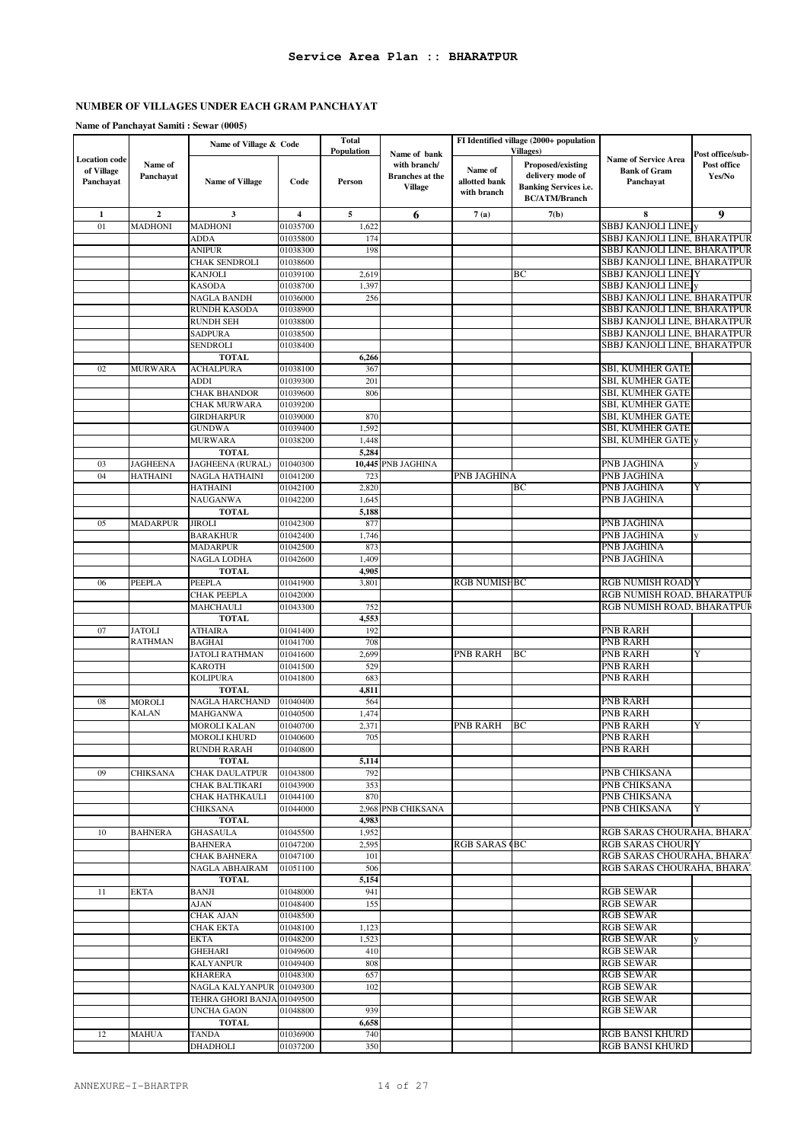### **Name of Panchayat Samiti : Sewar (0005)**

|                                                 |                      | Name of Village & Code              |                         | <b>Total</b><br>Population |                                                                          |                                         | FI Identified village (2000+ population<br><b>Villages</b> )                                  |                                                                 |                                           |
|-------------------------------------------------|----------------------|-------------------------------------|-------------------------|----------------------------|--------------------------------------------------------------------------|-----------------------------------------|-----------------------------------------------------------------------------------------------|-----------------------------------------------------------------|-------------------------------------------|
| <b>Location</b> code<br>of Village<br>Panchayat | Name of<br>Panchayat | <b>Name of Village</b>              | Code                    | Person                     | Name of bank<br>with branch/<br><b>Branches</b> at the<br><b>Village</b> | Name of<br>allotted bank<br>with branch | Proposed/existing<br>delivery mode of<br><b>Banking Services i.e.</b><br><b>BC/ATM/Branch</b> | <b>Name of Service Area</b><br><b>Bank of Gram</b><br>Panchavat | Post office/sub-<br>Post office<br>Yes/No |
| $\mathbf{1}$                                    | $\overline{2}$       | 3                                   | $\overline{\mathbf{4}}$ | $\overline{\mathbf{5}}$    | 6                                                                        | 7(a)                                    | 7(b)                                                                                          | 8                                                               | 9                                         |
| 01                                              | <b>MADHONI</b>       | MADHONI                             | 01035700                | 1,622                      |                                                                          |                                         |                                                                                               | SBBJ KANJOLI LINE, y                                            |                                           |
|                                                 |                      | ADDA                                | 01035800                | 174                        |                                                                          |                                         |                                                                                               | SBBJ KANJOLI LINE, BHARATPUR                                    |                                           |
|                                                 |                      | ANIPUR                              | 01038300                | 198                        |                                                                          |                                         |                                                                                               | SBBJ KANJOLI LINE, BHARATPUR                                    |                                           |
|                                                 |                      | CHAK SENDROLI                       | 01038600                |                            |                                                                          |                                         |                                                                                               | SBBJ KANJOLI LINE, BHARATPUR                                    |                                           |
|                                                 |                      | <b>KANJOLI</b>                      | 01039100                | 2,619                      |                                                                          |                                         | BC                                                                                            | SBBJ KANJOLI LINE, Y                                            |                                           |
|                                                 |                      | <b>KASODA</b><br><b>NAGLA BANDH</b> | 01038700<br>01036000    | 1,397<br>256               |                                                                          |                                         |                                                                                               | SBBJ KANJOLI LINE, y<br>SBBJ KANJOLI LINE, BHARATPUR            |                                           |
|                                                 |                      | <b>RUNDH KASODA</b>                 | 01038900                |                            |                                                                          |                                         |                                                                                               | SBBJ KANJOLI LINE, BHARATPUR                                    |                                           |
|                                                 |                      | <b>RUNDH SEH</b>                    | 01038800                |                            |                                                                          |                                         |                                                                                               | SBBJ KANJOLI LINE, BHARATPUR                                    |                                           |
|                                                 |                      | <b>SADPURA</b>                      | 01038500                |                            |                                                                          |                                         |                                                                                               | SBBJ KANJOLI LINE, BHARATPUR                                    |                                           |
|                                                 |                      | <b>SENDROLI</b>                     | 01038400                |                            |                                                                          |                                         |                                                                                               | SBBJ KANJOLI LINE, BHARATPUR                                    |                                           |
|                                                 |                      | <b>TOTAL</b>                        |                         | 6,266                      |                                                                          |                                         |                                                                                               |                                                                 |                                           |
| 02                                              | <b>MURWARA</b>       | <b>ACHALPURA</b>                    | 01038100                | 367                        |                                                                          |                                         |                                                                                               | <b>SBI, KUMHER GATE</b>                                         |                                           |
|                                                 |                      | ADDI                                | 01039300                | 201                        |                                                                          |                                         |                                                                                               | SBI, KUMHER GATE                                                |                                           |
|                                                 |                      | <b>CHAK BHANDOR</b>                 | 01039600                | 806                        |                                                                          |                                         |                                                                                               | <b>SBI, KUMHER GATE</b>                                         |                                           |
|                                                 |                      | <b>CHAK MURWARA</b>                 | 01039200                |                            |                                                                          |                                         |                                                                                               | SBI, KUMHER GATE                                                |                                           |
|                                                 |                      | <b>GIRDHARPUR</b>                   | 01039000                | 870                        |                                                                          |                                         |                                                                                               | <b>SBI, KUMHER GATE</b>                                         |                                           |
|                                                 |                      | <b>GUNDWA</b>                       | 01039400                | 1,592                      |                                                                          |                                         |                                                                                               | SBI, KUMHER GATE                                                |                                           |
|                                                 |                      | <b>MURWARA</b>                      | 01038200                | 1,448                      |                                                                          |                                         |                                                                                               | SBI, KUMHER GATE                                                |                                           |
| 03                                              | <b>JAGHEENA</b>      | <b>TOTAL</b><br>JAGHEENA (RURAL)    | 01040300                | 5,284                      | 10.445 PNB JAGHINA                                                       |                                         |                                                                                               | PNB JAGHINA                                                     |                                           |
| 04                                              | <b>HATHAINI</b>      | NAGLA HATHAINI                      | 01041200                | 723                        |                                                                          | PNB JAGHINA                             |                                                                                               | PNB JAGHINA                                                     |                                           |
|                                                 |                      | HATHAINI                            | 01042100                | 2,820                      |                                                                          |                                         | ВC                                                                                            | <b>PNB JAGHINA</b>                                              | Y                                         |
|                                                 |                      | NAUGANWA                            | 01042200                | 1,645                      |                                                                          |                                         |                                                                                               | PNB JAGHINA                                                     |                                           |
|                                                 |                      | <b>TOTAL</b>                        |                         | 5,188                      |                                                                          |                                         |                                                                                               |                                                                 |                                           |
| 05                                              | <b>MADARPUR</b>      | JIROLI                              | 01042300                | 877                        |                                                                          |                                         |                                                                                               | PNB JAGHINA                                                     |                                           |
|                                                 |                      | <b>BARAKHUR</b>                     | 01042400                | 1,746                      |                                                                          |                                         |                                                                                               | PNB JAGHINA                                                     |                                           |
|                                                 |                      | <b>MADARPUR</b>                     | 01042500                | 873                        |                                                                          |                                         |                                                                                               | PNB JAGHINA                                                     |                                           |
|                                                 |                      | NAGLA LODHA                         | 01042600                | 1,409                      |                                                                          |                                         |                                                                                               | PNB JAGHINA                                                     |                                           |
|                                                 |                      | <b>TOTAL</b>                        |                         | 4,905                      |                                                                          |                                         |                                                                                               |                                                                 |                                           |
| 06                                              | PEEPLA               | <b>PEEPLA</b>                       | 01041900                | 3,801                      |                                                                          | <b>RGB NUMISHBC</b>                     |                                                                                               | <b>RGB NUMISH ROAD Y</b>                                        |                                           |
|                                                 |                      | CHAK PEEPLA                         | 01042000<br>01043300    |                            |                                                                          |                                         |                                                                                               | RGB NUMISH ROAD, BHARATPUR<br>RGB NUMISH ROAD, BHARATPUR        |                                           |
|                                                 |                      | MAHCHAULI<br><b>TOTAL</b>           |                         | 752<br>4,553               |                                                                          |                                         |                                                                                               |                                                                 |                                           |
| 07                                              | <b>JATOLI</b>        | <b>ATHAIRA</b>                      | 01041400                | 192                        |                                                                          |                                         |                                                                                               | <b>PNB RARH</b>                                                 |                                           |
|                                                 | <b>RATHMAN</b>       | <b>BAGHAI</b>                       | 01041700                | 708                        |                                                                          |                                         |                                                                                               | <b>PNB RARH</b>                                                 |                                           |
|                                                 |                      | JATOLI RATHMAN                      | 01041600                | 2,699                      |                                                                          | <b>PNB RARH</b>                         | BC                                                                                            | <b>PNB RARH</b>                                                 | Y                                         |
|                                                 |                      | <b>KAROTH</b>                       | 01041500                | 529                        |                                                                          |                                         |                                                                                               | <b>PNB RARH</b>                                                 |                                           |
|                                                 |                      | <b>KOLIPURA</b>                     | 01041800                | 683                        |                                                                          |                                         |                                                                                               | <b>PNB RARH</b>                                                 |                                           |
|                                                 |                      | <b>TOTAL</b>                        |                         | 4,811                      |                                                                          |                                         |                                                                                               |                                                                 |                                           |
| 08                                              | <b>MOROLI</b>        | <b>NAGLA HARCHAND</b>               | 01040400                | 564                        |                                                                          |                                         |                                                                                               | <b>PNB RARH</b>                                                 |                                           |
|                                                 | <b>KALAN</b>         | MAHGANWA                            | 01040500                | 1,474                      |                                                                          |                                         |                                                                                               | <b>PNB RARH</b>                                                 |                                           |
|                                                 |                      | MOROLI KALAN                        | 01040700                | 2,371                      |                                                                          | PNB RARH                                | BC                                                                                            | <b>PNB RARH</b>                                                 | Y                                         |
|                                                 |                      | <b>MOROLI KHURD</b>                 | 01040600                | 705                        |                                                                          |                                         |                                                                                               | <b>PNB RARH</b>                                                 |                                           |
|                                                 |                      | <b>RUNDH RARAH</b>                  | 01040800                |                            |                                                                          |                                         |                                                                                               | <b>PNB RARH</b>                                                 |                                           |
|                                                 |                      | <b>TOTAL</b><br>CHAK DAULATPUR      |                         | 5,114                      |                                                                          |                                         |                                                                                               |                                                                 |                                           |
| 09                                              | CHIKSANA             | CHAK BALTIKARI                      | 01043800<br>01043900    | 792<br>353                 |                                                                          |                                         |                                                                                               | PNB CHIKSANA<br>PNB CHIKSANA                                    |                                           |
|                                                 |                      | CHAK HATHKAULI                      | 01044100                | 870                        |                                                                          |                                         |                                                                                               | PNB CHIKSANA                                                    |                                           |
|                                                 |                      | CHIKSANA                            | 01044000                |                            | 2,968 PNB CHIKSANA                                                       |                                         |                                                                                               | PNB CHIKSANA                                                    | Y                                         |
|                                                 |                      | <b>TOTAL</b>                        |                         | 4,983                      |                                                                          |                                         |                                                                                               |                                                                 |                                           |
| 10                                              | <b>BAHNERA</b>       | <b>GHASAULA</b>                     | 01045500                | 1,952                      |                                                                          |                                         |                                                                                               | RGB SARAS CHOURAHA, BHARAT                                      |                                           |
|                                                 |                      | <b>BAHNERA</b>                      | 01047200                | 2,595                      |                                                                          | <b>RGB SARAS (BC</b>                    |                                                                                               | <b>RGB SARAS CHOUR Y</b>                                        |                                           |
|                                                 |                      | <b>CHAK BAHNERA</b>                 | 01047100                | 101                        |                                                                          |                                         |                                                                                               | RGB SARAS CHOURAHA, BHARAT                                      |                                           |
|                                                 |                      | NAGLA ABHAIRAM                      | 01051100                | 506                        |                                                                          |                                         |                                                                                               | RGB SARAS CHOURAHA, BHARAT                                      |                                           |
|                                                 |                      | <b>TOTAL</b>                        |                         | 5,154                      |                                                                          |                                         |                                                                                               |                                                                 |                                           |
| 11                                              | <b>EKTA</b>          | <b>BANJI</b>                        | 01048000                | 941                        |                                                                          |                                         |                                                                                               | <b>RGB SEWAR</b>                                                |                                           |
|                                                 |                      | AJAN                                | 01048400                | 155                        |                                                                          |                                         |                                                                                               | <b>RGB SEWAR</b>                                                |                                           |
|                                                 |                      | CHAK AJAN<br>CHAK EKTA              | 01048500                |                            |                                                                          |                                         |                                                                                               | <b>RGB SEWAR</b><br><b>RGB SEWAR</b>                            |                                           |
|                                                 |                      | EKTA                                | 01048100<br>01048200    | 1,123<br>1,523             |                                                                          |                                         |                                                                                               | <b>RGB SEWAR</b>                                                |                                           |
|                                                 |                      | <b>GHEHARI</b>                      | 01049600                | 410                        |                                                                          |                                         |                                                                                               | <b>RGB SEWAR</b>                                                |                                           |
|                                                 |                      | <b>KALYANPUR</b>                    | 01049400                | 808                        |                                                                          |                                         |                                                                                               | <b>RGB SEWAR</b>                                                |                                           |
|                                                 |                      | KHARERA                             | 01048300                | 657                        |                                                                          |                                         |                                                                                               | <b>RGB SEWAR</b>                                                |                                           |
|                                                 |                      | NAGLA KALYANPUR                     | 01049300                | 102                        |                                                                          |                                         |                                                                                               | <b>RGB SEWAR</b>                                                |                                           |
|                                                 |                      | TEHRA GHORI BANJAJ01049500          |                         |                            |                                                                          |                                         |                                                                                               | <b>RGB SEWAR</b>                                                |                                           |
|                                                 |                      | UNCHA GAON                          | 01048800                | 939                        |                                                                          |                                         |                                                                                               | <b>RGB SEWAR</b>                                                |                                           |
|                                                 |                      | <b>TOTAL</b>                        |                         | 6,658                      |                                                                          |                                         |                                                                                               |                                                                 |                                           |
| 12                                              | MAHUA                | TANDA                               | 01036900                | 740                        |                                                                          |                                         |                                                                                               | <b>RGB BANSI KHURD</b>                                          |                                           |
|                                                 |                      | DHADHOLI                            | 01037200                | 350                        |                                                                          |                                         |                                                                                               | <b>RGB BANSI KHURD</b>                                          |                                           |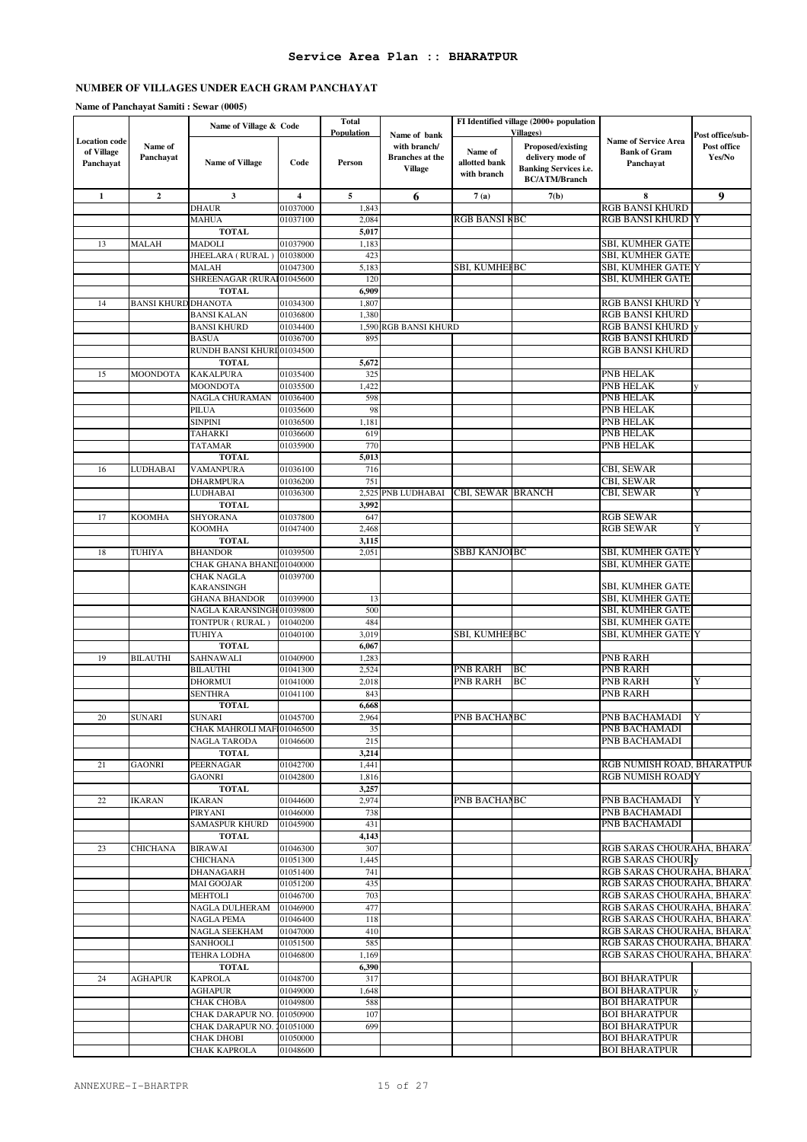#### **Name of Panchayat Samiti : Sewar (0005)**

|                                                 |                            | Name of Village & Code                     |                         | <b>Total</b>                |                                                                          |                                         | FI Identified village (2000+ population                                                                            |                                                                 |                                           |
|-------------------------------------------------|----------------------------|--------------------------------------------|-------------------------|-----------------------------|--------------------------------------------------------------------------|-----------------------------------------|--------------------------------------------------------------------------------------------------------------------|-----------------------------------------------------------------|-------------------------------------------|
| <b>Location code</b><br>of Village<br>Panchayat | Name of<br>Panchayat       | <b>Name of Village</b>                     | Code                    | <b>Population</b><br>Person | Name of bank<br>with branch/<br><b>Branches</b> at the<br><b>Village</b> | Name of<br>allotted bank<br>with branch | <b>Villages</b> )<br>Proposed/existing<br>delivery mode of<br><b>Banking Services i.e.</b><br><b>BC/ATM/Branch</b> | <b>Name of Service Area</b><br><b>Bank of Gram</b><br>Panchayat | Post office/sub-<br>Post office<br>Yes/No |
| $\mathbf{1}$                                    | $\mathbf{2}$               | 3                                          | $\overline{\mathbf{4}}$ | 5                           | 6                                                                        | 7(a)                                    | 7(b)                                                                                                               | 8                                                               | 9                                         |
|                                                 |                            | <b>DHAUR</b>                               | 01037000                | 1,843                       |                                                                          |                                         |                                                                                                                    | <b>RGB BANSI KHURD</b>                                          |                                           |
|                                                 |                            | MAHUA                                      | 01037100                | 2,084                       |                                                                          | <b>RGB BANSI KBC</b>                    |                                                                                                                    | <b>RGB BANSI KHURD Y</b>                                        |                                           |
|                                                 |                            | <b>TOTAL</b>                               |                         | 5,017                       |                                                                          |                                         |                                                                                                                    |                                                                 |                                           |
| 13                                              | <b>MALAH</b>               | <b>MADOLI</b>                              | 01037900                | 1,183                       |                                                                          |                                         |                                                                                                                    | <b>SBI, KUMHER GATE</b>                                         |                                           |
|                                                 |                            | JHEELARA (RURAL)                           | 01038000                | 423                         |                                                                          |                                         |                                                                                                                    | <b>SBI, KUMHER GATE</b>                                         |                                           |
|                                                 |                            | MALAH<br>SHREENAGAR (RURAI01045600         | 01047300                | 5,183<br>120                |                                                                          | SBI, KUMHEFBC                           |                                                                                                                    | SBI, KUMHER GATE Y<br><b>SBI, KUMHER GATE</b>                   |                                           |
|                                                 |                            | <b>TOTAL</b>                               |                         | 6,909                       |                                                                          |                                         |                                                                                                                    |                                                                 |                                           |
| 14                                              | <b>BANSI KHURD DHANOTA</b> |                                            | 01034300                | 1,807                       |                                                                          |                                         |                                                                                                                    | <b>RGB BANSI KHURD</b>                                          |                                           |
|                                                 |                            | <b>BANSI KALAN</b>                         | 01036800                | 1,380                       |                                                                          |                                         |                                                                                                                    | <b>RGB BANSI KHURD</b>                                          |                                           |
|                                                 |                            | <b>BANSI KHURD</b>                         | 01034400                |                             | 1,590 RGB BANSI KHURD                                                    |                                         |                                                                                                                    | <b>RGB BANSI KHURD</b>                                          |                                           |
|                                                 |                            | <b>BASUA</b>                               | 01036700                | 895                         |                                                                          |                                         |                                                                                                                    | <b>RGB BANSI KHURD</b>                                          |                                           |
|                                                 |                            | RUNDH BANSI KHURI 01034500                 |                         |                             |                                                                          |                                         |                                                                                                                    | <b>RGB BANSI KHURD</b>                                          |                                           |
|                                                 |                            | <b>TOTAL</b>                               |                         | 5,672                       |                                                                          |                                         |                                                                                                                    |                                                                 |                                           |
| 15                                              | MOONDOTA                   | <b>KAKALPURA</b>                           | 01035400                | 325                         |                                                                          |                                         |                                                                                                                    | <b>PNB HELAK</b>                                                |                                           |
|                                                 |                            | MOONDOTA                                   | 01035500                | 1,422                       |                                                                          |                                         |                                                                                                                    | <b>PNB HELAK</b>                                                |                                           |
|                                                 |                            | NAGLA CHURAMAN<br>PILUA                    | 01036400<br>01035600    | 598<br>98                   |                                                                          |                                         |                                                                                                                    | <b>PNB HELAK</b><br><b>PNB HELAK</b>                            |                                           |
|                                                 |                            | <b>SINPINI</b>                             | 01036500                | 1,181                       |                                                                          |                                         |                                                                                                                    | <b>PNB HELAK</b>                                                |                                           |
|                                                 |                            | <b>TAHARKI</b>                             | 01036600                | 619                         |                                                                          |                                         |                                                                                                                    | <b>PNB HELAK</b>                                                |                                           |
|                                                 |                            | <b>TATAMAR</b>                             | 01035900                | 770                         |                                                                          |                                         |                                                                                                                    | <b>PNB HELAK</b>                                                |                                           |
|                                                 |                            | <b>TOTAL</b>                               |                         | 5,013                       |                                                                          |                                         |                                                                                                                    |                                                                 |                                           |
| 16                                              | LUDHABAI                   | VAMANPURA                                  | 01036100                | 716                         |                                                                          |                                         |                                                                                                                    | <b>CBI, SEWAR</b>                                               |                                           |
|                                                 |                            | DHARMPURA                                  | 01036200                | 751                         |                                                                          |                                         |                                                                                                                    | CBI, SEWAR                                                      |                                           |
|                                                 |                            | LUDHABAI                                   | 01036300                | 2,525                       | PNB LUDHABAI                                                             | CBI, SEWAR BRANCH                       |                                                                                                                    | CBI, SEWAR                                                      | Y                                         |
|                                                 |                            | <b>TOTAL</b>                               |                         | 3,992                       |                                                                          |                                         |                                                                                                                    |                                                                 |                                           |
| 17                                              | <b>KOOMHA</b>              | SHYORANA                                   | 01037800                | 647                         |                                                                          |                                         |                                                                                                                    | <b>RGB SEWAR</b>                                                |                                           |
|                                                 |                            | KOOMHA                                     | 01047400                | 2,468                       |                                                                          |                                         |                                                                                                                    | <b>RGB SEWAR</b>                                                | Y                                         |
|                                                 |                            | <b>TOTAL</b>                               |                         | 3,115<br>2,051              |                                                                          | <b>SBBJ KANJOIBC</b>                    |                                                                                                                    | <b>SBI, KUMHER GATE Y</b>                                       |                                           |
| 18                                              | TUHIYA                     | <b>BHANDOR</b><br>CHAK GHANA BHAND01040000 | 01039500                |                             |                                                                          |                                         |                                                                                                                    | SBI, KUMHER GATE                                                |                                           |
|                                                 |                            | CHAK NAGLA                                 | 01039700                |                             |                                                                          |                                         |                                                                                                                    |                                                                 |                                           |
|                                                 |                            | KARANSINGH                                 |                         |                             |                                                                          |                                         |                                                                                                                    | SBI, KUMHER GATE                                                |                                           |
|                                                 |                            | <b>GHANA BHANDOR</b>                       | 01039900                | 13                          |                                                                          |                                         |                                                                                                                    | SBI, KUMHER GATE                                                |                                           |
|                                                 |                            | NAGLA KARANSINGH 01039800                  |                         | 500                         |                                                                          |                                         |                                                                                                                    | SBI, KUMHER GATE                                                |                                           |
|                                                 |                            | TONTPUR (RURAL)                            | 01040200                | 484                         |                                                                          |                                         |                                                                                                                    | SBI, KUMHER GATE                                                |                                           |
|                                                 |                            | TUHIYA                                     | 01040100                | 3,019                       |                                                                          | <b>SBI, KUMHEFBC</b>                    |                                                                                                                    | SBI, KUMHER GATE Y                                              |                                           |
|                                                 |                            | <b>TOTAL</b>                               |                         | 6,067                       |                                                                          |                                         |                                                                                                                    |                                                                 |                                           |
| 19                                              | <b>BILAUTHI</b>            | SAHNAWALI                                  | 01040900                | 1,283                       |                                                                          |                                         |                                                                                                                    | <b>PNB RARH</b>                                                 |                                           |
|                                                 |                            | BILAUTHI                                   | 01041300                | 2,524                       |                                                                          | PNB RARH<br><b>PNB RARH</b>             | BC<br>BC                                                                                                           | <b>PNB RARH</b>                                                 | Y                                         |
|                                                 |                            | DHORMUI<br>SENTHRA                         | 01041000<br>01041100    | 2,018<br>843                |                                                                          |                                         |                                                                                                                    | <b>PNB RARH</b><br><b>PNB RARH</b>                              |                                           |
|                                                 |                            | <b>TOTAL</b>                               |                         | 6,668                       |                                                                          |                                         |                                                                                                                    |                                                                 |                                           |
| 20                                              | <b>SUNARI</b>              | <b>SUNARI</b>                              | 01045700                | 2,964                       |                                                                          | PNB BACHANBC                            |                                                                                                                    | PNB BACHAMADI                                                   | Y                                         |
|                                                 |                            | CHAK MAHROLI MAFI01046500                  |                         | 35                          |                                                                          |                                         |                                                                                                                    | PNB BACHAMADI                                                   |                                           |
|                                                 |                            | NAGLA TARODA                               | 01046600                | 215                         |                                                                          |                                         |                                                                                                                    | PNB BACHAMADI                                                   |                                           |
|                                                 |                            | <b>TOTAL</b>                               |                         | 3,214                       |                                                                          |                                         |                                                                                                                    |                                                                 |                                           |
| 21                                              | <b>GAONRI</b>              | PEERNAGAR                                  | 01042700                | 1,441                       |                                                                          |                                         |                                                                                                                    | RGB NUMISH ROAD, BHARATPUR                                      |                                           |
|                                                 |                            | <b>GAONRI</b>                              | 01042800                | 1,816                       |                                                                          |                                         |                                                                                                                    | <b>RGB NUMISH ROAD Y</b>                                        |                                           |
|                                                 |                            | <b>TOTAL</b>                               |                         | 3,257                       |                                                                          |                                         |                                                                                                                    |                                                                 |                                           |
| 22                                              | <b>IKARAN</b>              | IKARAN                                     | 01044600                | 2,974                       |                                                                          | PNB BACHANBC                            |                                                                                                                    | PNB BACHAMADI                                                   | Y                                         |
|                                                 |                            | PIRYANI                                    | 01046000<br>01045900    | 738<br>431                  |                                                                          |                                         |                                                                                                                    | PNB BACHAMADI                                                   |                                           |
|                                                 |                            | <b>SAMASPUR KHURD</b><br><b>TOTAL</b>      |                         | 4,143                       |                                                                          |                                         |                                                                                                                    | PNB BACHAMADI                                                   |                                           |
| 23                                              | CHICHANA                   | <b>BIRAWAI</b>                             | 01046300                | 307                         |                                                                          |                                         |                                                                                                                    | RGB SARAS CHOURAHA, BHARAT                                      |                                           |
|                                                 |                            | <b>CHICHANA</b>                            | 01051300                | 1,445                       |                                                                          |                                         |                                                                                                                    | <b>RGB SARAS CHOUR y</b>                                        |                                           |
|                                                 |                            | DHANAGARH                                  | 01051400                | 741                         |                                                                          |                                         |                                                                                                                    | RGB SARAS CHOURAHA, BHARAT                                      |                                           |
|                                                 |                            | MAI GOOJAR                                 | 01051200                | 435                         |                                                                          |                                         |                                                                                                                    | RGB SARAS CHOURAHA, BHARAT                                      |                                           |
|                                                 |                            | MEHTOLI                                    | 01046700                | 703                         |                                                                          |                                         |                                                                                                                    | RGB SARAS CHOURAHA, BHARAT                                      |                                           |
|                                                 |                            | NAGLA DULHERAM                             | 01046900                | 477                         |                                                                          |                                         |                                                                                                                    | RGB SARAS CHOURAHA, BHARAT                                      |                                           |
|                                                 |                            | NAGLA PEMA                                 | 01046400                | 118                         |                                                                          |                                         |                                                                                                                    | RGB SARAS CHOURAHA, BHARAT                                      |                                           |
|                                                 |                            | NAGLA SEEKHAM                              | 01047000                | 410                         |                                                                          |                                         |                                                                                                                    | RGB SARAS CHOURAHA, BHARAT                                      |                                           |
|                                                 |                            | SANHOOLI                                   | 01051500                | 585                         |                                                                          |                                         |                                                                                                                    | RGB SARAS CHOURAHA, BHARAT                                      |                                           |
|                                                 |                            | TEHRA LODHA                                | 01046800                | 1,169                       |                                                                          |                                         |                                                                                                                    | RGB SARAS CHOURAHA, BHARAT                                      |                                           |
| 24                                              | <b>AGHAPUR</b>             | <b>TOTAL</b><br><b>KAPROLA</b>             | 01048700                | 6,390<br>317                |                                                                          |                                         |                                                                                                                    | <b>BOI BHARATPUR</b>                                            |                                           |
|                                                 |                            | <b>AGHAPUR</b>                             | 01049000                | 1,648                       |                                                                          |                                         |                                                                                                                    | <b>BOI BHARATPUR</b>                                            |                                           |
|                                                 |                            | СНАК СНОВА                                 | 01049800                | 588                         |                                                                          |                                         |                                                                                                                    | <b>BOI BHARATPUR</b>                                            |                                           |
|                                                 |                            | CHAK DARAPUR NO.                           | 101050900               | 107                         |                                                                          |                                         |                                                                                                                    | <b>BOI BHARATPUR</b>                                            |                                           |
|                                                 |                            | CHAK DARAPUR NO. 201051000                 |                         | 699                         |                                                                          |                                         |                                                                                                                    | <b>BOI BHARATPUR</b>                                            |                                           |
|                                                 |                            | CHAK DHOBI                                 | 01050000                |                             |                                                                          |                                         |                                                                                                                    | <b>BOI BHARATPUR</b>                                            |                                           |
|                                                 |                            | CHAK KAPROLA                               | 01048600                |                             |                                                                          |                                         |                                                                                                                    | <b>BOI BHARATPUR</b>                                            |                                           |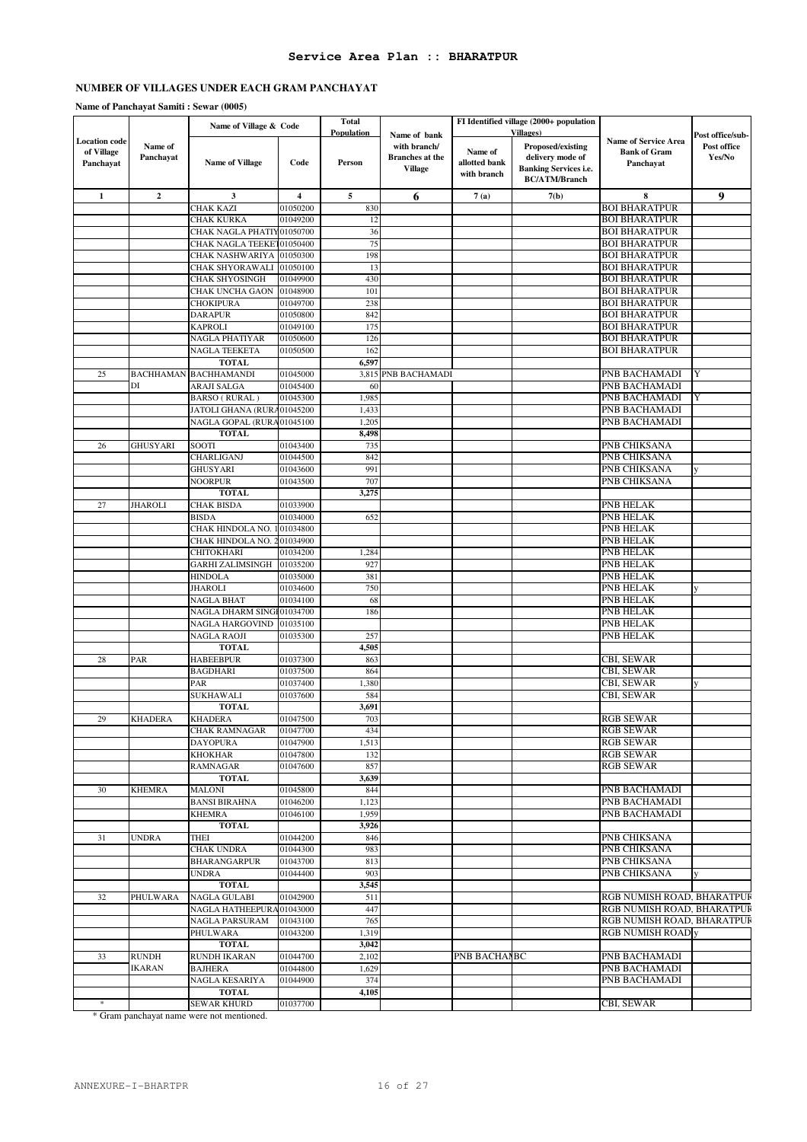#### **Name of Panchayat Samiti : Sewar (0005)**

|                                                 |                      | Name of Village & Code                                 |                         | <b>Total</b>                |                                                                          |                          | FI Identified village (2000+ population                                                           |                                                                 |                                           |
|-------------------------------------------------|----------------------|--------------------------------------------------------|-------------------------|-----------------------------|--------------------------------------------------------------------------|--------------------------|---------------------------------------------------------------------------------------------------|-----------------------------------------------------------------|-------------------------------------------|
| <b>Location</b> code<br>of Village<br>Panchayat | Name of<br>Panchayat | <b>Name of Village</b>                                 | Code                    | <b>Population</b><br>Person | Name of bank<br>with branch/<br><b>Branches</b> at the<br><b>Village</b> | Name of<br>allotted bank | <b>Villages</b> )<br><b>Proposed/existing</b><br>delivery mode of<br><b>Banking Services i.e.</b> | <b>Name of Service Area</b><br><b>Bank of Gram</b><br>Panchayat | Post office/sub-<br>Post office<br>Yes/No |
|                                                 |                      |                                                        |                         |                             |                                                                          | with branch              | <b>BC/ATM/Branch</b>                                                                              |                                                                 |                                           |
| $\mathbf{1}$                                    | $\mathbf 2$          | 3                                                      | $\overline{\mathbf{4}}$ | $\sqrt{5}$                  | 6                                                                        | 7(a)                     | 7(b)                                                                                              | $\bf 8$                                                         | 9                                         |
|                                                 |                      | CHAK KAZI                                              | 01050200                | 830                         |                                                                          |                          |                                                                                                   | <b>BOI BHARATPUR</b>                                            |                                           |
|                                                 |                      | CHAK KURKA                                             | 01049200                | 12                          |                                                                          |                          |                                                                                                   | <b>BOI BHARATPUR</b><br><b>BOI BHARATPUR</b>                    |                                           |
|                                                 |                      | CHAK NAGLA PHATIY01050700<br>CHAK NAGLA TEEKET01050400 |                         | 36<br>75                    |                                                                          |                          |                                                                                                   | <b>BOI BHARATPUR</b>                                            |                                           |
|                                                 |                      | CHAK NASHWARIYA                                        | 01050300                | 198                         |                                                                          |                          |                                                                                                   | <b>BOI BHARATPUR</b>                                            |                                           |
|                                                 |                      | CHAK SHYORAWALI                                        | 01050100                | 13                          |                                                                          |                          |                                                                                                   | <b>BOI BHARATPUR</b>                                            |                                           |
|                                                 |                      | <b>CHAK SHYOSINGH</b>                                  | 01049900                | 430                         |                                                                          |                          |                                                                                                   | <b>BOI BHARATPUR</b>                                            |                                           |
|                                                 |                      | CHAK UNCHA GAON                                        | 01048900                | 101                         |                                                                          |                          |                                                                                                   | <b>BOI BHARATPUR</b>                                            |                                           |
|                                                 |                      | <b>CHOKIPURA</b>                                       | 01049700                | 238                         |                                                                          |                          |                                                                                                   | <b>BOI BHARATPUR</b>                                            |                                           |
|                                                 |                      | <b>DARAPUR</b><br><b>KAPROLI</b>                       | 01050800<br>01049100    | 842<br>175                  |                                                                          |                          |                                                                                                   | <b>BOI BHARATPUR</b><br><b>BOI BHARATPUR</b>                    |                                           |
|                                                 |                      | NAGLA PHATIYAR                                         | 01050600                | 126                         |                                                                          |                          |                                                                                                   | <b>BOI BHARATPUR</b>                                            |                                           |
|                                                 |                      | NAGLA TEEKETA                                          | 01050500                | 162                         |                                                                          |                          |                                                                                                   | <b>BOI BHARATPUR</b>                                            |                                           |
|                                                 |                      | <b>TOTAL</b>                                           |                         | 6,597                       |                                                                          |                          |                                                                                                   |                                                                 |                                           |
| 25                                              | <b>BACHHAMAN</b>     | <b>BACHHAMANDI</b>                                     | 01045000                |                             | 3,815 PNB BACHAMADI                                                      |                          |                                                                                                   | PNB BACHAMADI                                                   | Y                                         |
|                                                 | DI                   | ARAJI SALGA                                            | 01045400                | 60                          |                                                                          |                          |                                                                                                   | PNB BACHAMADI                                                   |                                           |
|                                                 |                      | BARSO (RURAL)                                          | 01045300                | 1,983                       |                                                                          |                          |                                                                                                   | <b>PNB BACHAMADI</b>                                            | Y                                         |
|                                                 |                      | JATOLI GHANA (RURA01045200                             |                         | 1,433<br>1,205              |                                                                          |                          |                                                                                                   | PNB BACHAMADI<br>PNB BACHAMADI                                  |                                           |
|                                                 |                      | NAGLA GOPAL (RURA01045100<br><b>TOTAL</b>              |                         | 8,498                       |                                                                          |                          |                                                                                                   |                                                                 |                                           |
| 26                                              | GHUSYARI             | SOOTI                                                  | 01043400                | 735                         |                                                                          |                          |                                                                                                   | PNB CHIKSANA                                                    |                                           |
|                                                 |                      | CHARLIGANJ                                             | 01044500                | 842                         |                                                                          |                          |                                                                                                   | PNB CHIKSANA                                                    |                                           |
|                                                 |                      | <b>GHUSYARI</b>                                        | 01043600                | 991                         |                                                                          |                          |                                                                                                   | PNB CHIKSANA                                                    | y                                         |
|                                                 |                      | NOORPUR                                                | 01043500                | 707                         |                                                                          |                          |                                                                                                   | PNB CHIKSANA                                                    |                                           |
|                                                 |                      | <b>TOTAL</b>                                           |                         | 3,275                       |                                                                          |                          |                                                                                                   |                                                                 |                                           |
| 27                                              | <b>JHAROLI</b>       | <b>CHAK BISDA</b><br><b>BISDA</b>                      | 01033900<br>01034000    | 652                         |                                                                          |                          |                                                                                                   | PNB HELAK<br>PNB HELAK                                          |                                           |
|                                                 |                      | CHAK HINDOLA NO.                                       | 101034800               |                             |                                                                          |                          |                                                                                                   | PNB HELAK                                                       |                                           |
|                                                 |                      | CHAK HINDOLA NO.                                       | 201034900               |                             |                                                                          |                          |                                                                                                   | PNB HELAK                                                       |                                           |
|                                                 |                      | CHITOKHARI                                             | 01034200                | 1,284                       |                                                                          |                          |                                                                                                   | PNB HELAK                                                       |                                           |
|                                                 |                      | <b>GARHI ZALIMSINGH</b>                                | 01035200                | 927                         |                                                                          |                          |                                                                                                   | <b>PNB HELAK</b>                                                |                                           |
|                                                 |                      | <b>HINDOLA</b>                                         | 01035000                | 381                         |                                                                          |                          |                                                                                                   | PNB HELAK                                                       |                                           |
|                                                 |                      | JHAROLI                                                | 01034600                | 750                         |                                                                          |                          |                                                                                                   | PNB HELAK                                                       | V                                         |
|                                                 |                      | NAGLA BHAT<br>NAGLA DHARM SINGI 01034700               | 01034100                | 68<br>186                   |                                                                          |                          |                                                                                                   | PNB HELAK<br>PNB HELAK                                          |                                           |
|                                                 |                      | NAGLA HARGOVIND                                        | 01035100                |                             |                                                                          |                          |                                                                                                   | <b>PNB HELAK</b>                                                |                                           |
|                                                 |                      | NAGLA RAOJI                                            | 01035300                | 257                         |                                                                          |                          |                                                                                                   | PNB HELAK                                                       |                                           |
|                                                 |                      | <b>TOTAL</b>                                           |                         | 4,505                       |                                                                          |                          |                                                                                                   |                                                                 |                                           |
| 28                                              | PAR                  | <b>HABEEBPUR</b>                                       | 01037300                | 863                         |                                                                          |                          |                                                                                                   | CBI, SEWAR                                                      |                                           |
|                                                 |                      | <b>BAGDHARI</b>                                        | 01037500                | 864                         |                                                                          |                          |                                                                                                   | CBI, SEWAR                                                      |                                           |
|                                                 |                      | PAR<br>SUKHAWALI                                       | 01037400<br>01037600    | 1,380<br>584                |                                                                          |                          |                                                                                                   | CBI, SEWAR<br>CBI, SEWAR                                        | y                                         |
|                                                 |                      | <b>TOTAL</b>                                           |                         | 3,691                       |                                                                          |                          |                                                                                                   |                                                                 |                                           |
| 29                                              | <b>KHADERA</b>       | <b>KHADERA</b>                                         | 01047500                | 703                         |                                                                          |                          |                                                                                                   | <b>RGB SEWAR</b>                                                |                                           |
|                                                 |                      | <b>CHAK RAMNAGAR</b>                                   | 01047700                | 434                         |                                                                          |                          |                                                                                                   | <b>RGB SEWAR</b>                                                |                                           |
|                                                 |                      | DAYOPURA                                               | 01047900                | 1,513                       |                                                                          |                          |                                                                                                   | <b>RGB SEWAR</b>                                                |                                           |
|                                                 |                      | <b>KHOKHAR</b>                                         | 01047800                | 132                         |                                                                          |                          |                                                                                                   | <b>RGB SEWAR</b>                                                |                                           |
|                                                 |                      | <b>RAMNAGAR</b><br><b>TOTAL</b>                        | 01047600                | 857<br>3,639                |                                                                          |                          |                                                                                                   | <b>RGB SEWAR</b>                                                |                                           |
| 30                                              | <b>KHEMRA</b>        | <b>MALONI</b>                                          | 01045800                | 844                         |                                                                          |                          |                                                                                                   | PNB BACHAMADI                                                   |                                           |
|                                                 |                      | <b>BANSI BIRAHNA</b>                                   | 01046200                | 1,123                       |                                                                          |                          |                                                                                                   | PNB BACHAMADI                                                   |                                           |
|                                                 |                      | <b>KHEMRA</b>                                          | 01046100                | 1,959                       |                                                                          |                          |                                                                                                   | PNB BACHAMADI                                                   |                                           |
|                                                 |                      | <b>TOTAL</b>                                           |                         | 3,926                       |                                                                          |                          |                                                                                                   |                                                                 |                                           |
| 31                                              | <b>UNDRA</b>         | <b>THEI</b>                                            | 01044200                | 846                         |                                                                          |                          |                                                                                                   | PNB CHIKSANA                                                    |                                           |
|                                                 |                      | <b>CHAK UNDRA</b><br><b>BHARANGARPUR</b>               | 01044300                | 983<br>813                  |                                                                          |                          |                                                                                                   | PNB CHIKSANA<br>PNB CHIKSANA                                    |                                           |
|                                                 |                      | <b>UNDRA</b>                                           | 01043700<br>01044400    | 903                         |                                                                          |                          |                                                                                                   | PNB CHIKSANA                                                    | y                                         |
|                                                 |                      | <b>TOTAL</b>                                           |                         | 3,545                       |                                                                          |                          |                                                                                                   |                                                                 |                                           |
| 32                                              | PHULWARA             | NAGLA GULABI                                           | 01042900                | 511                         |                                                                          |                          |                                                                                                   | RGB NUMISH ROAD, BHARATPUR                                      |                                           |
|                                                 |                      | NAGLA HATHEEPURA 01043000                              |                         | 447                         |                                                                          |                          |                                                                                                   | RGB NUMISH ROAD, BHARATPUR                                      |                                           |
|                                                 |                      | NAGLA PARSURAM                                         | 01043100                | 765                         |                                                                          |                          |                                                                                                   | RGB NUMISH ROAD, BHARATPUR                                      |                                           |
|                                                 |                      | PHULWARA                                               | 01043200                | 1,319                       |                                                                          |                          |                                                                                                   | <b>RGB NUMISH ROAD</b> y                                        |                                           |
| 33                                              | RUNDH                | <b>TOTAL</b><br>RUNDH IKARAN                           | 01044700                | 3,042<br>2,102              |                                                                          | PNB BACHANBC             |                                                                                                   | PNB BACHAMADI                                                   |                                           |
|                                                 | <b>IKARAN</b>        | <b>BAJHERA</b>                                         | 01044800                | 1,629                       |                                                                          |                          |                                                                                                   | PNB BACHAMADI                                                   |                                           |
|                                                 |                      | NAGLA KESARIYA                                         | 01044900                | 374                         |                                                                          |                          |                                                                                                   | PNB BACHAMADI                                                   |                                           |
|                                                 |                      | <b>TOTAL</b>                                           |                         | 4,105                       |                                                                          |                          |                                                                                                   |                                                                 |                                           |
| $\ast$                                          |                      | SEWAR KHURD                                            | 01037700                |                             |                                                                          |                          |                                                                                                   | CBI, SEWAR                                                      |                                           |

\* Gram panchayat name were not mentioned.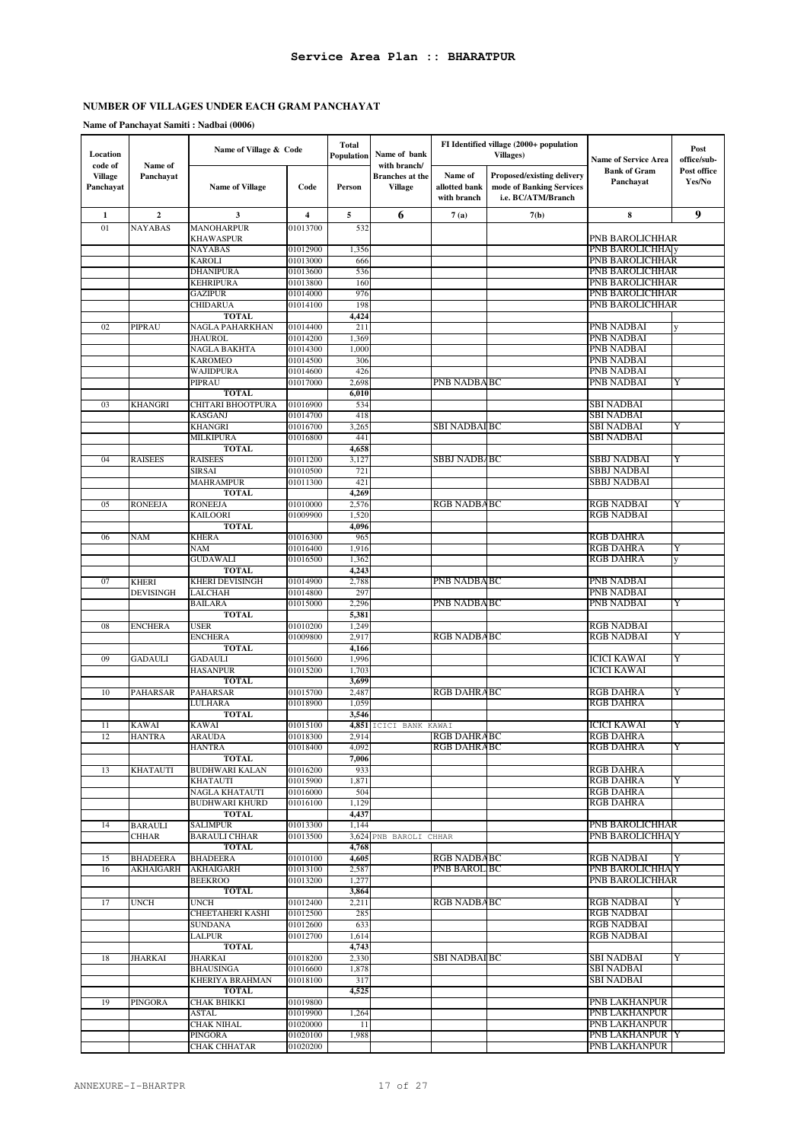| Location<br>code of         | Name of                          | Name of Village & Code                  |                      | Total<br>Population | Name of bank<br>with branch/             |                                         | FI Identified village (2000+ population<br><b>Villages</b> )                 | <b>Name of Service Area</b>                      | Post<br>office/sub-   |
|-----------------------------|----------------------------------|-----------------------------------------|----------------------|---------------------|------------------------------------------|-----------------------------------------|------------------------------------------------------------------------------|--------------------------------------------------|-----------------------|
| <b>Village</b><br>Panchayat | Panchayat                        | <b>Name of Village</b>                  | Code                 | Person              | <b>Branches</b> at the<br><b>Village</b> | Name of<br>allotted bank<br>with branch | Proposed/existing delivery<br>mode of Banking Services<br>i.e. BC/ATM/Branch | <b>Bank of Gram</b><br>Panchayat                 | Post office<br>Yes/No |
| 1                           | $\mathbf{2}$                     | 3                                       | 4                    | 5                   | 6                                        | 7(a)                                    | 7(b)                                                                         | 8                                                | 9                     |
| 01                          | <b>NAYABAS</b>                   | <b>MANOHARPUR</b><br>KHAWASPUR          | 01013700             | 532                 |                                          |                                         |                                                                              | PNB BAROLICHHAR                                  |                       |
|                             |                                  | <b>NAYABAS</b>                          | 01012900             | 1,356               |                                          |                                         |                                                                              | <b>PNB BAROLICHHAV</b>                           |                       |
|                             |                                  | KAROLI                                  | 01013000             | 666                 |                                          |                                         |                                                                              | <b>PNB BAROLICHHAR</b>                           |                       |
|                             |                                  | <b>DHANIPURA</b>                        | 01013600             | 536                 |                                          |                                         |                                                                              | <b>PNB BAROLICHHAR</b>                           |                       |
|                             |                                  | <b>KEHRIPURA</b>                        | 01013800             | 160                 |                                          |                                         |                                                                              | <b>PNB BAROLICHHAR</b>                           |                       |
|                             |                                  | <b>GAZIPUR</b><br><b>CHIDARUA</b>       | 01014000<br>01014100 | 976<br>198          |                                          |                                         |                                                                              | <b>PNB BAROLICHHAR</b><br><b>PNB BAROLICHHAR</b> |                       |
|                             |                                  | <b>TOTAL</b>                            |                      | 4,424               |                                          |                                         |                                                                              |                                                  |                       |
| 02                          | PIPRAU                           | NAGLA PAHARKHAN                         | 01014400             | 211                 |                                          |                                         |                                                                              | PNB NADBAI                                       |                       |
|                             |                                  | <b>JHAUROL</b>                          | 01014200             | 1,369               |                                          |                                         |                                                                              | PNB NADBAI                                       |                       |
|                             |                                  | NAGLA BAKHTA                            | 01014300             | 1,000               |                                          |                                         |                                                                              | PNB NADBAI                                       |                       |
|                             |                                  | <b>KAROMEO</b><br>WAJIDPURA             | 01014500<br>01014600 | 306<br>426          |                                          |                                         |                                                                              | PNB NADBAI<br>PNB NADBAI                         |                       |
|                             |                                  | PIPRAU                                  | 01017000             | 2,698               |                                          | PNB NADBA BC                            |                                                                              | PNB NADBAI                                       | Y                     |
|                             |                                  | <b>TOTAL</b>                            |                      | 6,010               |                                          |                                         |                                                                              |                                                  |                       |
| 03                          | <b>KHANGRI</b>                   | CHITARI BHOOTPURA                       | 01016900             | 534                 |                                          |                                         |                                                                              | <b>SBI NADBAI</b>                                |                       |
|                             |                                  | KASGANJ                                 | 01014700             | 418                 |                                          |                                         |                                                                              | <b>SBI NADBAI</b>                                |                       |
|                             |                                  | <b>KHANGRI</b>                          | 01016700             | 3,265               |                                          | <b>SBI NADBAI BC</b>                    |                                                                              | <b>SBI NADBAI</b>                                | Y                     |
|                             |                                  | MILKIPURA<br><b>TOTAL</b>               | 01016800             | 441<br>4,658        |                                          |                                         |                                                                              | <b>SBI NADBAI</b>                                |                       |
| 04                          | <b>RAISEES</b>                   | <b>RAISEES</b>                          | 01011200             | 3,127               |                                          | SBBJ NADBABC                            |                                                                              | <b>SBBJ NADBAI</b>                               | Y                     |
|                             |                                  | <b>SIRSAI</b>                           | 01010500             | 721                 |                                          |                                         |                                                                              | SBBJ NADBAI                                      |                       |
|                             |                                  | <b>MAHRAMPUR</b>                        | 01011300             | 421                 |                                          |                                         |                                                                              | <b>SBBJ NADBAI</b>                               |                       |
|                             |                                  | <b>TOTAL</b>                            |                      | 4,269               |                                          |                                         |                                                                              |                                                  |                       |
| 05                          | <b>RONEEJA</b>                   | <b>RONEEJA</b>                          | 01010000             | 2,576               |                                          | RGB NADBABC                             |                                                                              | <b>RGB NADBAI</b>                                | Y                     |
|                             |                                  | KAILOORI<br><b>TOTAL</b>                | 01009900             | 1,520<br>4,096      |                                          |                                         |                                                                              | <b>RGB NADBAI</b>                                |                       |
| 06                          | <b>NAM</b>                       | KHERA                                   | 01016300             | 965                 |                                          |                                         |                                                                              | <b>RGB DAHRA</b>                                 |                       |
|                             |                                  | NAM                                     | 01016400             | 1,916               |                                          |                                         |                                                                              | <b>RGB DAHRA</b>                                 | Y                     |
|                             |                                  | <b>GUDAWALI</b>                         | 01016500             | 1,362               |                                          |                                         |                                                                              | RGB DAHRA                                        |                       |
|                             |                                  | <b>TOTAL</b>                            |                      | 4,243               |                                          |                                         |                                                                              |                                                  |                       |
| 07                          | <b>KHERI</b><br><b>DEVISINGH</b> | <b>KHERI DEVISINGH</b><br>LALCHAH       | 01014900<br>01014800 | 2,788               |                                          | PNB NADBA BC                            |                                                                              | PNB NADBAI<br>PNB NADBAI                         |                       |
|                             |                                  | <b>BAILARA</b>                          | 01015000             | 297<br>2,296        |                                          | PNB NADBA BC                            |                                                                              | PNB NADBAI                                       | Y                     |
|                             |                                  | <b>TOTAL</b>                            |                      | 5,381               |                                          |                                         |                                                                              |                                                  |                       |
| 08                          | <b>ENCHERA</b>                   | <b>USER</b>                             | 01010200             | 1,249               |                                          |                                         |                                                                              | <b>RGB NADBAI</b>                                |                       |
|                             |                                  | <b>ENCHERA</b>                          | 01009800             | 2,917               |                                          | <b>RGB NADBABC</b>                      |                                                                              | <b>RGB NADBAI</b>                                | Y                     |
| 09                          | <b>GADAULI</b>                   | <b>TOTAL</b><br><b>GADAULI</b>          | 01015600             | 4,166<br>1,996      |                                          |                                         |                                                                              | <b>ICICI KAWAI</b>                               | Y                     |
|                             |                                  | <b>HASANPUR</b>                         | 01015200             | 1,703               |                                          |                                         |                                                                              | <b>ICICI KAWAI</b>                               |                       |
|                             |                                  | <b>TOTAL</b>                            |                      | 3,699               |                                          |                                         |                                                                              |                                                  |                       |
| 10                          | PAHARSAR                         | PAHARSAR                                | 01015700             | 2,487               |                                          | <b>RGB DAHRABC</b>                      |                                                                              | RGB DAHRA                                        | Y                     |
|                             |                                  | LULHARA                                 | 01018900             | 1,059               |                                          |                                         |                                                                              | <b>RGB DAHRA</b>                                 |                       |
|                             |                                  | <b>TOTAL</b>                            |                      | 3,546               |                                          |                                         |                                                                              |                                                  |                       |
| 11<br>12                    | <b>KAWAI</b><br><b>HANTRA</b>    | KAWAI<br><b>ARAUDA</b>                  | 01015100<br>01018300 | 4,851<br>2,914      | ICICI BANK KAWAI                         | <b>RGB DAHRABC</b>                      |                                                                              | <b>ICICI KAWAI</b><br><b>RGB DAHRA</b>           | Y                     |
|                             |                                  | <b>HANTRA</b>                           | 01018400             | 4,092               |                                          | RGB DAHRABC                             |                                                                              | RGB DAHRA                                        | Y                     |
|                             |                                  | <b>TOTAL</b>                            |                      | 7,006               |                                          |                                         |                                                                              |                                                  |                       |
| 13                          | <b>KHATAUTI</b>                  | <b>BUDHWARI KALAN</b>                   | 01016200             | 933                 |                                          |                                         |                                                                              | <b>RGB DAHRA</b>                                 |                       |
|                             |                                  | KHATAUTI                                | 01015900             | 1,871               |                                          |                                         |                                                                              | <b>RGB DAHRA</b>                                 | Y                     |
|                             |                                  | NAGLA KHATAUTI<br><b>BUDHWARI KHURD</b> | 01016000<br>01016100 | 504<br>1,129        |                                          |                                         |                                                                              | RGB DAHRA<br><b>RGB DAHRA</b>                    |                       |
|                             |                                  | <b>TOTAL</b>                            |                      | 4,437               |                                          |                                         |                                                                              |                                                  |                       |
| 14                          | <b>BARAULI</b>                   | <b>SALIMPUR</b>                         | 01013300             | 1,144               |                                          |                                         |                                                                              | PNB BAROLICHHAR                                  |                       |
|                             | <b>CHHAR</b>                     | <b>BARAULI CHHAR</b>                    | 01013500             |                     | 3,624 PNB BAROLI CHHAR                   |                                         |                                                                              | PNB BAROLICHHAIY                                 |                       |
|                             |                                  | <b>TOTAL</b>                            |                      | 4,768               |                                          |                                         |                                                                              |                                                  |                       |
| 15<br>16                    | <b>BHADEERA</b><br>AKHAIGARH     | <b>BHADEERA</b><br>AKHAIGARH            | 01010100<br>01013100 | 4,605<br>2,587      |                                          | <b>RGB NADBABC</b><br>PNB BAROLIBC      |                                                                              | <b>RGB NADBAI</b><br>PNB BAROLICHHA Y            |                       |
|                             |                                  | <b>BEEKROO</b>                          | 01013200             | 1,277               |                                          |                                         |                                                                              | PNB BAROLICHHAR                                  |                       |
|                             |                                  | <b>TOTAL</b>                            |                      | 3,864               |                                          |                                         |                                                                              |                                                  |                       |
| 17                          | UNCH                             | UNCH                                    | 01012400             | 2,211               |                                          | <b>RGB NADBABC</b>                      |                                                                              | <b>RGB NADBAI</b>                                | Y                     |
|                             |                                  | CHEETAHERI KASHI                        | 01012500             | 285                 |                                          |                                         |                                                                              | <b>RGB NADBAI</b>                                |                       |
|                             |                                  | SUNDANA<br><b>LALPUR</b>                | 01012600<br>01012700 | 633<br>1,614        |                                          |                                         |                                                                              | <b>RGB NADBAI</b><br>RGB NADBAI                  |                       |
|                             |                                  | <b>TOTAL</b>                            |                      | 4,743               |                                          |                                         |                                                                              |                                                  |                       |
| 18                          | JHARKAI                          | JHARKAI                                 | 01018200             | 2,330               |                                          | <b>SBI NADBAI BC</b>                    |                                                                              | <b>SBI NADBAI</b>                                | Y                     |
|                             |                                  | BHAUSINGA                               | 01016600             | 1,878               |                                          |                                         |                                                                              | <b>SBI NADBAI</b>                                |                       |
|                             |                                  | KHERIYA BRAHMAN                         | 01018100             | 317                 |                                          |                                         |                                                                              | SBI NADBAI                                       |                       |
| 19                          | PINGORA                          | <b>TOTAL</b>                            | 01019800             | 4,525               |                                          |                                         |                                                                              | PNB LAKHANPUR                                    |                       |
|                             |                                  | CHAK BHIKKI<br>ASTAL                    | 01019900             | 1,264               |                                          |                                         |                                                                              | PNB LAKHANPUR                                    |                       |
|                             |                                  | <b>CHAK NIHAL</b>                       | 01020000             | 11                  |                                          |                                         |                                                                              | PNB LAKHANPUR                                    |                       |
|                             |                                  | PINGORA                                 | 01020100             | 1,988               |                                          |                                         |                                                                              | <b>PNB LAKHANPUR Y</b>                           |                       |
|                             |                                  | CHAK CHHATAR                            | 01020200             |                     |                                          |                                         |                                                                              | PNB LAKHANPUR                                    |                       |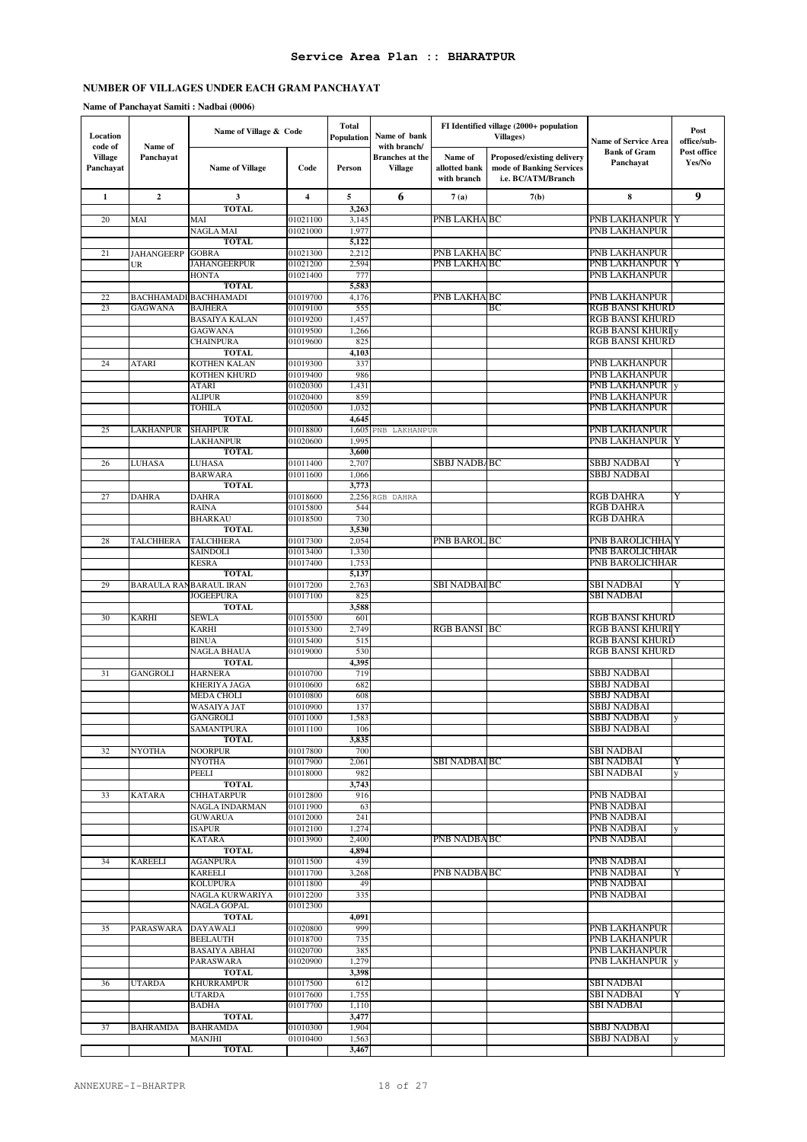| Location<br>code of  | Name of                 | Name of Village & Code              |                      | Total<br>Population | Name of bank<br>with branch/             |                                         | FI Identified village (2000+ population<br><b>Villages</b> )                 | <b>Name of Service Area</b>          | Post<br>office/sub-   |
|----------------------|-------------------------|-------------------------------------|----------------------|---------------------|------------------------------------------|-----------------------------------------|------------------------------------------------------------------------------|--------------------------------------|-----------------------|
| Village<br>Panchayat | Panchayat               | <b>Name of Village</b>              | Code                 | Person              | <b>Branches</b> at the<br><b>Village</b> | Name of<br>allotted bank<br>with branch | Proposed/existing delivery<br>mode of Banking Services<br>i.e. BC/ATM/Branch | <b>Bank of Gram</b><br>Panchayat     | Post office<br>Yes/No |
| $\mathbf{1}$         | $\overline{2}$          | $\overline{\mathbf{3}}$             | $\boldsymbol{4}$     | 5                   | 6                                        | 7(a)                                    | 7(b)                                                                         | 8                                    | 9                     |
| 20                   | MAI                     | <b>TOTAL</b><br>MAI                 | 01021100             | 3,263<br>3,145      |                                          | PNB LAKHA BC                            |                                                                              | PNB LAKHANPUR Y                      |                       |
|                      |                         | NAGLA MAI                           | 01021000             | 1,977               |                                          |                                         |                                                                              | PNB LAKHANPUR                        |                       |
|                      |                         | <b>TOTAL</b>                        |                      | 5,122               |                                          |                                         |                                                                              |                                      |                       |
| 21                   | <b>JAHANGEERP</b>       | <b>GOBRA</b>                        | 01021300             | 2,212               |                                          | PNB LAKHA BC                            |                                                                              | PNB LAKHANPUR                        |                       |
|                      | UR                      | <b>JAHANGEERPUR</b>                 | 01021200             | 2,594               |                                          | <b>PNB LAKHA BC</b>                     |                                                                              | PNB LAKHANPUR  Y                     |                       |
|                      |                         | <b>HONTA</b><br><b>TOTAL</b>        | 01021400             | 777                 |                                          |                                         |                                                                              | PNB LAKHANPUR                        |                       |
| 22                   |                         | <b>BACHHAMADI BACHHAMADI</b>        | 01019700             | 5,583<br>4,176      |                                          | PNB LAKHA BC                            |                                                                              | PNB LAKHANPUR                        |                       |
| 23                   | <b>GAGWANA</b>          | <b>BAJHERA</b>                      | 01019100             | 555                 |                                          |                                         | ВC                                                                           | RGB BANSI KHURD                      |                       |
|                      |                         | <b>BASAIYA KALAN</b>                | 01019200             | 1,457               |                                          |                                         |                                                                              | <b>RGB BANSI KHURD</b>               |                       |
|                      |                         | <b>GAGWANA</b>                      | 01019500             | 1,266               |                                          |                                         |                                                                              | <b>RGB BANSI KHURI y</b>             |                       |
|                      |                         | <b>CHAINPURA</b>                    | 01019600             | 825                 |                                          |                                         |                                                                              | <b>RGB BANSI KHURD</b>               |                       |
| 24                   | <b>ATARI</b>            | <b>TOTAL</b><br><b>KOTHEN KALAN</b> | 01019300             | 4,103<br>337        |                                          |                                         |                                                                              | PNB LAKHANPUR                        |                       |
|                      |                         | KOTHEN KHURD                        | 01019400             | 986                 |                                          |                                         |                                                                              | PNB LAKHANPUR                        |                       |
|                      |                         | ATARI                               | 01020300             | 1,431               |                                          |                                         |                                                                              | PNB LAKHANPUR                        |                       |
|                      |                         | <b>ALIPUR</b>                       | 01020400             | 859                 |                                          |                                         |                                                                              | PNB LAKHANPUR                        |                       |
|                      |                         | <b>TOHILA</b>                       | 01020500             | 1,032               |                                          |                                         |                                                                              | PNB LAKHANPUR                        |                       |
|                      |                         | <b>TOTAL</b>                        |                      | 4.645               |                                          |                                         |                                                                              |                                      |                       |
| 25                   | LAKHANPUR               | <b>SHAHPUR</b><br><b>LAKHANPUR</b>  | 01018800<br>01020600 | 1,605<br>1,995      | PNB LAKHANPUR                            |                                         |                                                                              | PNB LAKHANPUR<br>PNB LAKHANPUR Y     |                       |
|                      |                         | <b>TOTAL</b>                        |                      | 3,600               |                                          |                                         |                                                                              |                                      |                       |
| 26                   | LUHASA                  | <b>LUHASA</b>                       | 01011400             | 2,707               |                                          | <b>SBBJ NADBABC</b>                     |                                                                              | SBBJ NADBAI                          | Y                     |
|                      |                         | <b>BARWARA</b>                      | 01011600             | 1,066               |                                          |                                         |                                                                              | <b>SBBJ NADBAI</b>                   |                       |
|                      |                         | <b>TOTAL</b>                        |                      | 3,773               |                                          |                                         |                                                                              |                                      |                       |
| 27                   | <b>DAHRA</b>            | <b>DAHRA</b>                        | 01018600             | 2,256               | RGB DAHRA                                |                                         |                                                                              | RGB DAHRA                            | Y                     |
|                      |                         | <b>RAINA</b><br><b>BHARKAU</b>      | 01015800<br>01018500 | 544<br>730          |                                          |                                         |                                                                              | <b>RGB DAHRA</b><br><b>RGB DAHRA</b> |                       |
|                      |                         | <b>TOTAL</b>                        |                      | 3,530               |                                          |                                         |                                                                              |                                      |                       |
| 28                   | <b>TALCHHERA</b>        | <b>TALCHHERA</b>                    | 01017300             | 2,054               |                                          | <b>PNB BAROLIBC</b>                     |                                                                              | PNB BAROLICHHA Y                     |                       |
|                      |                         | SAINDOLI                            | 01013400             | 1,330               |                                          |                                         |                                                                              | PNB BAROLICHHAR                      |                       |
|                      |                         | <b>KESRA</b>                        | 01017400             | 1,753               |                                          |                                         |                                                                              | PNB BAROLICHHAR                      |                       |
|                      |                         | <b>TOTAL</b>                        |                      | 5,137<br>2,763      |                                          | <b>SBI NADBAI BC</b>                    |                                                                              | SBI NADBAI                           | Y                     |
| 29                   | BARAULA RAN BARAUL IRAN | <b>JOGEEPURA</b>                    | 01017200<br>01017100 | 825                 |                                          |                                         |                                                                              | SBI NADBAI                           |                       |
|                      |                         | <b>TOTAL</b>                        |                      | 3,588               |                                          |                                         |                                                                              |                                      |                       |
| 30                   | <b>KARHI</b>            | <b>SEWLA</b>                        | 01015500             | 601                 |                                          |                                         |                                                                              | RGB BANSI KHURD                      |                       |
|                      |                         | <b>KARHI</b>                        | 01015300             | 2,749               |                                          | <b>RGB BANSI IBC</b>                    |                                                                              | <b>RGB BANSI KHURI Y</b>             |                       |
|                      |                         | <b>BINUA</b><br><b>NAGLA BHAUA</b>  | 01015400             | 515                 |                                          |                                         |                                                                              | <b>RGB BANSI KHURD</b>               |                       |
|                      |                         | <b>TOTAL</b>                        | 01019000             | 530<br>4,395        |                                          |                                         |                                                                              | <b>RGB BANSI KHURD</b>               |                       |
| 31                   | <b>GANGROLI</b>         | <b>HARNERA</b>                      | 01010700             | 719                 |                                          |                                         |                                                                              | SBBJ NADBAI                          |                       |
|                      |                         | <b>KHERIYA JAGA</b>                 | 01010600             | 682                 |                                          |                                         |                                                                              | SBBJ NADBAI                          |                       |
|                      |                         | <b>MEDA CHOLI</b>                   | 01010800             | 608                 |                                          |                                         |                                                                              | SBBJ NADBAI                          |                       |
|                      |                         | WASAIYA JAT                         | 01010900             | 137                 |                                          |                                         |                                                                              | SBBJ NADBAI                          |                       |
|                      |                         | <b>GANGROLI</b><br>SAMANTPURA       | 01011000<br>01011100 | 1,583<br>106        |                                          |                                         |                                                                              | <b>SBBJ NADBAI</b><br>SBBJ NADBAI    | y                     |
|                      |                         | <b>TOTAL</b>                        |                      | 3,835               |                                          |                                         |                                                                              |                                      |                       |
| 32                   | <b>NYOTHA</b>           | <b>NOORPUR</b>                      | 01017800             | 700                 |                                          |                                         |                                                                              | <b>SBI NADBAI</b>                    |                       |
|                      |                         | <b>NYOTHA</b>                       | 01017900             | 2,061               |                                          | SBI NADBAI BC                           |                                                                              | SBI NADBAI                           | Y                     |
|                      |                         | PEELI                               | 01018000             | 982                 |                                          |                                         |                                                                              | SBI NADBAI                           |                       |
| 33                   | <b>KATARA</b>           | <b>TOTAL</b><br><b>CHHATARPUR</b>   | 01012800             | 3,743<br>916        |                                          |                                         |                                                                              | PNB NADBAI                           |                       |
|                      |                         | <b>NAGLA INDARMAN</b>               | 01011900             | 63                  |                                          |                                         |                                                                              | PNB NADBAI                           |                       |
|                      |                         | <b>GUWARUA</b>                      | 01012000             | 241                 |                                          |                                         |                                                                              | PNB NADBAI                           |                       |
|                      |                         | <b>ISAPUR</b>                       | 01012100             | 1,274               |                                          |                                         |                                                                              | PNB NADBAI                           |                       |
|                      |                         | <b>KATARA</b>                       | 01013900             | 2,400               |                                          | PNB NADBA BC                            |                                                                              | PNB NADBAI                           |                       |
|                      | <b>KAREELI</b>          | <b>TOTAL</b><br><b>AGANPURA</b>     | 01011500             | 4,894<br>439        |                                          |                                         |                                                                              | PNB NADBAI                           |                       |
| 34                   |                         | <b>KAREELI</b>                      | 01011700             | 3,268               |                                          | <b>PNB NADBABC</b>                      |                                                                              | PNB NADBAI                           | Y                     |
|                      |                         | <b>KOLUPURA</b>                     | 01011800             | 49                  |                                          |                                         |                                                                              | PNB NADBAI                           |                       |
|                      |                         | NAGLA KURWARIYA                     | 01012200             | 335                 |                                          |                                         |                                                                              | PNB NADBAI                           |                       |
|                      |                         | NAGLA GOPAL                         | 01012300             |                     |                                          |                                         |                                                                              |                                      |                       |
|                      |                         | <b>TOTAL</b>                        |                      | 4,091               |                                          |                                         |                                                                              |                                      |                       |
| 35                   | PARASWARA               | <b>DAYAWALI</b><br><b>BEELAUTH</b>  | 01020800<br>01018700 | 999<br>735          |                                          |                                         |                                                                              | PNB LAKHANPUR<br>PNB LAKHANPUR       |                       |
|                      |                         | <b>BASAIYA ABHAI</b>                | 01020700             | 385                 |                                          |                                         |                                                                              | PNB LAKHANPUR                        |                       |
|                      |                         | PARASWARA                           | 01020900             | 1,279               |                                          |                                         |                                                                              | <b>PNB LAKHANPUR</b> y               |                       |
|                      |                         | TOTAL                               |                      | 3,398               |                                          |                                         |                                                                              |                                      |                       |
| 36                   | <b>UTARDA</b>           | <b>KHURRAMPUR</b>                   | 01017500             | 612                 |                                          |                                         |                                                                              | <b>SBI NADBAI</b>                    |                       |
|                      |                         | <b>UTARDA</b>                       | 01017600             | 1,755               |                                          |                                         |                                                                              | <b>SBI NADBAI</b>                    | Y                     |
|                      |                         | <b>BADHA</b><br><b>TOTAL</b>        | 01017700             | 1,110<br>3,477      |                                          |                                         |                                                                              | <b>SBI NADBAI</b>                    |                       |
| 37                   | <b>BAHRAMDA</b>         | <b>BAHRAMDA</b>                     | 01010300             | 1,904               |                                          |                                         |                                                                              | SBBJ NADBAI                          |                       |
|                      |                         | <b>MANJHI</b>                       | 01010400             | 1,563               |                                          |                                         |                                                                              | <b>SBBJ NADBAI</b>                   |                       |
|                      |                         | <b>TOTAL</b>                        |                      | 3,467               |                                          |                                         |                                                                              |                                      |                       |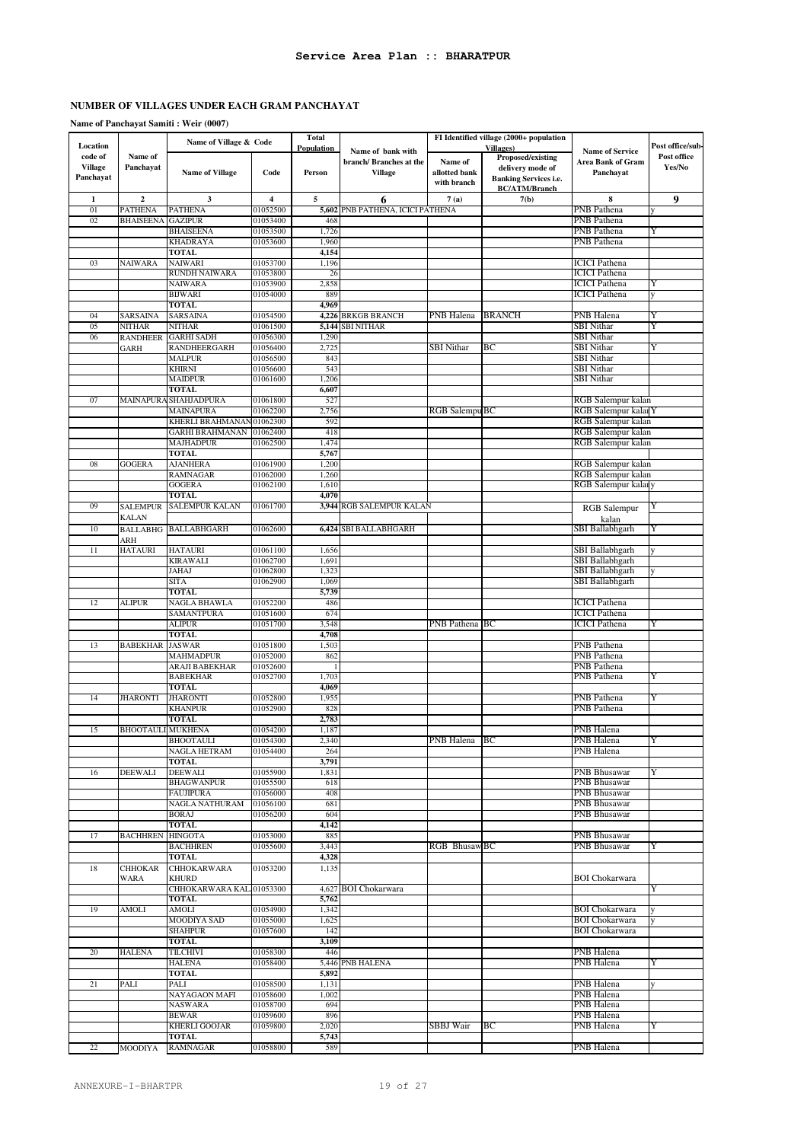**Name of Panchayat Samiti : Weir (0007)**

| Location                        |                           | Name of Village & Code                    |                         | <b>Total</b><br>Population |                                                        |                                         | FI Identified village (2000+ population<br><b>Villages</b> )                                  |                                                          | Post office/sub-      |
|---------------------------------|---------------------------|-------------------------------------------|-------------------------|----------------------------|--------------------------------------------------------|-----------------------------------------|-----------------------------------------------------------------------------------------------|----------------------------------------------------------|-----------------------|
| code of<br>Village<br>Panchayat | Name of<br>Panchayat      | <b>Name of Village</b>                    | Code                    | Person                     | Name of bank with<br>branch/Branches at the<br>Village | Name of<br>allotted bank<br>with branch | Proposed/existing<br>delivery mode of<br><b>Banking Services i.e.</b><br><b>BC/ATM/Branch</b> | <b>Name of Service</b><br>Area Bank of Gram<br>Panchavat | Post office<br>Yes/No |
| 1                               | $\mathbf 2$               | 3                                         | $\overline{\mathbf{4}}$ | $\sqrt{5}$                 | 6                                                      | 7(a)                                    | 7(b)                                                                                          | 8                                                        | 9                     |
| 01                              | <b>PATHENA</b>            | <b>PATHENA</b>                            | 01052500                |                            | 5,602 PNB PATHENA, ICICI PATHENA                       |                                         |                                                                                               | <b>PNB</b> Pathena                                       |                       |
| 02                              | <b>BHAISEENA</b>          | <b>GAZIPUR</b>                            | 01053400                | 468                        |                                                        |                                         |                                                                                               | PNB Pathena                                              |                       |
|                                 |                           | <b>BHAISEENA</b>                          | 01053500                | 1,726                      |                                                        |                                         |                                                                                               | PNB Pathena                                              | Y                     |
|                                 |                           | <b>KHADRAYA</b><br><b>TOTAL</b>           | 01053600                | 1,960<br>4,154             |                                                        |                                         |                                                                                               | PNB Pathena                                              |                       |
| 03                              | NAIWARA                   | <b>NAIWARI</b>                            | 01053700                | 1,196                      |                                                        |                                         |                                                                                               | <b>ICICI Pathena</b>                                     |                       |
|                                 |                           | RUNDH NAIWARA                             | 01053800                | 26                         |                                                        |                                         |                                                                                               | <b>ICICI Pathena</b>                                     |                       |
|                                 |                           | NAIWARA                                   | 01053900                | 2,858                      |                                                        |                                         |                                                                                               | ICICI Pathena                                            | Y                     |
|                                 |                           | <b>BIJWARI</b>                            | 01054000                | 889                        |                                                        |                                         |                                                                                               | <b>ICICI</b> Pathena                                     |                       |
|                                 |                           | <b>TOTAL</b>                              |                         | 4,969                      |                                                        |                                         |                                                                                               |                                                          |                       |
| 04                              | <b>SARSAINA</b>           | SARSAINA<br><b>NITHAR</b>                 | 01054500                |                            | 4,226 BRKGB BRANCH                                     | PNB Halena                              | <b>BRANCH</b>                                                                                 | PNB Halena<br><b>SBI</b> Nithar                          | Y<br>Y                |
| 05<br>06                        | NITHAR<br><b>RANDHEER</b> | <b>GARHI SADH</b>                         | 01061500<br>01056300    | 1,290                      | 5,144 SBI NITHAR                                       |                                         |                                                                                               | <b>SBI</b> Nithar                                        |                       |
|                                 | <b>GARH</b>               | RANDHEERGARH                              | 01056400                | 2,725                      |                                                        | <b>SBI</b> Nithar                       | ВC                                                                                            | SBI Nithar                                               | Y                     |
|                                 |                           | <b>MALPUR</b>                             | 01056500                | 843                        |                                                        |                                         |                                                                                               | <b>SBI</b> Nithar                                        |                       |
|                                 |                           | KHIRNI                                    | 01056600                | 543                        |                                                        |                                         |                                                                                               | <b>SBI</b> Nithar                                        |                       |
|                                 |                           | <b>MAIDPUR</b>                            | 01061600                | 1,206                      |                                                        |                                         |                                                                                               | <b>SBI</b> Nithar                                        |                       |
|                                 |                           | TOTAL                                     |                         | 6,607                      |                                                        |                                         |                                                                                               |                                                          |                       |
| 07                              |                           | MAINAPURA SHAHJADPURA<br><b>MAINAPURA</b> | 01061800<br>01062200    | 527<br>2,756               |                                                        | RGB Salempu BC                          |                                                                                               | RGB Salempur kalan<br>RGB Salempur kalar Y               |                       |
|                                 |                           | KHERLI BRAHMANAN                          | 01062300                | 592                        |                                                        |                                         |                                                                                               | RGB Salempur kalan                                       |                       |
|                                 |                           | <b>GARHI BRAHMANAN</b>                    | 01062400                | 418                        |                                                        |                                         |                                                                                               | RGB Salempur kalan                                       |                       |
|                                 |                           | MAJHADPUR                                 | 01062500                | 1,474                      |                                                        |                                         |                                                                                               | RGB Salempur kalan                                       |                       |
|                                 |                           | <b>TOTAL</b>                              |                         | 5,767                      |                                                        |                                         |                                                                                               |                                                          |                       |
| 08                              | <b>GOGERA</b>             | <b>AJANHERA</b>                           | 01061900                | 1,200                      |                                                        |                                         |                                                                                               | RGB Salempur kalan                                       |                       |
|                                 |                           | RAMNAGAR<br><b>GOGERA</b>                 | 01062000                | 1,260<br>1,610             |                                                        |                                         |                                                                                               | RGB Salempur kalan<br>RGB Salempur kalary                |                       |
|                                 |                           | TOTAL                                     | 01062100                | 4,070                      |                                                        |                                         |                                                                                               |                                                          |                       |
| 09                              | <b>SALEMPUR</b>           | <b>SALEMPUR KALAN</b>                     | 01061700                |                            | 3,944 RGB SALEMPUR KALAN                               |                                         |                                                                                               | <b>RGB</b> Salempur                                      |                       |
|                                 | <b>KALAN</b>              |                                           |                         |                            |                                                        |                                         |                                                                                               | kalan                                                    |                       |
| 10                              | <b>BALLABHG</b>           | <b>BALLABHGARH</b>                        | 01062600                |                            | 6,424 SBI BALLABHGARH                                  |                                         |                                                                                               | SBI Ballabhgarh                                          | Y                     |
|                                 | ARH                       |                                           |                         |                            |                                                        |                                         |                                                                                               |                                                          |                       |
| 11                              | <b>HATAURI</b>            | <b>HATAURI</b>                            | 01061100                | 1,656                      |                                                        |                                         |                                                                                               | SBI Ballabhgarh                                          | v                     |
|                                 |                           | KIRAWALI                                  | 01062700                | 1,691                      |                                                        |                                         |                                                                                               | SBI Ballabhgarh                                          |                       |
|                                 |                           | JAHAJ<br>SITA                             | 01062800<br>01062900    | 1,323<br>1,069             |                                                        |                                         |                                                                                               | SBI Ballabhgarh<br>SBI Ballabhgarh                       |                       |
|                                 |                           | <b>TOTAL</b>                              |                         | 5,739                      |                                                        |                                         |                                                                                               |                                                          |                       |
| 12                              | <b>ALIPUR</b>             | NAGLA BHAWLA                              | 01052200                | 486                        |                                                        |                                         |                                                                                               | <b>ICICI</b> Pathena                                     |                       |
|                                 |                           | SAMANTPURA                                | 01051600                | 674                        |                                                        |                                         |                                                                                               | <b>ICICI</b> Pathena                                     |                       |
|                                 |                           | <b>ALIPUR</b>                             | 01051700                | 3,548                      |                                                        | PNB Pathena                             | BС                                                                                            | <b>ICICI</b> Pathena                                     | Y                     |
|                                 |                           | <b>TOTAL</b>                              |                         | 4,708                      |                                                        |                                         |                                                                                               |                                                          |                       |
| 13                              | <b>BABEKHAR</b>           | <b>JASWAR</b><br><b>MAHMADPUR</b>         | 01051800                | 1,503                      |                                                        |                                         |                                                                                               | PNB Pathena<br>PNB Pathena                               |                       |
|                                 |                           | ARAJI BABEKHAR                            | 01052000<br>01052600    | 862                        |                                                        |                                         |                                                                                               | PNB Pathena                                              |                       |
|                                 |                           | <b>BABEKHAR</b>                           | 01052700                | 1,703                      |                                                        |                                         |                                                                                               | PNB Pathena                                              | Y                     |
|                                 |                           | <b>TOTAL</b>                              |                         | 4,069                      |                                                        |                                         |                                                                                               |                                                          |                       |
| 14                              | <b>JHARONTI</b>           | <b>JHARONTI</b>                           | 01052800                | 1,955                      |                                                        |                                         |                                                                                               | PNB Pathena                                              | Y                     |
|                                 |                           | <b>KHANPUR</b>                            | 01052900                | 828                        |                                                        |                                         |                                                                                               | PNB Pathena                                              |                       |
|                                 |                           | TOTAL                                     |                         | 2,783                      |                                                        |                                         |                                                                                               |                                                          |                       |
| 15                              | <b>BHOOTAULI MUKHENA</b>  | <b>BHOOTAULI</b>                          | 01054200<br>01054300    | 1,187<br>2,340             |                                                        | PNB Halena                              | BC                                                                                            | PNB Halena<br><b>PNB</b> Halena                          |                       |
|                                 |                           | NAGLA HETRAM                              | 01054400                | 264                        |                                                        |                                         |                                                                                               | PNB Halena                                               |                       |
|                                 |                           | TOTAL                                     |                         | 3,791                      |                                                        |                                         |                                                                                               |                                                          |                       |
| 16                              | <b>DEEWALI</b>            | <b>DEEWALI</b>                            | 01055900                | 1,831                      |                                                        |                                         |                                                                                               | <b>PNB Bhusawar</b>                                      | Y                     |
|                                 |                           | <b>BHAGWANPUR</b>                         | 01055500                | 618                        |                                                        |                                         |                                                                                               | PNB Bhusawar                                             |                       |
|                                 |                           | FAUJIPURA                                 | 01056000                | 408                        |                                                        |                                         |                                                                                               | PNB Bhusawar                                             |                       |
|                                 |                           | NAGLA NATHURAM<br>BORAJ                   | 01056100<br>01056200    | 681<br>604                 |                                                        |                                         |                                                                                               | <b>PNB Bhusawar</b><br><b>PNB Bhusawar</b>               |                       |
|                                 |                           | TOTAL                                     |                         | 4,142                      |                                                        |                                         |                                                                                               |                                                          |                       |
| 17                              | <b>BACHHREN</b>           | <b>HINGOTA</b>                            | 01053000                | 885                        |                                                        |                                         |                                                                                               | <b>PNB Bhusawar</b>                                      |                       |
|                                 |                           | <b>BACHHREN</b>                           | 01055600                | 3,443                      |                                                        | RGB Bhusaw BC                           |                                                                                               | PNB Bhusawar                                             | Y                     |
|                                 |                           | <b>TOTAL</b>                              |                         | 4,328                      |                                                        |                                         |                                                                                               |                                                          |                       |
| 18                              | <b>CHHOKAR</b>            | <b>CHHOKARWARA</b>                        | 01053200                | 1,135                      |                                                        |                                         |                                                                                               |                                                          |                       |
|                                 | WARA                      | <b>KHURD</b><br>CHHOKARWARA KAL 01053300  |                         |                            | 4,627 BOI Chokarwara                                   |                                         |                                                                                               | <b>BOI</b> Chokarwara                                    | Y                     |
|                                 |                           | TOTAL                                     |                         | 5,762                      |                                                        |                                         |                                                                                               |                                                          |                       |
| 19                              | <b>AMOLI</b>              | AMOLI                                     | 01054900                | 1,342                      |                                                        |                                         |                                                                                               | <b>BOI Chokarwara</b>                                    | y                     |
|                                 |                           | MOODIYA SAD                               | 01055000                | 1,625                      |                                                        |                                         |                                                                                               | <b>BOI</b> Chokarwara                                    |                       |
|                                 |                           | <b>SHAHPUR</b>                            | 01057600                | 142                        |                                                        |                                         |                                                                                               | <b>BOI</b> Chokarwara                                    |                       |
|                                 |                           | <b>TOTAL</b>                              |                         | 3,109                      |                                                        |                                         |                                                                                               |                                                          |                       |
| 20                              | <b>HALENA</b>             | TILCHIVI                                  | 01058300                | 446                        |                                                        |                                         |                                                                                               | PNB Halena                                               |                       |
|                                 |                           | <b>HALENA</b><br><b>TOTAL</b>             | 01058400                | 5,892                      | 5,446 PNB HALENA                                       |                                         |                                                                                               | PNB Halena                                               | Y                     |
| 21                              | PALI                      | PALI                                      | 01058500                | 1,131                      |                                                        |                                         |                                                                                               | PNB Halena                                               |                       |
|                                 |                           | NAYAGAON MAFI                             | 01058600                | 1,002                      |                                                        |                                         |                                                                                               | PNB Halena                                               |                       |
|                                 |                           | NASWARA                                   | 01058700                | 694                        |                                                        |                                         |                                                                                               | PNB Halena                                               |                       |
|                                 |                           | BEWAR                                     | 01059600                | 896                        |                                                        |                                         |                                                                                               | PNB Halena                                               |                       |
|                                 |                           | <b>KHERLI GOOJAR</b>                      | 01059800                | 2,020<br>5,743             |                                                        | SBBJ Wair                               | BС                                                                                            | PNB Halena                                               | Y                     |
| 22                              | <b>MOODIYA</b>            | <b>TOTAL</b><br><b>RAMNAGAR</b>           | 01058800                | 589                        |                                                        |                                         |                                                                                               | PNB Halena                                               |                       |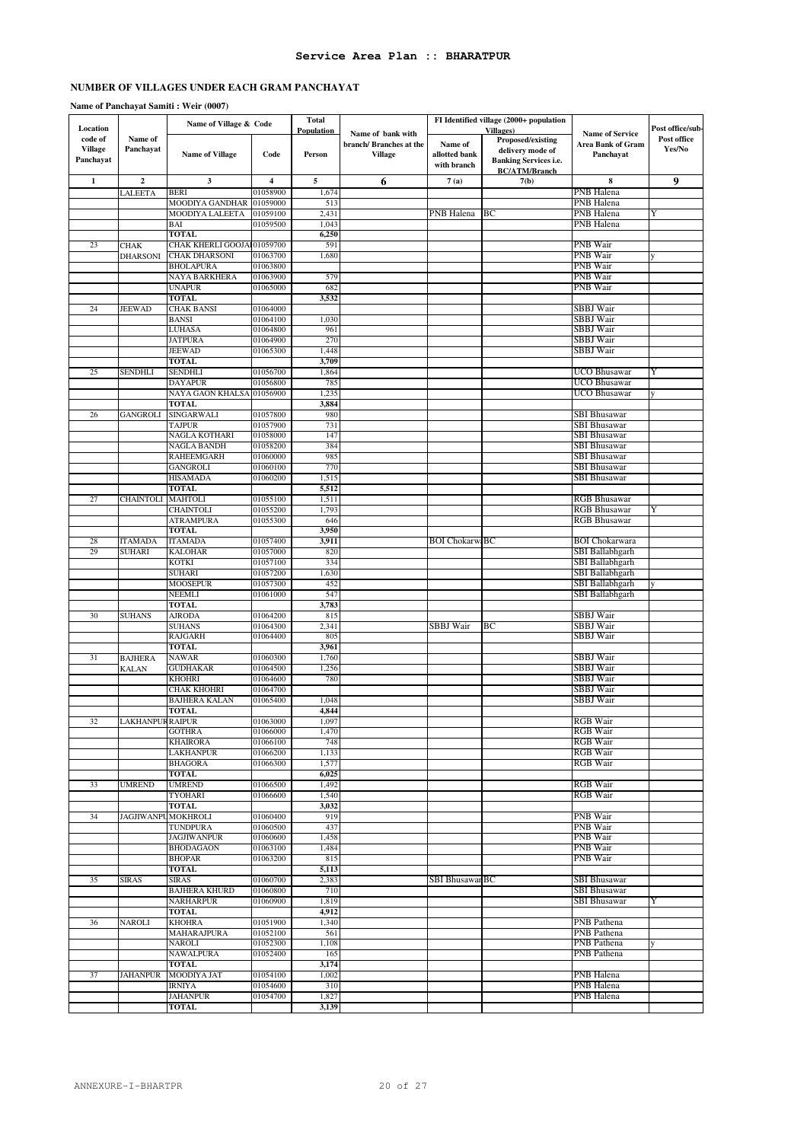### **Name of Panchayat Samiti : Weir (0007)**

| Location       |                                | Name of Village & Code                             |                      | <b>Total</b><br>Population |                                             |                       | FI Identified village (2000+ population<br><b>Villages</b> ) |                                             | Post office/sub- |
|----------------|--------------------------------|----------------------------------------------------|----------------------|----------------------------|---------------------------------------------|-----------------------|--------------------------------------------------------------|---------------------------------------------|------------------|
| code of        | Name of                        |                                                    |                      |                            | Name of bank with<br>branch/Branches at the | Name of               | Proposed/existing                                            | <b>Name of Service</b><br>Area Bank of Gram | Post office      |
| <b>Village</b> | Panchayat                      | <b>Name of Village</b>                             | Code                 | Person                     | Village                                     | allotted bank         | delivery mode of                                             | Panchayat                                   | Yes/No           |
| Panchayat      |                                |                                                    |                      |                            |                                             | with branch           | <b>Banking Services i.e.</b>                                 |                                             |                  |
|                | $\mathbf 2$                    | $\mathbf{3}$                                       | 4                    | 5                          |                                             |                       | <b>BC/ATM/Branch</b>                                         | 8                                           |                  |
| 1              | LALEETA                        | <b>BERI</b>                                        | 01058900             | 1,674                      | 6                                           | 7(a)                  | 7(b)                                                         | PNB Halena                                  | 9                |
|                |                                | MOODIYA GANDHAR                                    | 01059000             | 513                        |                                             |                       |                                                              | PNB Halena                                  |                  |
|                |                                | MOODIYA LALEETA                                    | 01059100             | 2,431                      |                                             | PNB Halena            | ВC                                                           | PNB Halena                                  | Y                |
|                |                                | BAI                                                | 01059500             | 1,043                      |                                             |                       |                                                              | PNB Halena                                  |                  |
|                |                                | TOTAL                                              |                      | 6,250                      |                                             |                       |                                                              |                                             |                  |
| 23             | <b>CHAK</b><br><b>DHARSONI</b> | CHAK KHERLI GOOJA 01059700<br><b>CHAK DHARSONI</b> | 01063700             | 591<br>1,680               |                                             |                       |                                                              | PNB Wair<br><b>PNB</b> Wair                 |                  |
|                |                                | <b>BHOLAPURA</b>                                   | 01063800             |                            |                                             |                       |                                                              | <b>PNB</b> Wair                             |                  |
|                |                                | NAYA BARKHERA                                      | 01063900             | 579                        |                                             |                       |                                                              | <b>PNB</b> Wair                             |                  |
|                |                                | <b>UNAPUR</b>                                      | 01065000             | 682                        |                                             |                       |                                                              | PNB Wair                                    |                  |
| 24             | <b>JEEWAD</b>                  | TOTAL<br><b>CHAK BANSI</b>                         | 01064000             | 3,532                      |                                             |                       |                                                              | SBBJ Wair                                   |                  |
|                |                                | BANSI                                              | 01064100             | 1,030                      |                                             |                       |                                                              | SBBJ Wair                                   |                  |
|                |                                | LUHASA                                             | 01064800             | 961                        |                                             |                       |                                                              | SBBJ Wair                                   |                  |
|                |                                | <b>JATPURA</b>                                     | 01064900             | 270                        |                                             |                       |                                                              | <b>SBBJ</b> Wair                            |                  |
|                |                                | JEEWAD<br><b>TOTAL</b>                             | 01065300             | 1,448<br>3,709             |                                             |                       |                                                              | SBBJ Wair                                   |                  |
| 25             | <b>SENDHLI</b>                 | <b>SENDHLI</b>                                     | 01056700             | 1,864                      |                                             |                       |                                                              | <b>UCO Bhusawar</b>                         | Y                |
|                |                                | <b>DAYAPUR</b>                                     | 01056800             | 785                        |                                             |                       |                                                              | UCO Bhusawar                                |                  |
|                |                                | NAYA GAON KHALSA                                   | 01056900             | 1,235                      |                                             |                       |                                                              | UCO Bhusawar                                |                  |
|                |                                | TOTAL                                              |                      | 3,884                      |                                             |                       |                                                              |                                             |                  |
| 26             | <b>GANGROLI</b>                | <b>SINGARWALI</b><br>TAJPUR                        | 01057800<br>01057900 | 980<br>731                 |                                             |                       |                                                              | <b>SBI Bhusawar</b><br><b>SBI Bhusawar</b>  |                  |
|                |                                | NAGLA KOTHARI                                      | 01058000             | 147                        |                                             |                       |                                                              | <b>SBI Bhusawar</b>                         |                  |
|                |                                | NAGLA BANDH                                        | 01058200             | 384                        |                                             |                       |                                                              | <b>SBI Bhusawar</b>                         |                  |
|                |                                | RAHEEMGARH                                         | 01060000             | 985                        |                                             |                       |                                                              | SBI Bhusawar                                |                  |
|                |                                | GANGROLI                                           | 01060100             | 770                        |                                             |                       |                                                              | <b>SBI Bhusawar</b>                         |                  |
|                |                                | <b>HISAMADA</b><br><b>TOTAL</b>                    | 01060200             | 1,515<br>5,512             |                                             |                       |                                                              | SBI Bhusawar                                |                  |
| 27             | CHAINTOLI                      | <b>MAHTOLI</b>                                     | 01055100             | 1,511                      |                                             |                       |                                                              | <b>RGB Bhusawar</b>                         |                  |
|                |                                | CHAINTOLI                                          | 01055200             | 1,793                      |                                             |                       |                                                              | <b>RGB Bhusawar</b>                         | Y                |
|                |                                | <b>ATRAMPURA</b>                                   | 01055300             | 646                        |                                             |                       |                                                              | <b>RGB Bhusawar</b>                         |                  |
| 28             | <b>ITAMADA</b>                 | <b>TOTAL</b><br><b>ITAMADA</b>                     | 01057400             | 3,950<br>3,911             |                                             | <b>BOI ChokarwaBC</b> |                                                              | <b>BOI Chokarwara</b>                       |                  |
| 29             | <b>SUHARI</b>                  | <b>KALOHAR</b>                                     | 01057000             | 820                        |                                             |                       |                                                              | SBI Ballabhgarh                             |                  |
|                |                                | KOTKI                                              | 01057100             | 334                        |                                             |                       |                                                              | SBI Ballabhgarh                             |                  |
|                |                                | <b>SUHARI</b>                                      | 01057200             | 1,630                      |                                             |                       |                                                              | SBI Ballabhgarh                             |                  |
|                |                                | <b>MOOSEPUR</b><br>NEEMLI                          | 01057300<br>01061000 | 452<br>547                 |                                             |                       |                                                              | SBI Ballabhgarh<br>SBI Ballabhgarh          |                  |
|                |                                | TOTAL                                              |                      | 3,783                      |                                             |                       |                                                              |                                             |                  |
| 30             | SUHANS                         | AJRODA                                             | 01064200             | 815                        |                                             |                       |                                                              | SBBJ Wair                                   |                  |
|                |                                | <b>SUHANS</b>                                      | 01064300             | 2,341                      |                                             | SBBJ Wair             | ВC                                                           | SBBJ Wair                                   |                  |
|                |                                | RAJGARH<br><b>TOTAL</b>                            | 01064400             | 805<br>3,961               |                                             |                       |                                                              | SBBJ Wair                                   |                  |
| 31             | <b>BAJHERA</b>                 | <b>NAWAR</b>                                       | 01060300             | 1,760                      |                                             |                       |                                                              | SBBJ Wair                                   |                  |
|                | <b>KALAN</b>                   | <b>GUDHAKAR</b>                                    | 01064500             | 1,256                      |                                             |                       |                                                              | SBBJ Wair                                   |                  |
|                |                                | <b>KHOHRI</b>                                      | 01064600             | 780                        |                                             |                       |                                                              | SBBJ Wair                                   |                  |
|                |                                | CHAK KHOHRI<br>BAJHERA KALAN                       | 01064700<br>01065400 | 1,048                      |                                             |                       |                                                              | SBBJ Wair<br>SBBJ Wair                      |                  |
|                |                                | TOTAL                                              |                      | 4,844                      |                                             |                       |                                                              |                                             |                  |
| 32             | <b>LAKHANPURRAIPUR</b>         |                                                    | 01063000             | 1,097                      |                                             |                       |                                                              | <b>RGB</b> Wair                             |                  |
|                |                                | <b>GOTHRA</b>                                      | 01066000             | 1,470                      |                                             |                       |                                                              | <b>RGB</b> Wair                             |                  |
|                |                                | <b>KHAIRORA</b>                                    | 01066100             | 748                        |                                             |                       |                                                              | <b>RGB</b> Wair<br><b>RGB</b> Wair          |                  |
|                |                                | LAKHANPUR<br><b>BHAGORA</b>                        | 01066200<br>01066300 | 1,133<br>1,577             |                                             |                       |                                                              | <b>RGB</b> Wair                             |                  |
|                |                                | TOTAL                                              |                      | 6,025                      |                                             |                       |                                                              |                                             |                  |
| 33             | <b>UMREND</b>                  | <b>UMREND</b>                                      | 01066500             | 1,492                      |                                             |                       |                                                              | <b>RGB</b> Wair                             |                  |
|                |                                | TYOHARI                                            | 01066600             | 1,540                      |                                             |                       |                                                              | <b>RGB</b> Wair                             |                  |
| 34             | <b>JAGJIWANPI</b>              | TOTAL<br>MOKHROLI                                  | 01060400             | 3,032<br>919               |                                             |                       |                                                              | PNB Wair                                    |                  |
|                |                                | <b>TUNDPURA</b>                                    | 01060500             | 437                        |                                             |                       |                                                              | PNB Wair                                    |                  |
|                |                                | <b>JAGJIWANPUR</b>                                 | 01060600             | 1,458                      |                                             |                       |                                                              | PNB Wair                                    |                  |
|                |                                | <b>BHODAGAON</b>                                   | 01063100             | 1,484                      |                                             |                       |                                                              | PNB Wair<br>PNB Wair                        |                  |
|                |                                | <b>BHOPAR</b><br><b>TOTAL</b>                      | 01063200             | 815<br>5,113               |                                             |                       |                                                              |                                             |                  |
| 35             | SIRAS                          | SIRAS                                              | 01060700             | 2,383                      |                                             | SBI Bhusawar BC       |                                                              | <b>SBI Bhusawar</b>                         |                  |
|                |                                | <b>BAJHERA KHURD</b>                               | 01060800             | 710                        |                                             |                       |                                                              | <b>SBI</b> Bhusawar                         |                  |
|                |                                | <b>NARHARPUR</b>                                   | 01060900             | 1,819                      |                                             |                       |                                                              | <b>SBI</b> Bhusawar                         | Y                |
| 36             | <b>NAROLI</b>                  | TOTAL<br><b>KHOHRA</b>                             | 01051900             | 4,912<br>1,340             |                                             |                       |                                                              | PNB Pathena                                 |                  |
|                |                                | MAHARAJPURA                                        | 01052100             | 561                        |                                             |                       |                                                              | PNB Pathena                                 |                  |
|                |                                | NAROLI                                             | 01052300             | 1,108                      |                                             |                       |                                                              | PNB Pathena                                 |                  |
|                |                                | <b>NAWALPURA</b>                                   | 01052400             | 165                        |                                             |                       |                                                              | PNB Pathena                                 |                  |
| 37             | <b>JAHANPUR</b>                | TOTAL<br>MOODIYA JAT                               | 01054100             | 3,174<br>1,002             |                                             |                       |                                                              | PNB Halena                                  |                  |
|                |                                | <b>IRNIYA</b>                                      | 01054600             | 310                        |                                             |                       |                                                              | PNB Halena                                  |                  |
|                |                                | <b>JAHANPUR</b>                                    | 01054700             | 1,827                      |                                             |                       |                                                              | PNB Halena                                  |                  |
|                |                                | <b>TOTAL</b>                                       |                      | 3,139                      |                                             |                       |                                                              |                                             |                  |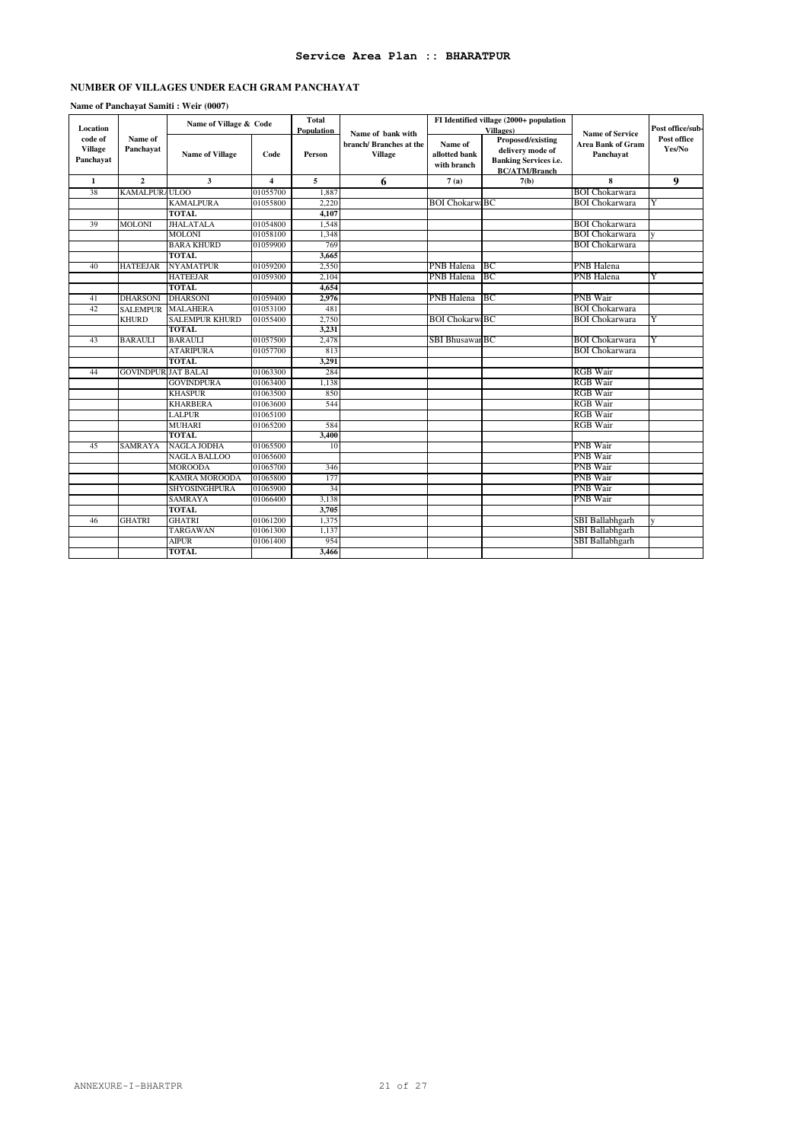### **Service Area Plan :: BHARATPUR**

### **NUMBER OF VILLAGES UNDER EACH GRAM PANCHAYAT**

### **Name of Panchayat Samiti : Weir (0007)**

| Location                               |                           | Name of Village & Code |                         | <b>Total</b><br>Population | Name of bank with                        |                                         | FI Identified village (2000+ population<br>Villages)                                          | <b>Name of Service</b>                | Post office/sub-      |
|----------------------------------------|---------------------------|------------------------|-------------------------|----------------------------|------------------------------------------|-----------------------------------------|-----------------------------------------------------------------------------------------------|---------------------------------------|-----------------------|
| code of<br><b>Village</b><br>Panchayat | Name of<br>Panchavat      | <b>Name of Village</b> | Code                    | Person                     | branch/Branches at the<br><b>Village</b> | Name of<br>allotted bank<br>with branch | Proposed/existing<br>delivery mode of<br><b>Banking Services i.e.</b><br><b>BC/ATM/Branch</b> | <b>Area Bank of Gram</b><br>Panchayat | Post office<br>Yes/No |
| 1                                      | $\mathbf{2}$              | 3                      | $\overline{\mathbf{4}}$ | 5                          | 6                                        | 7(a)                                    | 7(b)                                                                                          | 8                                     | 9                     |
| 38                                     | KAMALPUR/ULOO             |                        | 01055700                | 1.887                      |                                          |                                         |                                                                                               | <b>BOI</b> Chokarwara                 |                       |
|                                        |                           | <b>KAMALPURA</b>       | 01055800                | 2.220                      |                                          | <b>BOI ChokarwiBC</b>                   |                                                                                               | <b>BOI</b> Chokarwara                 |                       |
|                                        |                           | <b>TOTAL</b>           |                         | 4.107                      |                                          |                                         |                                                                                               |                                       |                       |
| 39                                     | <b>MOLONI</b>             | <b>JHALATALA</b>       | 01054800                | 1,548                      |                                          |                                         |                                                                                               | <b>BOI</b> Chokarwara                 |                       |
|                                        |                           | <b>MOLONI</b>          | 01058100                | 1,348                      |                                          |                                         |                                                                                               | <b>BOI</b> Chokarwara                 |                       |
|                                        |                           | <b>BARA KHURD</b>      | 01059900                | 769                        |                                          |                                         |                                                                                               | <b>BOI Chokarwara</b>                 |                       |
|                                        |                           | <b>TOTAL</b>           |                         | 3,665                      |                                          |                                         |                                                                                               |                                       |                       |
| 40                                     | <b>HATEEJAR</b>           | <b>NYAMATPUR</b>       | 01059200                | 2,550                      |                                          | PNB Halena                              | ВC                                                                                            | <b>PNB</b> Halena                     |                       |
|                                        |                           | <b>HATEEJAR</b>        | 01059300                | 2,104                      |                                          | PNB Halena                              | BC                                                                                            | <b>PNB</b> Halena                     |                       |
|                                        |                           | <b>TOTAL</b>           |                         | 4.654                      |                                          |                                         |                                                                                               |                                       |                       |
| 41                                     | <b>DHARSONI</b>           | <b>DHARSONI</b>        | 01059400                | 2,976                      |                                          | PNB Halena                              | ВC                                                                                            | <b>PNB</b> Wair                       |                       |
| 42                                     | <b>SALEMPUR</b>           | <b>MALAHERA</b>        | 01053100                | 481                        |                                          |                                         |                                                                                               | <b>BOI Chokarwara</b>                 |                       |
|                                        | <b>KHURD</b>              | <b>SALEMPUR KHURD</b>  | 01055400                | 2,750                      |                                          | <b>BOI ChokarwiBC</b>                   |                                                                                               | <b>BOI</b> Chokarwara                 | Y                     |
|                                        |                           | <b>TOTAL</b>           |                         | 3,231                      |                                          |                                         |                                                                                               |                                       |                       |
| 43                                     | <b>BARAULI</b>            | <b>BARAULI</b>         | 01057500                | 2,478                      |                                          | <b>SBI BhusawarBC</b>                   |                                                                                               | <b>BOI</b> Chokarwara                 | Y                     |
|                                        |                           | <b>ATARIPURA</b>       | 01057700                | 813                        |                                          |                                         |                                                                                               | <b>BOI</b> Chokarwara                 |                       |
|                                        |                           | <b>TOTAL</b>           |                         | 3,291                      |                                          |                                         |                                                                                               |                                       |                       |
| 44                                     | <b>GOVINDPURJAT BALAI</b> |                        | 01063300                | 284                        |                                          |                                         |                                                                                               | <b>RGB</b> Wair                       |                       |
|                                        |                           | <b>GOVINDPURA</b>      | 01063400                | 1,138                      |                                          |                                         |                                                                                               | <b>RGB</b> Wair                       |                       |
|                                        |                           | <b>KHASPUR</b>         | 01063500                | 850                        |                                          |                                         |                                                                                               | <b>RGB</b> Wair                       |                       |
|                                        |                           | <b>KHARBERA</b>        | 01063600                | 544                        |                                          |                                         |                                                                                               | <b>RGB</b> Wair                       |                       |
|                                        |                           | <b>LALPUR</b>          | 01065100                |                            |                                          |                                         |                                                                                               | <b>RGB</b> Wair                       |                       |
|                                        |                           | <b>MUHARI</b>          | 01065200                | 584                        |                                          |                                         |                                                                                               | <b>RGB</b> Wair                       |                       |
|                                        |                           | <b>TOTAL</b>           |                         | 3,400                      |                                          |                                         |                                                                                               |                                       |                       |
| 45                                     | <b>SAMRAYA</b>            | <b>NAGLA JODHA</b>     | 01065500                | 10                         |                                          |                                         |                                                                                               | <b>PNB</b> Wair                       |                       |
|                                        |                           | <b>NAGLA BALLOO</b>    | 01065600                |                            |                                          |                                         |                                                                                               | <b>PNB</b> Wair                       |                       |
|                                        |                           | <b>MOROODA</b>         | 01065700                | 346                        |                                          |                                         |                                                                                               | <b>PNB</b> Wair                       |                       |
|                                        |                           | KAMRA MOROODA          | 01065800                | 177                        |                                          |                                         |                                                                                               | <b>PNB</b> Wair                       |                       |
|                                        |                           | SHYOSINGHPURA          | 01065900                | 34                         |                                          |                                         |                                                                                               | <b>PNB</b> Wair                       |                       |
|                                        |                           | <b>SAMRAYA</b>         | 01066400                | 3,138                      |                                          |                                         |                                                                                               | <b>PNB</b> Wair                       |                       |
|                                        |                           | <b>TOTAL</b>           |                         | 3,705                      |                                          |                                         |                                                                                               |                                       |                       |
| 46                                     | <b>GHATRI</b>             | <b>GHATRI</b>          | 01061200                | 1.375                      |                                          |                                         |                                                                                               | SBI Ballabhgarh                       |                       |
|                                        |                           | TARGAWAN               | 01061300                | 1,137                      |                                          |                                         |                                                                                               | SBI Ballabhgarh                       |                       |
|                                        |                           | <b>AIPUR</b>           | 01061400                | 954                        |                                          |                                         |                                                                                               | SBI Ballabhgarh                       |                       |
|                                        |                           | <b>TOTAL</b>           |                         | 3,466                      |                                          |                                         |                                                                                               |                                       |                       |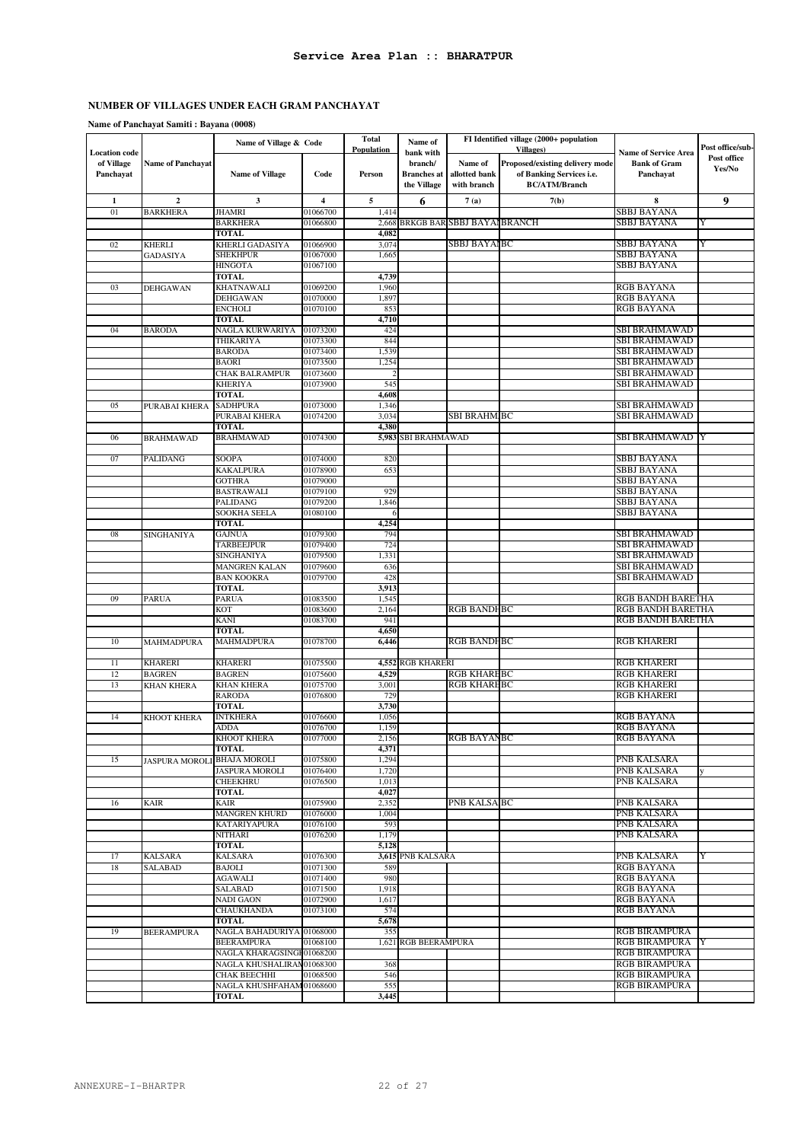**Name of Panchayat Samiti : Bayana (0008)**

|                                                 |                             | Name of Village & Code             |                      | <b>Total</b><br><b>Population</b> | Name of                                                   |                                         | FI Identified village (2000+ population<br><b>Villages</b> )                        |                                                                 | Post office/sub-      |
|-------------------------------------------------|-----------------------------|------------------------------------|----------------------|-----------------------------------|-----------------------------------------------------------|-----------------------------------------|-------------------------------------------------------------------------------------|-----------------------------------------------------------------|-----------------------|
| <b>Location</b> code<br>of Village<br>Panchayat | <b>Name of Panchayat</b>    | <b>Name of Village</b>             | Code                 | Person                            | bank with<br>branch/<br><b>Branches</b> at<br>the Village | Name of<br>allotted bank<br>with branch | Proposed/existing delivery mode<br>of Banking Services i.e.<br><b>BC/ATM/Branch</b> | <b>Name of Service Area</b><br><b>Bank of Gram</b><br>Panchayat | Post office<br>Yes/No |
| $\mathbf{1}$                                    | $\mathbf{2}$                | 3                                  | 4                    | 5                                 | 6                                                         | 7(a)                                    | 7(b)                                                                                | 8                                                               | 9                     |
| 01                                              | <b>BARKHERA</b>             | <b>JHAMRI</b>                      | 01066700             | 1,414                             |                                                           |                                         |                                                                                     | SBBJ BAYANA                                                     |                       |
|                                                 |                             | <b>BARKHERA</b>                    | 01066800             |                                   |                                                           | 2,668 BRKGB BAR SBBJ BAYAI BRANCH       |                                                                                     | SBBJ BAYANA                                                     | Y                     |
|                                                 |                             | <b>TOTAL</b>                       |                      | 4,082                             |                                                           |                                         |                                                                                     |                                                                 |                       |
| 02                                              | <b>KHERLI</b>               | KHERLI GADASIYA                    | 01066900             | 3,074                             |                                                           | SBBJ BAYAIBC                            |                                                                                     | SBBJ BAYANA                                                     | Y                     |
|                                                 | <b>GADASIYA</b>             | SHEKHPUR                           | 01067000             | 1,665                             |                                                           |                                         |                                                                                     | SBBJ BAYANA                                                     |                       |
|                                                 |                             | <b>HINGOTA</b>                     | 01067100             |                                   |                                                           |                                         |                                                                                     | SBBJ BAYANA                                                     |                       |
|                                                 |                             | <b>TOTAL</b>                       |                      | 4,739                             |                                                           |                                         |                                                                                     |                                                                 |                       |
| 03                                              | <b>DEHGAWAN</b>             | KHATNAWALI                         | 01069200             | 1,960                             |                                                           |                                         |                                                                                     | RGB BAYANA                                                      |                       |
|                                                 |                             | <b>DEHGAWAN</b>                    | 01070000             | 1,897                             |                                                           |                                         |                                                                                     | <b>RGB BAYANA</b>                                               |                       |
|                                                 |                             | <b>ENCHOLI</b>                     | 01070100             | 853                               |                                                           |                                         |                                                                                     | RGB BAYANA                                                      |                       |
| 04                                              | <b>BARODA</b>               | <b>TOTAL</b><br>NAGLA KURWARIYA    | 01073200             | 4,710<br>424                      |                                                           |                                         |                                                                                     | SBI BRAHMAWAD                                                   |                       |
|                                                 |                             | THIKARIYA                          | 01073300             | 844                               |                                                           |                                         |                                                                                     | SBI BRAHMAWAD                                                   |                       |
|                                                 |                             | <b>BARODA</b>                      | 01073400             | 1,539                             |                                                           |                                         |                                                                                     | SBI BRAHMAWAD                                                   |                       |
|                                                 |                             | <b>BAORI</b>                       | 01073500             | 1,254                             |                                                           |                                         |                                                                                     | SBI BRAHMAWAD                                                   |                       |
|                                                 |                             | <b>CHAK BALRAMPUR</b>              | 01073600             |                                   |                                                           |                                         |                                                                                     | SBI BRAHMAWAD                                                   |                       |
|                                                 |                             | <b>KHERIYA</b>                     | 01073900             | 545                               |                                                           |                                         |                                                                                     | SBI BRAHMAWAD                                                   |                       |
|                                                 |                             | <b>TOTAL</b>                       |                      | 4,608                             |                                                           |                                         |                                                                                     |                                                                 |                       |
| 05                                              | PURABAI KHERA               | <b>SADHPURA</b>                    | 01073000             | 1,346                             |                                                           |                                         |                                                                                     | SBI BRAHMAWAD                                                   |                       |
|                                                 |                             | PURABAI KHERA                      | 01074200             | 3,034                             |                                                           | SBI BRAHM.BC                            |                                                                                     | SBI BRAHMAWAD                                                   |                       |
|                                                 |                             | <b>TOTAL</b>                       |                      | 4,380                             |                                                           |                                         |                                                                                     |                                                                 |                       |
| 06                                              | <b>BRAHMAWAD</b>            | <b>BRAHMAWAD</b>                   | 01074300             |                                   | 5,983 SBI BRAHMAWAD                                       |                                         |                                                                                     | SBI BRAHMAWAD  Y                                                |                       |
|                                                 |                             |                                    |                      |                                   |                                                           |                                         |                                                                                     |                                                                 |                       |
| 07                                              | PALIDANG                    | SOOPA                              | 01074000             | 820                               |                                                           |                                         |                                                                                     | <b>SBBJ BAYANA</b>                                              |                       |
|                                                 |                             | <b>KAKALPURA</b>                   | 01078900             | 653                               |                                                           |                                         |                                                                                     | SBBJ BAYANA                                                     |                       |
|                                                 |                             | <b>GOTHRA</b>                      | 01079000             |                                   |                                                           |                                         |                                                                                     | SBBJ BAYANA                                                     |                       |
|                                                 |                             | <b>BASTRAWALI</b>                  | 01079100             | 929                               |                                                           |                                         |                                                                                     | <b>SBBJ BAYANA</b>                                              |                       |
|                                                 |                             | PALIDANG                           | 01079200             | 1,846                             |                                                           |                                         |                                                                                     | SBBJ BAYANA                                                     |                       |
|                                                 |                             | SOOKHA SEELA                       | 01080100             | 6                                 |                                                           |                                         |                                                                                     | SBBJ BAYANA                                                     |                       |
| 08                                              |                             | <b>TOTAL</b><br><b>GAJNUA</b>      | 01079300             | 4,254<br>794                      |                                                           |                                         |                                                                                     | SBI BRAHMAWAD                                                   |                       |
|                                                 | SINGHANIYA                  | <b>TARBEEJPUR</b>                  | 01079400             | 724                               |                                                           |                                         |                                                                                     | SBI BRAHMAWAD                                                   |                       |
|                                                 |                             | <b>SINGHANIYA</b>                  | 01079500             | 1,331                             |                                                           |                                         |                                                                                     | SBI BRAHMAWAD                                                   |                       |
|                                                 |                             | <b>MANGREN KALAN</b>               | 01079600             | 636                               |                                                           |                                         |                                                                                     | SBI BRAHMAWAD                                                   |                       |
|                                                 |                             | <b>BAN KOOKRA</b>                  | 01079700             | 428                               |                                                           |                                         |                                                                                     | SBI BRAHMAWAD                                                   |                       |
|                                                 |                             | <b>TOTAL</b>                       |                      | 3,913                             |                                                           |                                         |                                                                                     |                                                                 |                       |
| 09                                              | <b>PARUA</b>                | <b>PARUA</b>                       | 01083500             | 1,545                             |                                                           |                                         |                                                                                     | RGB BANDH BARETHA                                               |                       |
|                                                 |                             | <b>KOT</b>                         | 01083600             | 2,164                             |                                                           | <b>RGB BANDHBC</b>                      |                                                                                     | RGB BANDH BARETHA                                               |                       |
|                                                 |                             | <b>KANI</b>                        | 01083700             | 941                               |                                                           |                                         |                                                                                     | RGB BANDH BARETHA                                               |                       |
|                                                 |                             | <b>TOTAL</b>                       |                      | 4,650                             |                                                           |                                         |                                                                                     |                                                                 |                       |
| 10                                              | <b>MAHMADPURA</b>           | MAHMADPURA                         | 01078700             | 6,446                             |                                                           | <b>RGB BANDHBC</b>                      |                                                                                     | <b>RGB KHARERI</b>                                              |                       |
|                                                 |                             |                                    |                      |                                   |                                                           |                                         |                                                                                     |                                                                 |                       |
| 11                                              | <b>KHARERI</b>              | <b>KHARERI</b>                     | 01075500             |                                   | 4,552 RGB KHARERI                                         |                                         |                                                                                     | <b>RGB KHARERI</b>                                              |                       |
| 12                                              | <b>BAGREN</b>               | <b>BAGREN</b><br><b>KHAN KHERA</b> | 01075600             | 4,529                             |                                                           | <b>RGB KHAREBC</b><br>RGB KHAREBC       |                                                                                     | <b>RGB KHARERI</b><br>RGB KHARERI                               |                       |
| 13                                              | <b>KHAN KHERA</b>           | <b>RARODA</b>                      | 01075700<br>01076800 | 3,001                             |                                                           |                                         |                                                                                     |                                                                 |                       |
|                                                 |                             | <b>TOTAL</b>                       |                      | 729<br>3,730                      |                                                           |                                         |                                                                                     | <b>RGB KHARERI</b>                                              |                       |
| 14                                              | KHOOT KHERA                 | <b>INTKHERA</b>                    | 01076600             | 1,056                             |                                                           |                                         |                                                                                     | RGB BAYANA                                                      |                       |
|                                                 |                             | ADDA                               | 01076700             | 1,159                             |                                                           |                                         |                                                                                     | RGB BAYANA                                                      |                       |
|                                                 |                             | <b>KHOOT KHERA</b>                 | 01077000             | 2,156                             |                                                           | <b>RGB BAYANBC</b>                      |                                                                                     | <b>RGB BAYANA</b>                                               |                       |
|                                                 |                             | TOTAL                              |                      | 4,371                             |                                                           |                                         |                                                                                     |                                                                 |                       |
| 15                                              | JASPURA MOROLI BHAJA MOROLI |                                    | 01075800             | 1,294                             |                                                           |                                         |                                                                                     | PNB KALSARA                                                     |                       |
|                                                 |                             | <b>JASPURA MOROLI</b>              | 01076400             | 1,720                             |                                                           |                                         |                                                                                     | PNB KALSARA                                                     | у                     |
|                                                 |                             | <b>CHEEKHRU</b>                    | 01076500             | 1,013                             |                                                           |                                         |                                                                                     | PNB KALSARA                                                     |                       |
|                                                 |                             | <b>TOTAL</b>                       |                      | 4,027                             |                                                           |                                         |                                                                                     |                                                                 |                       |
| 16                                              | KAIR                        | KAIR                               | 01075900             | 2,352                             |                                                           | PNB KALSAIBC                            |                                                                                     | PNB KALSARA                                                     |                       |
|                                                 |                             | <b>MANGREN KHURD</b>               | 01076000             | 1,004                             |                                                           |                                         |                                                                                     | PNB KALSARA                                                     |                       |
|                                                 |                             | <b>KATARIYAPURA</b>                | 01076100             | 593                               |                                                           |                                         |                                                                                     | PNB KALSARA                                                     |                       |
|                                                 |                             | <b>NITHARI</b>                     | 01076200             | 1,179                             |                                                           |                                         |                                                                                     | PNB KALSARA                                                     |                       |
|                                                 |                             | <b>TOTAL</b>                       |                      | 5,128                             |                                                           |                                         |                                                                                     |                                                                 |                       |
| 17                                              | KALSARA                     | KALSARA<br><b>BAJOLI</b>           | 01076300<br>01071300 |                                   | 3,615 PNB KALSARA                                         |                                         |                                                                                     | PNB KALSARA                                                     | Y                     |
| 18                                              | SALABAD                     | <b>AGAWALI</b>                     | 01071400             | 589<br>980                        |                                                           |                                         |                                                                                     | RGB BAYANA<br>RGB BAYANA                                        |                       |
|                                                 |                             | SALABAD                            | 01071500             | 1,918                             |                                                           |                                         |                                                                                     | <b>RGB BAYANA</b>                                               |                       |
|                                                 |                             | <b>NADI GAON</b>                   | 01072900             | 1,617                             |                                                           |                                         |                                                                                     | <b>RGB BAYANA</b>                                               |                       |
|                                                 |                             | CHAUKHANDA                         | 01073100             | 574                               |                                                           |                                         |                                                                                     | RGB BAYANA                                                      |                       |
|                                                 |                             | <b>TOTAL</b>                       |                      | 5,678                             |                                                           |                                         |                                                                                     |                                                                 |                       |
| 19                                              | <b>BEERAMPURA</b>           | NAGLA BAHADURIYA 01068000          |                      | 355                               |                                                           |                                         |                                                                                     | <b>RGB BIRAMPURA</b>                                            |                       |
|                                                 |                             | <b>BEERAMPURA</b>                  | 01068100             |                                   | 1,621 RGB BEERAMPURA                                      |                                         |                                                                                     | RGB BIRAMPURA                                                   |                       |
|                                                 |                             | NAGLA KHARAGSINGI 01068200         |                      |                                   |                                                           |                                         |                                                                                     | <b>RGB BIRAMPURA</b>                                            |                       |
|                                                 |                             | NAGLA KHUSHALIRAN 01068300         |                      | 368                               |                                                           |                                         |                                                                                     | RGB BIRAMPURA                                                   |                       |
|                                                 |                             | CHAK BEECHHI                       | 01068500             | 546                               |                                                           |                                         |                                                                                     | <b>RGB BIRAMPURA</b>                                            |                       |
|                                                 |                             | NAGLA KHUSHFAHAM 01068600          |                      | 555                               |                                                           |                                         |                                                                                     | RGB BIRAMPURA                                                   |                       |
|                                                 |                             | <b>TOTAL</b>                       |                      | 3,445                             |                                                           |                                         |                                                                                     |                                                                 |                       |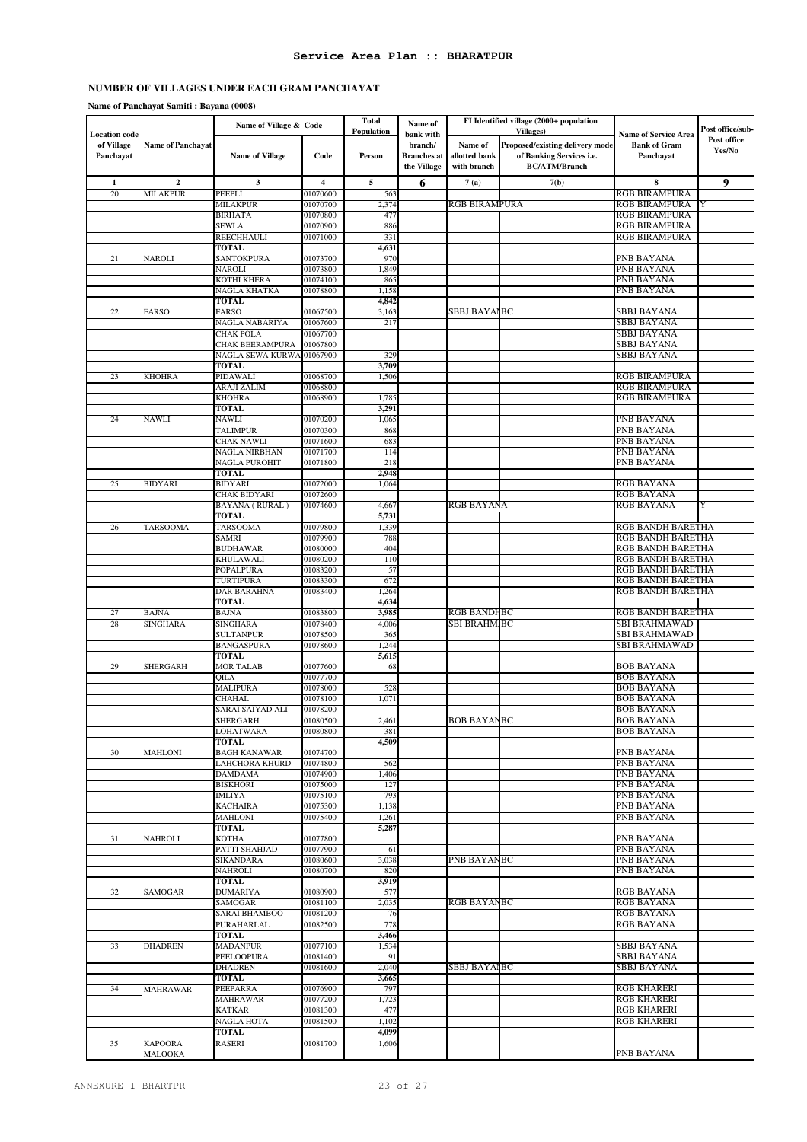#### **Name of Panchayat Samiti : Bayana (0008)**

|                                    |                           | Name of Village & Code            |                      | <b>Total</b><br><b>Population</b> | Name of              |                      | FI Identified village (2000+ population<br><b>Villages</b> ) |                                                    | Post office/sub- |
|------------------------------------|---------------------------|-----------------------------------|----------------------|-----------------------------------|----------------------|----------------------|--------------------------------------------------------------|----------------------------------------------------|------------------|
| <b>Location</b> code<br>of Village | <b>Name of Panchayat</b>  |                                   |                      |                                   | bank with<br>branch/ | Name of              | Proposed/existing delivery mode                              | <b>Name of Service Area</b><br><b>Bank of Gram</b> | Post office      |
| Panchayat                          |                           | <b>Name of Village</b>            | Code                 | Person                            | <b>Branches</b> at   | allotted bank        | of Banking Services i.e.                                     | Panchayat                                          | Yes/No           |
|                                    |                           |                                   |                      |                                   | the Village          | with branch          | <b>BC/ATM/Branch</b>                                         |                                                    |                  |
| 1                                  | $\mathbf{2}$              | 3                                 | 4                    | 5                                 | 6                    | 7(a)                 | 7(b)                                                         | 8                                                  | 9                |
| 20                                 | MILAKPUR                  | PEEPLI                            | 01070600             | 563                               |                      |                      |                                                              | RGB BIRAMPURA                                      |                  |
|                                    |                           | <b>MILAKPUR</b>                   | 01070700             | 2,374                             |                      | <b>RGB BIRAMPURA</b> |                                                              | RGB BIRAMPURA                                      |                  |
|                                    |                           | <b>BIRHATA</b><br>SEWLA           | 01070800<br>01070900 | 477<br>886                        |                      |                      |                                                              | <b>RGB BIRAMPURA</b><br><b>RGB BIRAMPURA</b>       |                  |
|                                    |                           | REECHHAULI                        | 01071000             | 331                               |                      |                      |                                                              | RGB BIRAMPURA                                      |                  |
|                                    |                           | <b>TOTAL</b>                      |                      | 4,631                             |                      |                      |                                                              |                                                    |                  |
| 21                                 | <b>NAROLI</b>             | SANTOKPURA                        | 01073700             | 970                               |                      |                      |                                                              | PNB BAYANA                                         |                  |
|                                    |                           | NAROLI                            | 01073800             | 1,849                             |                      |                      |                                                              | PNB BAYANA                                         |                  |
|                                    |                           | KOTHI KHERA                       | 01074100             | 865                               |                      |                      |                                                              | PNB BAYANA                                         |                  |
|                                    |                           | NAGLA KHATKA                      | 01078800             | 1,158                             |                      |                      |                                                              | PNB BAYANA                                         |                  |
| 22                                 | <b>FARSO</b>              | <b>TOTAL</b><br><b>FARSO</b>      | 01067500             | 4,842<br>3,163                    |                      | SBBJ BAYAIBC         |                                                              | SBBJ BAYANA                                        |                  |
|                                    |                           | NAGLA NABARIYA                    | 01067600             | 217                               |                      |                      |                                                              | SBBJ BAYANA                                        |                  |
|                                    |                           | <b>CHAK POLA</b>                  | 01067700             |                                   |                      |                      |                                                              | SBBJ BAYANA                                        |                  |
|                                    |                           | CHAK BEERAMPURA                   | 01067800             |                                   |                      |                      |                                                              | SBBJ BAYANA                                        |                  |
|                                    |                           | NAGLA SEWA KURWA 01067900         |                      | 329                               |                      |                      |                                                              | SBBJ BAYANA                                        |                  |
|                                    |                           | <b>TOTAL</b>                      |                      | 3,709                             |                      |                      |                                                              |                                                    |                  |
| 23                                 | <b>KHOHRA</b>             | PIDAWALI                          | 01068700             | 1,506                             |                      |                      |                                                              | <b>RGB BIRAMPURA</b><br><b>RGB BIRAMPURA</b>       |                  |
|                                    |                           | ARAJI ZALIM<br><b>KHOHRA</b>      | 01068800<br>01068900 | 1,785                             |                      |                      |                                                              | <b>RGB BIRAMPURA</b>                               |                  |
|                                    |                           | TOTAL                             |                      | 3,291                             |                      |                      |                                                              |                                                    |                  |
| 24                                 | NAWLI                     | NAWLI                             | 01070200             | 1,065                             |                      |                      |                                                              | PNB BAYANA                                         |                  |
|                                    |                           | TALIMPUR                          | 01070300             | 868                               |                      |                      |                                                              | PNB BAYANA                                         |                  |
|                                    |                           | CHAK NAWLI                        | 01071600             | 683                               |                      |                      |                                                              | PNB BAYANA                                         |                  |
|                                    |                           | NAGLA NIRBHAN                     | 01071700             | 114                               |                      |                      |                                                              | PNB BAYANA                                         |                  |
|                                    |                           | NAGLA PUROHIT                     | 01071800             | 218                               |                      |                      |                                                              | PNB BAYANA                                         |                  |
| 25                                 | <b>BIDYARI</b>            | <b>TOTAL</b><br><b>BIDYARI</b>    | 01072000             | 2,948<br>1,064                    |                      |                      |                                                              | <b>RGB BAYANA</b>                                  |                  |
|                                    |                           | CHAK BIDYARI                      | 01072600             |                                   |                      |                      |                                                              | RGB BAYANA                                         |                  |
|                                    |                           | BAYANA (RURAL)                    | 01074600             | 4,667                             |                      | RGB BAYANA           |                                                              | RGB BAYANA                                         | Y                |
|                                    |                           | <b>TOTAL</b>                      |                      | 5,731                             |                      |                      |                                                              |                                                    |                  |
| 26                                 | <b>TARSOOMA</b>           | <b>TARSOOMA</b>                   | 01079800             | 1,339                             |                      |                      |                                                              | RGB BANDH BARETHA                                  |                  |
|                                    |                           | SAMRI                             | 01079900             | 788                               |                      |                      |                                                              | RGB BANDH BARETHA                                  |                  |
|                                    |                           | <b>BUDHAWAR</b>                   | 01080000             | 404                               |                      |                      |                                                              | RGB BANDH BARETHA                                  |                  |
|                                    |                           | KHULAWALI<br>POPALPURA            | 01080200<br>01083200 | 110<br>57                         |                      |                      |                                                              | RGB BANDH BARETHA<br>RGB BANDH BARETHA             |                  |
|                                    |                           | TURTIPURA                         | 01083300             | 672                               |                      |                      |                                                              | RGB BANDH BARETHA                                  |                  |
|                                    |                           | DAR BARAHNA                       | 01083400             | 1,264                             |                      |                      |                                                              | RGB BANDH BARETHA                                  |                  |
|                                    |                           | <b>TOTAL</b>                      |                      | 4,634                             |                      |                      |                                                              |                                                    |                  |
| 27                                 | <b>BAJNA</b>              | <b>BAJNA</b>                      | 01083800             | 3,985                             |                      | <b>RGB BANDHBC</b>   |                                                              | RGB BANDH BARETHA                                  |                  |
| 28                                 | <b>SINGHARA</b>           | SINGHARA                          | 01078400             | 4,006                             |                      | SBI BRAHM BC         |                                                              | SBI BRAHMAWAD                                      |                  |
|                                    |                           | <b>SULTANPUR</b>                  | 01078500             | 365                               |                      |                      |                                                              | SBI BRAHMAWAD                                      |                  |
|                                    |                           | <b>BANGASPURA</b><br><b>TOTAL</b> | 01078600             | 1,244<br>5,615                    |                      |                      |                                                              | SBI BRAHMAWAD                                      |                  |
| 29                                 | <b>SHERGARH</b>           | <b>MOR TALAB</b>                  | 01077600             | 68                                |                      |                      |                                                              | <b>BOB BAYANA</b>                                  |                  |
|                                    |                           | OILA                              | 01077700             |                                   |                      |                      |                                                              | <b>BOB BAYANA</b>                                  |                  |
|                                    |                           | <b>MALIPURA</b>                   | 01078000             | 528                               |                      |                      |                                                              | <b>BOB BAYANA</b>                                  |                  |
|                                    |                           | <b>CHAHAL</b>                     | 01078100             | 1,071                             |                      |                      |                                                              | BOB BAYANA                                         |                  |
|                                    |                           | SARAI SAIYAD ALI                  | 01078200             |                                   |                      |                      |                                                              | <b>BOB BAYANA</b>                                  |                  |
|                                    |                           | <b>SHERGARH</b><br>LOHATWARA      | 01080500<br>01080800 | 2,461<br>381                      |                      | <b>BOB BAYANBC</b>   |                                                              | <b>BOB BAYANA</b><br><b>BOB BAYANA</b>             |                  |
|                                    |                           | <b>TOTAL</b>                      |                      | 4,509                             |                      |                      |                                                              |                                                    |                  |
| 30                                 | <b>MAHLONI</b>            | <b>BAGH KANAWAR</b>               | 01074700             |                                   |                      |                      |                                                              | PNB BAYANA                                         |                  |
|                                    |                           | LAHCHORA KHURD                    | 01074800             | 562                               |                      |                      |                                                              | PNB BAYANA                                         |                  |
|                                    |                           | DAMDAMA                           | 01074900             | 1,406                             |                      |                      |                                                              | PNB BAYANA                                         |                  |
|                                    |                           | <b>BISKHORI</b>                   | 01075000             | 127                               |                      |                      |                                                              | PNB BAYANA                                         |                  |
|                                    |                           | IMLIYA                            | 01075100<br>01075300 | 793<br>1,138                      |                      |                      |                                                              | PNB BAYANA                                         |                  |
|                                    |                           | <b>KACHAIRA</b><br><b>MAHLONI</b> | 01075400             | 1,261                             |                      |                      |                                                              | PNB BAYANA<br>PNB BAYANA                           |                  |
|                                    |                           | <b>TOTAL</b>                      |                      | 5,287                             |                      |                      |                                                              |                                                    |                  |
| 31                                 | <b>NAHROLI</b>            | <b>KOTHA</b>                      | 01077800             |                                   |                      |                      |                                                              | PNB BAYANA                                         |                  |
|                                    |                           | PATTI SHAHJAD                     | 01077900             | 61                                |                      |                      |                                                              | PNB BAYANA                                         |                  |
|                                    |                           | <b>SIKANDARA</b>                  | 01080600             | 3,038                             |                      | PNB BAYANBC          |                                                              | PNB BAYANA                                         |                  |
|                                    |                           | <b>NAHROLI</b>                    | 01080700             | 820                               |                      |                      |                                                              | PNB BAYANA                                         |                  |
|                                    |                           | TOTAL                             |                      | 3,919                             |                      |                      |                                                              |                                                    |                  |
| 32                                 | SAMOGAR                   | DUMARIYA<br>SAMOGAR               | 01080900<br>01081100 | 577<br>2,035                      |                      | RGB BAYANBC          |                                                              | RGB BAYANA<br><b>RGB BAYANA</b>                    |                  |
|                                    |                           | <b>SARAI BHAMBOO</b>              | 01081200             | 76                                |                      |                      |                                                              | <b>RGB BAYANA</b>                                  |                  |
|                                    |                           | PURAHARLAL                        | 01082500             | 778                               |                      |                      |                                                              | RGB BAYANA                                         |                  |
|                                    |                           | <b>TOTAL</b>                      |                      | 3,466                             |                      |                      |                                                              |                                                    |                  |
| 33                                 | <b>DHADREN</b>            | <b>MADANPUR</b>                   | 01077100             | 1,534                             |                      |                      |                                                              | SBBJ BAYANA                                        |                  |
|                                    |                           | <b>PEELOOPURA</b>                 | 01081400             | 91                                |                      |                      |                                                              | SBBJ BAYANA                                        |                  |
|                                    |                           | <b>DHADREN</b>                    | 01081600             | 2,040                             |                      | SBBJ BAYAIBC         |                                                              | SBBJ BAYANA                                        |                  |
| 34                                 | <b>MAHRAWAR</b>           | <b>TOTAL</b><br>PEEPARRA          | 01076900             | 3,665<br>797                      |                      |                      |                                                              | RGB KHARERI                                        |                  |
|                                    |                           | <b>MAHRAWAR</b>                   | 01077200             | 1,723                             |                      |                      |                                                              | <b>RGB KHARERI</b>                                 |                  |
|                                    |                           | KATKAR                            | 01081300             | 477                               |                      |                      |                                                              | <b>RGB KHARERI</b>                                 |                  |
|                                    |                           | <b>NAGLA HOTA</b>                 | 01081500             | 1,102                             |                      |                      |                                                              | RGB KHARERI                                        |                  |
|                                    |                           | TOTAL                             |                      | 4,099                             |                      |                      |                                                              |                                                    |                  |
| 35                                 | <b>KAPOORA</b><br>MALOOKA | <b>RASERI</b>                     | 01081700             | 1,606                             |                      |                      |                                                              | PNB BAYANA                                         |                  |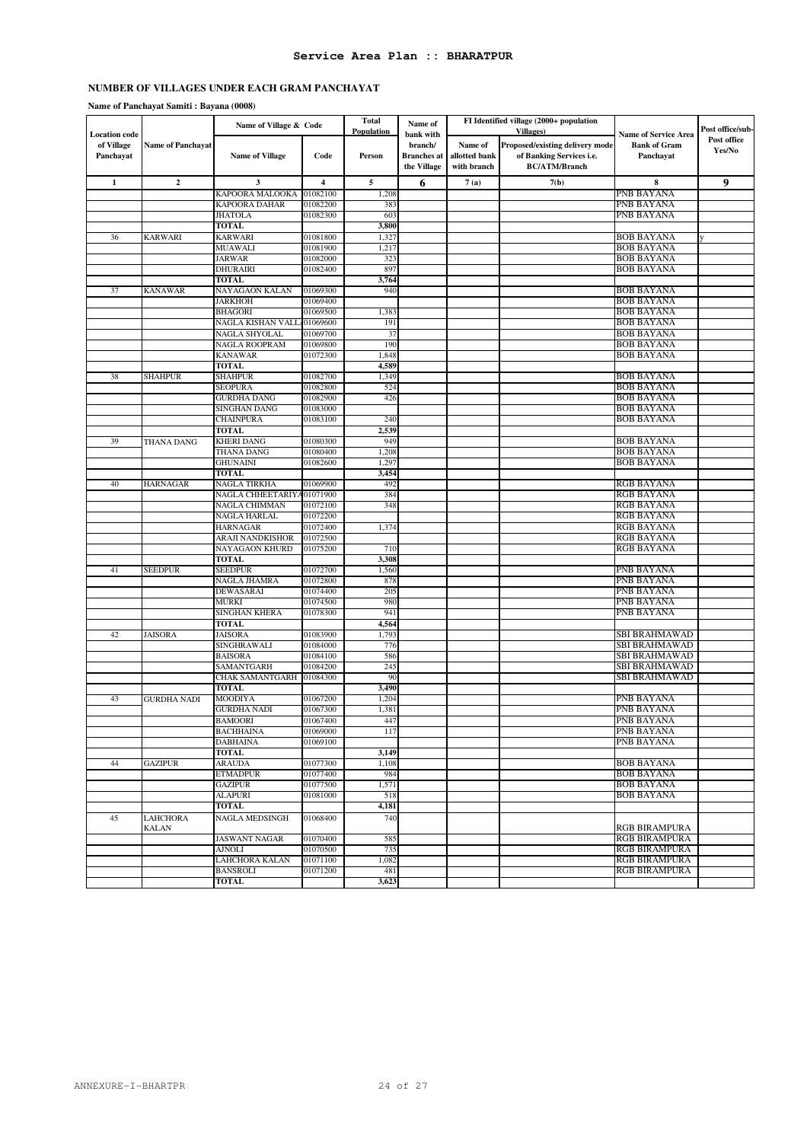#### **Name of Panchayat Samiti : Bayana (0008)**

| <b>Location</b> code |                          | Name of Village & Code           |                      | <b>Total</b><br><b>Population</b> | Name of            | FI Identified village (2000+ population<br><b>Villages</b> )<br>bank with |                                 | <b>Name of Service Area</b>            | Post office/sub- |
|----------------------|--------------------------|----------------------------------|----------------------|-----------------------------------|--------------------|---------------------------------------------------------------------------|---------------------------------|----------------------------------------|------------------|
| of Village           | <b>Name of Panchayat</b> |                                  |                      |                                   | branch/            | Name of                                                                   | Proposed/existing delivery mode | <b>Bank of Gram</b>                    | Post office      |
| Panchayat            |                          | <b>Name of Village</b>           | Code                 | Person                            | <b>Branches</b> at | allotted bank                                                             | of Banking Services i.e.        | Panchayat                              | Yes/No           |
|                      |                          |                                  |                      |                                   | the Village        | with branch                                                               | <b>BC/ATM/Branch</b>            |                                        |                  |
| $\mathbf{1}$         | $\boldsymbol{2}$         | 3                                | 4                    | 5                                 | 6                  | 7(a)                                                                      | 7(b)                            | 8                                      | 9                |
|                      |                          | KAPOORA MALOOKA                  | 01082100             | 1,208                             |                    |                                                                           |                                 | PNB BAYANA                             |                  |
|                      |                          | KAPOORA DAHAR                    | 01082200             | 383                               |                    |                                                                           |                                 | PNB BAYANA                             |                  |
|                      |                          | <b>JHATOLA</b>                   | 01082300             | 603                               |                    |                                                                           |                                 | PNB BAYANA                             |                  |
|                      |                          | <b>TOTAL</b>                     |                      | 3,800                             |                    |                                                                           |                                 |                                        |                  |
| 36                   | <b>KARWARI</b>           | KARWARI<br>MUAWALI               | 01081800<br>01081900 | 1,327<br>1,217                    |                    |                                                                           |                                 | <b>BOB BAYANA</b><br>BOB BAYANA        |                  |
|                      |                          | JARWAR                           | 01082000             | 323                               |                    |                                                                           |                                 | BOB BAYANA                             |                  |
|                      |                          | DHURAIRI                         | 01082400             | 897                               |                    |                                                                           |                                 | <b>BOB BAYANA</b>                      |                  |
|                      |                          | <b>TOTAL</b>                     |                      | 3,764                             |                    |                                                                           |                                 |                                        |                  |
| 37                   | <b>KANAWAR</b>           | NAYAGAON KALAN                   | 01069300             | 940                               |                    |                                                                           |                                 | <b>BOB BAYANA</b>                      |                  |
|                      |                          | <b>JARKHOH</b>                   | 01069400             |                                   |                    |                                                                           |                                 | <b>BOB BAYANA</b>                      |                  |
|                      |                          | <b>BHAGORI</b>                   | 01069500             | 1,383                             |                    |                                                                           |                                 | BOB BAYANA                             |                  |
|                      |                          | NAGLA KISHAN VALL.               | 01069600             | 191                               |                    |                                                                           |                                 | <b>BOB BAYANA</b>                      |                  |
|                      |                          | NAGLA SHYOLAL                    | 01069700             | 37                                |                    |                                                                           |                                 | <b>BOB BAYANA</b>                      |                  |
|                      |                          | NAGLA ROOPRAM                    | 01069800<br>01072300 | 190<br>1,848                      |                    |                                                                           |                                 | <b>BOB BAYANA</b><br><b>BOB BAYANA</b> |                  |
|                      |                          | KANAWAR<br>TOTAL                 |                      | 4,589                             |                    |                                                                           |                                 |                                        |                  |
| 38                   | <b>SHAHPUR</b>           | SHAHPUR                          | 01082700             | 1,349                             |                    |                                                                           |                                 | BOB BAYANA                             |                  |
|                      |                          | SEOPURA                          | 01082800             | 524                               |                    |                                                                           |                                 | <b>BOB BAYANA</b>                      |                  |
|                      |                          | <b>GURDHA DANG</b>               | 01082900             | 426                               |                    |                                                                           |                                 | <b>BOB BAYANA</b>                      |                  |
|                      |                          | SINGHAN DANG                     | 01083000             |                                   |                    |                                                                           |                                 | <b>BOB BAYANA</b>                      |                  |
|                      |                          | <b>CHAINPURA</b>                 | 01083100             | 240                               |                    |                                                                           |                                 | BOB BAYANA                             |                  |
|                      |                          | <b>TOTAL</b>                     |                      | 2,539                             |                    |                                                                           |                                 |                                        |                  |
| 39                   | THANA DANG               | KHERI DANG                       | 01080300             | 949                               |                    |                                                                           |                                 | BOB BAYANA                             |                  |
|                      |                          | THANA DANG<br>GHUNAINI           | 01080400             | 1,208<br>1,297                    |                    |                                                                           |                                 | <b>BOB BAYANA</b>                      |                  |
|                      |                          | TOTAL                            | 01082600             | 3,454                             |                    |                                                                           |                                 | <b>BOB BAYANA</b>                      |                  |
| 40                   | <b>HARNAGAR</b>          | NAGLA TIRKHA                     | 01069900             | 492                               |                    |                                                                           |                                 | <b>RGB BAYANA</b>                      |                  |
|                      |                          | NAGLA CHHEETARIYA01071900        |                      | 384                               |                    |                                                                           |                                 | <b>RGB BAYANA</b>                      |                  |
|                      |                          | NAGLA CHIMMAN                    | 01072100             | 348                               |                    |                                                                           |                                 | <b>RGB BAYANA</b>                      |                  |
|                      |                          | NAGLA HARLAL                     | 01072200             |                                   |                    |                                                                           |                                 | RGB BAYANA                             |                  |
|                      |                          | HARNAGAR                         | 01072400             | 1,374                             |                    |                                                                           |                                 | RGB BAYANA                             |                  |
|                      |                          | ARAJI NANDKISHOR                 | 01072500             |                                   |                    |                                                                           |                                 | <b>RGB BAYANA</b>                      |                  |
|                      |                          | NAYAGAON KHURD                   | 01075200             | 710                               |                    |                                                                           |                                 | <b>RGB BAYANA</b>                      |                  |
|                      |                          | <b>TOTAL</b><br>SEEDPUR          | 01072700             | 3,308                             |                    |                                                                           |                                 | PNB BAYANA                             |                  |
| 41                   | <b>SEEDPUR</b>           | NAGLA JHAMRA                     | 01072800             | 1,560<br>878                      |                    |                                                                           |                                 | PNB BAYANA                             |                  |
|                      |                          | DEWASARAI                        | 01074400             | 205                               |                    |                                                                           |                                 | PNB BAYANA                             |                  |
|                      |                          | MURKI                            | 01074500             | 980                               |                    |                                                                           |                                 | PNB BAYANA                             |                  |
|                      |                          | SINGHAN KHERA                    | 01078300             | 941                               |                    |                                                                           |                                 | PNB BAYANA                             |                  |
|                      |                          | <b>TOTAL</b>                     |                      | 4,564                             |                    |                                                                           |                                 |                                        |                  |
| 42                   | <b>JAISORA</b>           | <b>JAISORA</b>                   | 01083900             | 1,793                             |                    |                                                                           |                                 | SBI BRAHMAWAD                          |                  |
|                      |                          | SINGHRAWALI                      | 01084000             | 776                               |                    |                                                                           |                                 | SBI BRAHMAWAD                          |                  |
|                      |                          | <b>BAISORA</b>                   | 01084100             | 586                               |                    |                                                                           |                                 | SBI BRAHMAWAD                          |                  |
|                      |                          | SAMANTGARH<br>CHAK SAMANTGARH    | 01084200<br>01084300 | 245<br>90                         |                    |                                                                           |                                 | SBI BRAHMAWAD<br>SBI BRAHMAWAD         |                  |
|                      |                          | <b>TOTAL</b>                     |                      | 3,490                             |                    |                                                                           |                                 |                                        |                  |
| 43                   | GURDHA NADI              | MOODIYA                          | 01067200             | 1,204                             |                    |                                                                           |                                 | PNB BAYANA                             |                  |
|                      |                          | <b>GURDHA NADI</b>               | 01067300             | 1,381                             |                    |                                                                           |                                 | PNB BAYANA                             |                  |
|                      |                          | <b>BAMOORI</b>                   | 01067400             | 447                               |                    |                                                                           |                                 | PNB BAYANA                             |                  |
|                      |                          | <b>BACHHAINA</b>                 | 01069000             | 117                               |                    |                                                                           |                                 | PNB BAYANA                             |                  |
|                      |                          | <b>DABHAINA</b>                  | 01069100             |                                   |                    |                                                                           |                                 | PNB BAYANA                             |                  |
| 44                   | <b>GAZIPUR</b>           | <b>TOTAL</b>                     | 01077300             | 3,149<br>1,108                    |                    |                                                                           |                                 | BOB BAYANA                             |                  |
|                      |                          | <b>ARAUDA</b><br><b>ETMADPUR</b> | 01077400             | 984                               |                    |                                                                           |                                 | BOB BAYANA                             |                  |
|                      |                          | <b>GAZIPUR</b>                   | 01077500             | 1,571                             |                    |                                                                           |                                 | BOB BAYANA                             |                  |
|                      |                          | <b>ALAPURI</b>                   | 01081000             | 518                               |                    |                                                                           |                                 | BOB BAYANA                             |                  |
|                      |                          | TOTAL                            |                      | 4,181                             |                    |                                                                           |                                 |                                        |                  |
| 45                   | <b>LAHCHORA</b>          | <b>NAGLA MEDSINGH</b>            | 01068400             | 740                               |                    |                                                                           |                                 |                                        |                  |
|                      | <b>KALAN</b>             |                                  |                      |                                   |                    |                                                                           |                                 | <b>RGB BIRAMPURA</b>                   |                  |
|                      |                          | <b>JASWANT NAGAR</b>             | 01070400             | 585                               |                    |                                                                           |                                 | <b>RGB BIRAMPURA</b>                   |                  |
|                      |                          | <b>AJNOLI</b>                    | 01070500             | 735                               |                    |                                                                           |                                 | <b>RGB BIRAMPURA</b>                   |                  |
|                      |                          | LAHCHORA KALAN                   | 01071100             | 1,082                             |                    |                                                                           |                                 | <b>RGB BIRAMPURA</b>                   |                  |
|                      |                          | BANSROLI<br><b>TOTAL</b>         | 01071200             | 481<br>3,623                      |                    |                                                                           |                                 | <b>RGB BIRAMPURA</b>                   |                  |
|                      |                          |                                  |                      |                                   |                    |                                                                           |                                 |                                        |                  |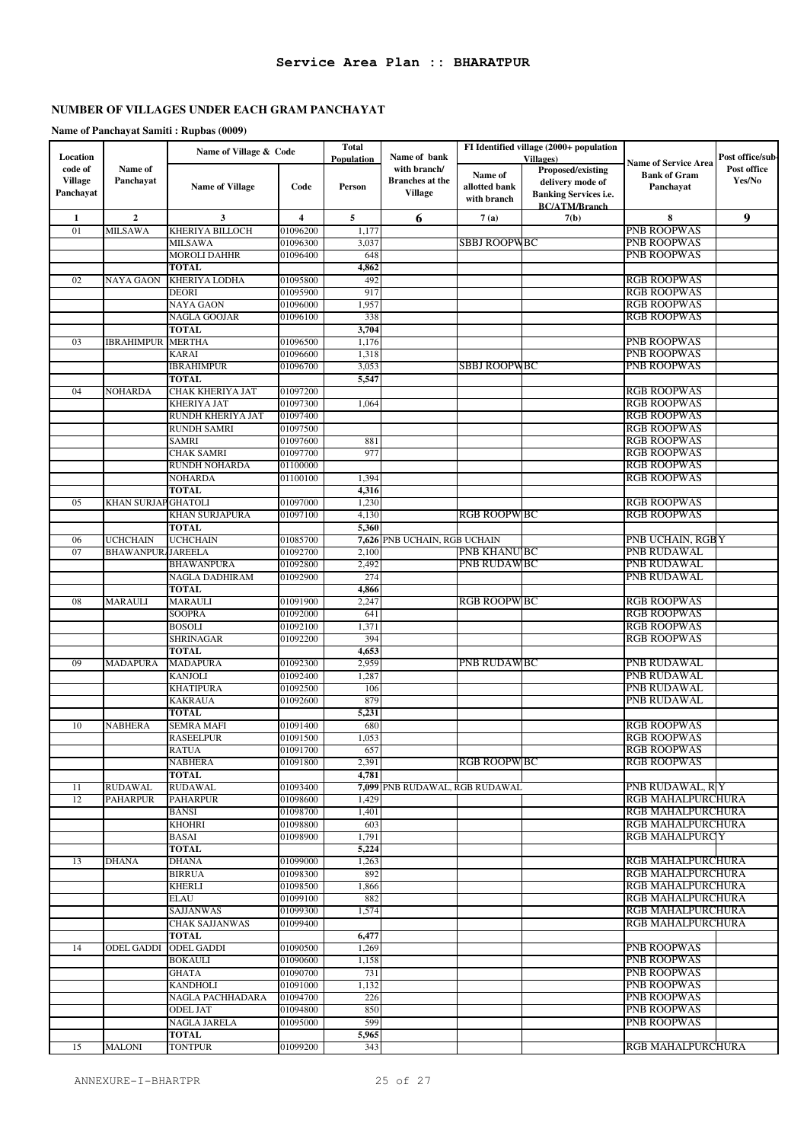# **Name of Panchayat Samiti : Rupbas (0009)**

| Location           |                          | Name of Village & Code            |                      | <b>Total</b>      | Name of bank                   | FI Identified village (2000+ population |                                        |                                                      | Post office/sub- |
|--------------------|--------------------------|-----------------------------------|----------------------|-------------------|--------------------------------|-----------------------------------------|----------------------------------------|------------------------------------------------------|------------------|
| code of            | Name of                  |                                   |                      | <b>Population</b> | with branch/                   |                                         | <b>Villages</b> )<br>Proposed/existing | <b>Name of Service Area</b>                          | Post office      |
| <b>Village</b>     | Panchayat                | <b>Name of Village</b>            | Code                 | <b>Person</b>     | <b>Branches</b> at the         | Name of<br>allotted bank                | delivery mode of                       | <b>Bank of Gram</b><br>Panchayat                     | Yes/No           |
| Panchayat          |                          |                                   |                      |                   | <b>Village</b>                 | with branch                             | <b>Banking Services i.e.</b>           |                                                      |                  |
|                    |                          |                                   |                      |                   |                                |                                         | <b>BC/ATM/Branch</b>                   |                                                      |                  |
| $\mathbf{1}$<br>01 | $\mathbf{2}$<br>MILSAWA  | 3<br>KHERIYA BILLOCH              | 4<br>01096200        | 5<br>1,177        | 6                              | 7(a)                                    | 7(b)                                   | 8<br><b>PNB ROOPWAS</b>                              | 9                |
|                    |                          | <b>MILSAWA</b>                    | 01096300             | 3,037             |                                | SBBJ ROOPWBC                            |                                        | <b>PNB ROOPWAS</b>                                   |                  |
|                    |                          | <b>MOROLI DAHHR</b>               | 01096400             | 648               |                                |                                         |                                        | <b>PNB ROOPWAS</b>                                   |                  |
|                    |                          | <b>TOTAL</b>                      |                      | 4,862             |                                |                                         |                                        |                                                      |                  |
| 02                 | NAYA GAON                | KHERIYA LODHA                     | 01095800             | 492               |                                |                                         |                                        | <b>RGB ROOPWAS</b>                                   |                  |
|                    |                          | <b>DEORI</b><br>NAYA GAON         | 01095900<br>01096000 | 917<br>1,957      |                                |                                         |                                        | <b>RGB ROOPWAS</b><br><b>RGB ROOPWAS</b>             |                  |
|                    |                          | NAGLA GOOJAR                      | 01096100             | 338               |                                |                                         |                                        | <b>RGB ROOPWAS</b>                                   |                  |
|                    |                          | <b>TOTAL</b>                      |                      | 3,704             |                                |                                         |                                        |                                                      |                  |
| 03                 | IBRAHIMPUR               | <b>MERTHA</b>                     | 01096500             | 1,176             |                                |                                         |                                        | <b>PNB ROOPWAS</b>                                   |                  |
|                    |                          | KARAI                             | 01096600             | 1,318             |                                |                                         |                                        | <b>PNB ROOPWAS</b>                                   |                  |
|                    |                          | <b>IBRAHIMPUR</b><br><b>TOTAL</b> | 01096700             | 3,053<br>5,547    |                                | SBBJ ROOPWBC                            |                                        | <b>PNB ROOPWAS</b>                                   |                  |
| 04                 | NOHARDA                  | CHAK KHERIYA JAT                  | 01097200             |                   |                                |                                         |                                        | <b>RGB ROOPWAS</b>                                   |                  |
|                    |                          | <b>KHERIYA JAT</b>                | 01097300             | 1,064             |                                |                                         |                                        | <b>RGB ROOPWAS</b>                                   |                  |
|                    |                          | RUNDH KHERIYA JAT                 | 01097400             |                   |                                |                                         |                                        | <b>RGB ROOPWAS</b>                                   |                  |
|                    |                          | <b>RUNDH SAMRI</b>                | 01097500             |                   |                                |                                         |                                        | <b>RGB ROOPWAS</b>                                   |                  |
|                    |                          | <b>SAMRI</b><br><b>CHAK SAMRI</b> | 01097600<br>01097700 | 881<br>977        |                                |                                         |                                        | <b>RGB ROOPWAS</b><br><b>RGB ROOPWAS</b>             |                  |
|                    |                          | <b>RUNDH NOHARDA</b>              | 01100000             |                   |                                |                                         |                                        | <b>RGB ROOPWAS</b>                                   |                  |
|                    |                          | <b>NOHARDA</b>                    | 01100100             | 1,394             |                                |                                         |                                        | <b>RGB ROOPWAS</b>                                   |                  |
|                    |                          | <b>TOTAL</b>                      |                      | 4,316             |                                |                                         |                                        |                                                      |                  |
| 05                 | KHAN SURJAP GHATOLI      |                                   | 01097000             | 1,230             |                                |                                         |                                        | <b>RGB ROOPWAS</b>                                   |                  |
|                    |                          | KHAN SURJAPURA<br><b>TOTAL</b>    | 01097100             | 4,130<br>5,360    |                                | <b>RGB ROOPWBC</b>                      |                                        | <b>RGB ROOPWAS</b>                                   |                  |
| 06                 | <b>UCHCHAIN</b>          | <b>UCHCHAIN</b>                   | 01085700             |                   | 7,626 PNB UCHAIN, RGB UCHAIN   |                                         |                                        | PNB UCHAIN, RGB Y                                    |                  |
| 07                 | <b>BHAWANPUR/JAREELA</b> |                                   | 01092700             | 2,100             |                                | <b>PNB KHANU BC</b>                     |                                        | PNB RUDAWAL                                          |                  |
|                    |                          | <b>BHAWANPURA</b>                 | 01092800             | 2,492             |                                | PNB RUDAWBC                             |                                        | PNB RUDAWAL                                          |                  |
|                    |                          | NAGLA DADHIRAM                    | 01092900             | 274               |                                |                                         |                                        | PNB RUDAWAL                                          |                  |
| 08                 | MARAULI                  | <b>TOTAL</b><br><b>MARAULI</b>    | 01091900             | 4,866<br>2,247    |                                | <b>RGB ROOPWBC</b>                      |                                        | <b>RGB ROOPWAS</b>                                   |                  |
|                    |                          | <b>SOOPRA</b>                     | 01092000             | 641               |                                |                                         |                                        | <b>RGB ROOPWAS</b>                                   |                  |
|                    |                          | <b>BOSOLI</b>                     | 01092100             | 1,371             |                                |                                         |                                        | <b>RGB ROOPWAS</b>                                   |                  |
|                    |                          | <b>SHRINAGAR</b>                  | 01092200             | 394               |                                |                                         |                                        | <b>RGB ROOPWAS</b>                                   |                  |
|                    |                          | <b>TOTAL</b>                      |                      | 4,653             |                                |                                         |                                        |                                                      |                  |
| 09                 | <b>MADAPURA</b>          | <b>MADAPURA</b><br><b>KANJOLI</b> | 01092300<br>01092400 | 2,959<br>1,287    |                                | <b>PNB RUDAWBC</b>                      |                                        | PNB RUDAWAL<br>PNB RUDAWAL                           |                  |
|                    |                          | KHATIPURA                         | 01092500             | 106               |                                |                                         |                                        | PNB RUDAWAL                                          |                  |
|                    |                          | <b>KAKRAUA</b>                    | 01092600             | 879               |                                |                                         |                                        | PNB RUDAWAL                                          |                  |
|                    |                          | <b>TOTAL</b>                      |                      | 5,231             |                                |                                         |                                        |                                                      |                  |
| 10                 | <b>NABHERA</b>           | SEMRA MAFI                        | 01091400             | 680               |                                |                                         |                                        | <b>RGB ROOPWAS</b>                                   |                  |
|                    |                          | <b>RASEELPUR</b><br>RATUA         | 01091500<br>01091700 | 1,053<br>657      |                                |                                         |                                        | <b>RGB ROOPWAS</b><br><b>RGB ROOPWAS</b>             |                  |
|                    |                          | <b>NABHERA</b>                    | 01091800             | 2,391             |                                | <b>RGB ROOPWBC</b>                      |                                        | <b>RGB ROOPWAS</b>                                   |                  |
|                    |                          | <b>TOTAL</b>                      |                      | 4,781             |                                |                                         |                                        |                                                      |                  |
| 11                 | RUDAWAL                  | <b>RUDAWAL</b>                    | 01093400             |                   | 7,099 PNB RUDAWAL, RGB RUDAWAL |                                         |                                        | PNB RUDAWAL, R Y                                     |                  |
| 12                 | <b>PAHARPUR</b>          | <b>PAHARPUR</b>                   | 01098600             | 1,429             |                                |                                         |                                        | <b>RGB MAHALPURCHURA</b>                             |                  |
|                    |                          | <b>BANSI</b><br><b>KHOHRI</b>     | 01098700<br>01098800 | 1,401<br>603      |                                |                                         |                                        | <b>RGB MAHALPURCHURA</b><br>RGB MAHALPURCHURA        |                  |
|                    |                          | <b>BASAI</b>                      | 01098900             | 1,791             |                                |                                         |                                        | <b>RGB MAHALPURCY</b>                                |                  |
|                    |                          | <b>TOTAL</b>                      |                      | 5,224             |                                |                                         |                                        |                                                      |                  |
| 13                 | DHANA                    | <b>DHANA</b>                      | 01099000             | 1,263             |                                |                                         |                                        | <b>RGB MAHALPURCHURA</b>                             |                  |
|                    |                          | <b>BIRRUA</b>                     | 01098300             | 892               |                                |                                         |                                        | <b>RGB MAHALPURCHURA</b>                             |                  |
|                    |                          | <b>KHERLI</b><br>ELAU             | 01098500<br>01099100 | 1,866<br>882      |                                |                                         |                                        | <b>RGB MAHALPURCHURA</b><br><b>RGB MAHALPURCHURA</b> |                  |
|                    |                          | <b>SAJJANWAS</b>                  | 01099300             | 1,574             |                                |                                         |                                        | <b>RGB MAHALPURCHURA</b>                             |                  |
|                    |                          | <b>CHAK SAJJANWAS</b>             | 01099400             |                   |                                |                                         |                                        | <b>RGB MAHALPURCHURA</b>                             |                  |
|                    |                          | <b>TOTAL</b>                      |                      | 6,477             |                                |                                         |                                        |                                                      |                  |
| 14                 | <b>ODEL GADDI</b>        | <b>ODEL GADDI</b>                 | 01090500             | 1,269             |                                |                                         |                                        | <b>PNB ROOPWAS</b>                                   |                  |
|                    |                          | <b>BOKAULI</b><br><b>GHATA</b>    | 01090600<br>01090700 | 1,158<br>731      |                                |                                         |                                        | <b>PNB ROOPWAS</b><br><b>PNB ROOPWAS</b>             |                  |
|                    |                          | <b>KANDHOLI</b>                   | 01091000             | 1,132             |                                |                                         |                                        | <b>PNB ROOPWAS</b>                                   |                  |
|                    |                          | NAGLA PACHHADARA                  | 01094700             | 226               |                                |                                         |                                        | <b>PNB ROOPWAS</b>                                   |                  |
|                    |                          | <b>ODEL JAT</b>                   | 01094800             | 850               |                                |                                         |                                        | <b>PNB ROOPWAS</b>                                   |                  |
|                    |                          | NAGLA JARELA                      | 01095000             | 599               |                                |                                         |                                        | <b>PNB ROOPWAS</b>                                   |                  |
| 15                 | <b>MALONI</b>            | <b>TOTAL</b><br><b>TONTPUR</b>    | 01099200             | 5,965<br>343      |                                |                                         |                                        | <b>RGB MAHALPURCHURA</b>                             |                  |
|                    |                          |                                   |                      |                   |                                |                                         |                                        |                                                      |                  |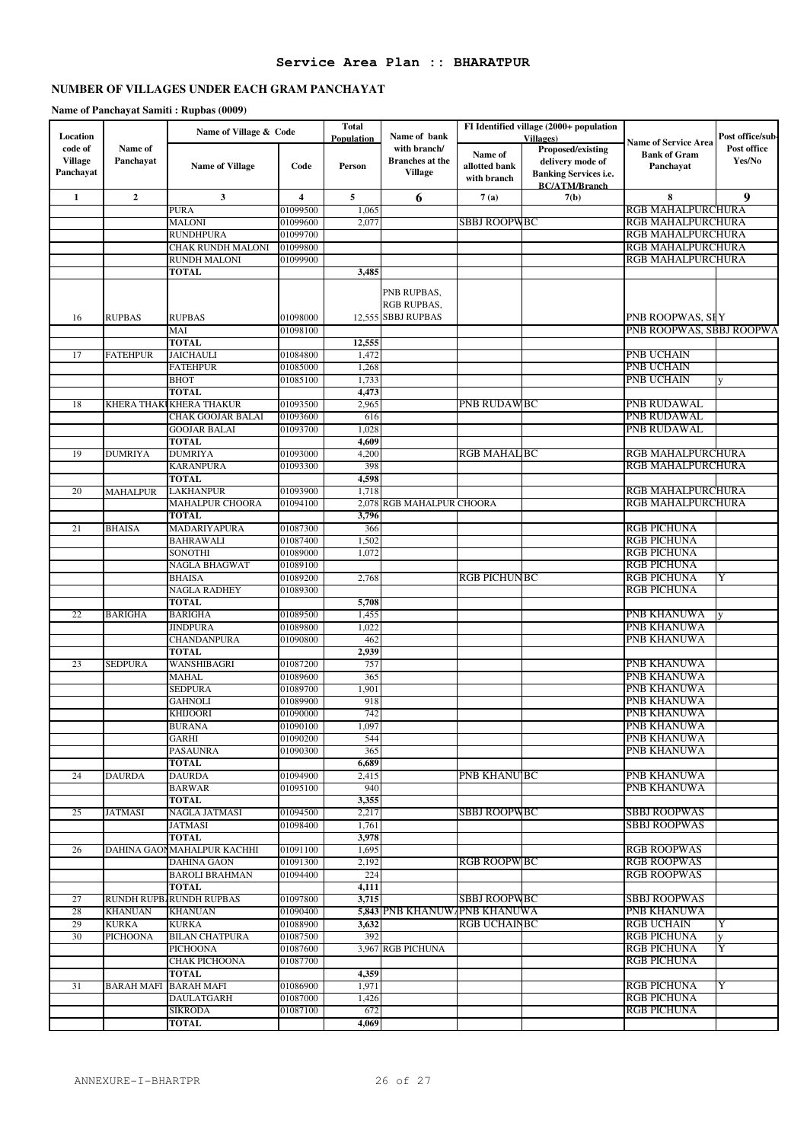# **Service Area Plan :: BHARATPUR**

# **NUMBER OF VILLAGES UNDER EACH GRAM PANCHAYAT**

**Name of Panchayat Samiti : Rupbas (0009)**

|                     |                   | Name of Village & Code     |                         | <b>Total</b> |                              |                     | FI Identified village (2000+ population |                             | Post office/sub- |
|---------------------|-------------------|----------------------------|-------------------------|--------------|------------------------------|---------------------|-----------------------------------------|-----------------------------|------------------|
| Location<br>code of | Name of           |                            |                         | Population   | Name of bank<br>with branch/ |                     | <b>Villages</b> )<br>Proposed/existing  | <b>Name of Service Area</b> | Post office      |
| <b>Village</b>      | Panchayat         |                            |                         |              | <b>Branches</b> at the       | Name of             |                                         | <b>Bank of Gram</b>         | Yes/No           |
| Panchayat           |                   | <b>Name of Village</b>     | Code                    | Person       | <b>Village</b>               | allotted bank       | delivery mode of                        | Panchayat                   |                  |
|                     |                   |                            |                         |              |                              | with branch         | <b>Banking Services i.e.</b>            |                             |                  |
| $\mathbf{1}$        | $\overline{2}$    | $\mathbf{3}$               | $\overline{\mathbf{4}}$ | 5            | 6                            | 7(a)                | <b>BC/ATM/Branch</b><br>7(b)            | 8                           | 9                |
|                     |                   | PURA                       | 01099500                | 1,065        |                              |                     |                                         | <b>RGB MAHALPURCHURA</b>    |                  |
|                     |                   | MALONI                     | 01099600                | 2,077        |                              | <b>SBBJ ROOPWBC</b> |                                         | RGB MAHALPURCHURA           |                  |
|                     |                   | RUNDHPURA                  | 01099700                |              |                              |                     |                                         | RGB MAHALPURCHURA           |                  |
|                     |                   | CHAK RUNDH MALONI          | 01099800                |              |                              |                     |                                         | RGB MAHALPURCHURA           |                  |
|                     |                   | <b>RUNDH MALONI</b>        | 01099900                |              |                              |                     |                                         | RGB MAHALPURCHURA           |                  |
|                     |                   | <b>TOTAL</b>               |                         | 3,485        |                              |                     |                                         |                             |                  |
|                     |                   |                            |                         |              |                              |                     |                                         |                             |                  |
|                     |                   |                            |                         |              | PNB RUPBAS,                  |                     |                                         |                             |                  |
|                     |                   |                            |                         |              | RGB RUPBAS,                  |                     |                                         |                             |                  |
| 16                  | <b>RUPBAS</b>     | <b>RUPBAS</b>              | 01098000                |              | 12,555 SBBJ RUPBAS           |                     |                                         | PNB ROOPWAS, SHY            |                  |
|                     |                   | MAI                        | 01098100                |              |                              |                     |                                         | PNB ROOPWAS, SBBJ ROOPWA    |                  |
|                     |                   | <b>TOTAL</b>               |                         | 12,555       |                              |                     |                                         |                             |                  |
| 17                  | <b>FATEHPUR</b>   | <b>JAICHAULI</b>           | 01084800                | 1,472        |                              |                     |                                         | PNB UCHAIN                  |                  |
|                     |                   | FATEHPUR                   | 01085000                | 1,268        |                              |                     |                                         | PNB UCHAIN                  |                  |
|                     |                   | <b>BHOT</b>                | 01085100                | 1,733        |                              |                     |                                         | PNB UCHAIN                  |                  |
|                     |                   | <b>TOTAL</b>               |                         | 4,473        |                              |                     |                                         |                             |                  |
| 18                  | KHERA THAK        | <b>KHERA THAKUR</b>        | 01093500                | 2,965        |                              | PNB RUDAWBC         |                                         | PNB RUDAWAL                 |                  |
|                     |                   | CHAK GOOJAR BALAI          | 01093600                | 616          |                              |                     |                                         | PNB RUDAWAL                 |                  |
|                     |                   | <b>GOOJAR BALAI</b>        | 01093700                | 1,028        |                              |                     |                                         | PNB RUDAWAL                 |                  |
|                     |                   | <b>TOTAL</b>               |                         | 4,609        |                              |                     |                                         |                             |                  |
| 19                  | <b>DUMRIYA</b>    | <b>DUMRIYA</b>             | 01093000                | 4,200        |                              | <b>RGB MAHAL BC</b> |                                         | <b>RGB MAHALPURCHURA</b>    |                  |
|                     |                   | KARANPURA                  | 01093300                | 398          |                              |                     |                                         | <b>RGB MAHALPURCHURA</b>    |                  |
|                     |                   | <b>TOTAL</b>               |                         | 4,598        |                              |                     |                                         |                             |                  |
| 20                  | <b>MAHALPUR</b>   | <b>LAKHANPUR</b>           | 01093900                | 1,718        |                              |                     |                                         | <b>RGB MAHALPURCHURA</b>    |                  |
|                     |                   | <b>MAHALPUR CHOORA</b>     | 01094100                | 2,078        | RGB MAHALPUR CHOORA          |                     |                                         | <b>RGB MAHALPURCHURA</b>    |                  |
|                     |                   | <b>TOTAL</b>               |                         | 3,796        |                              |                     |                                         |                             |                  |
| 21                  | <b>BHAISA</b>     | MADARIYAPURA               | 01087300                | 366          |                              |                     |                                         | <b>RGB PICHUNA</b>          |                  |
|                     |                   | <b>BAHRAWALI</b>           | 01087400                | 1,502        |                              |                     |                                         | <b>RGB PICHUNA</b>          |                  |
|                     |                   | SONOTHI                    | 01089000                | 1,072        |                              |                     |                                         | <b>RGB PICHUNA</b>          |                  |
|                     |                   | NAGLA BHAGWAT              | 01089100                |              |                              |                     |                                         | <b>RGB PICHUNA</b>          |                  |
|                     |                   | <b>BHAISA</b>              | 01089200                | 2,768        |                              | <b>RGB PICHUNBC</b> |                                         | <b>RGB PICHUNA</b>          | Y                |
|                     |                   | <b>NAGLA RADHEY</b>        | 01089300                |              |                              |                     |                                         | RGB PICHUNA                 |                  |
|                     |                   | <b>TOTAL</b>               |                         | 5,708        |                              |                     |                                         |                             |                  |
| 22                  | <b>BARIGHA</b>    | <b>BARIGHA</b>             | 01089500                | 1,455        |                              |                     |                                         | PNB KHANUWA                 |                  |
|                     |                   | <b>JINDPURA</b>            | 01089800                | 1,022        |                              |                     |                                         | PNB KHANUWA                 |                  |
|                     |                   | CHANDANPURA                | 01090800                | 462          |                              |                     |                                         | PNB KHANUWA                 |                  |
|                     |                   | <b>TOTAL</b>               |                         | 2,939        |                              |                     |                                         |                             |                  |
| 23                  | <b>SEDPURA</b>    | WANSHIBAGRI                | 01087200                | 757          |                              |                     |                                         | PNB KHANUWA                 |                  |
|                     |                   | MAHAL                      | 01089600                | 365          |                              |                     |                                         | PNB KHANUWA                 |                  |
|                     |                   | <b>SEDPURA</b>             | 01089700                | 1,901        |                              |                     |                                         | PNB KHANUWA                 |                  |
|                     |                   | GAHNOLI                    | 01089900                | 918          |                              |                     |                                         | PNB KHANUWA                 |                  |
|                     |                   | KHIJOORI                   | 01090000                | 742          |                              |                     |                                         | PNB KHANUWA                 |                  |
|                     |                   | <b>BURANA</b>              | 01090100                | 1,097        |                              |                     |                                         | PNB KHANUWA                 |                  |
|                     |                   | GARHI                      | 01090200                | 544          |                              |                     |                                         | PNB KHANUWA                 |                  |
|                     |                   | <b>PASAUNRA</b>            | 01090300                | 365          |                              |                     |                                         | PNB KHANUWA                 |                  |
|                     |                   | <b>TOTAL</b>               |                         | 6,689        |                              |                     |                                         |                             |                  |
| 24                  | <b>DAURDA</b>     | <b>DAURDA</b>              | 01094900                | 2,415        |                              | <b>PNB KHANU BC</b> |                                         | PNB KHANUWA                 |                  |
|                     |                   | <b>BARWAR</b>              | 01095100                | 940          |                              |                     |                                         | PNB KHANUWA                 |                  |
|                     |                   | <b>TOTAL</b>               |                         | 3,355        |                              |                     |                                         |                             |                  |
| 25                  | <b>JATMASI</b>    | NAGLA JATMASI              | 01094500                | 2,217        |                              | <b>SBBJ ROOPWBC</b> |                                         | <b>SBBJ ROOPWAS</b>         |                  |
|                     |                   | <b>JATMASI</b>             | 01098400                | 1,761        |                              |                     |                                         | SBBJ ROOPWAS                |                  |
|                     |                   | <b>TOTAL</b>               |                         | 3,978        |                              |                     |                                         |                             |                  |
| 26                  |                   | DAHINA GAONMAHALPUR KACHHI | 01091100                | 1,695        |                              |                     |                                         | <b>RGB ROOPWAS</b>          |                  |
|                     |                   | DAHINA GAON                | 01091300                | 2,192        |                              | <b>RGB ROOPW BC</b> |                                         | <b>RGB ROOPWAS</b>          |                  |
|                     |                   | <b>BAROLI BRAHMAN</b>      | 01094400                | 224          |                              |                     |                                         | <b>RGB ROOPWAS</b>          |                  |
|                     |                   | <b>TOTAL</b>               |                         | 4,111        |                              |                     |                                         |                             |                  |
| 27                  |                   | RUNDH RUPB RUNDH RUPBAS    | 01097800                | 3,715        |                              | <b>SBBJ ROOPWBC</b> |                                         | <b>SBBJ ROOPWAS</b>         |                  |
| 28                  | <b>KHANUAN</b>    | <b>KHANUAN</b>             | 01090400                |              | 5,843 PNB KHANUW PNB KHANUWA |                     |                                         | PNB KHANUWA                 |                  |
| 29                  | <b>KURKA</b>      | <b>KURKA</b>               | 01088900                | 3,632        |                              | <b>RGB UCHAINBC</b> |                                         | <b>RGB UCHAIN</b>           | Y                |
| 30                  | PICHOONA          | <b>BILAN CHATPURA</b>      | 01087500                | 392          |                              |                     |                                         | <b>RGB PICHUNA</b>          | V                |
|                     |                   | <b>PICHOONA</b>            | 01087600                |              | 3,967 RGB PICHUNA            |                     |                                         | <b>RGB PICHUNA</b>          | Y                |
|                     |                   | CHAK PICHOONA              | 01087700                |              |                              |                     |                                         | <b>RGB PICHUNA</b>          |                  |
|                     |                   | <b>TOTAL</b>               |                         | 4,359        |                              |                     |                                         |                             |                  |
| 31                  | <b>BARAH MAFI</b> | <b>BARAH MAFI</b>          | 01086900                | 1,971        |                              |                     |                                         | <b>RGB PICHUNA</b>          | Y                |
|                     |                   | <b>DAULATGARH</b>          | 01087000                | 1,426        |                              |                     |                                         | <b>RGB PICHUNA</b>          |                  |
|                     |                   | <b>SIKRODA</b>             | 01087100                | 672          |                              |                     |                                         | <b>RGB PICHUNA</b>          |                  |
|                     |                   | <b>TOTAL</b>               |                         | 4,069        |                              |                     |                                         |                             |                  |